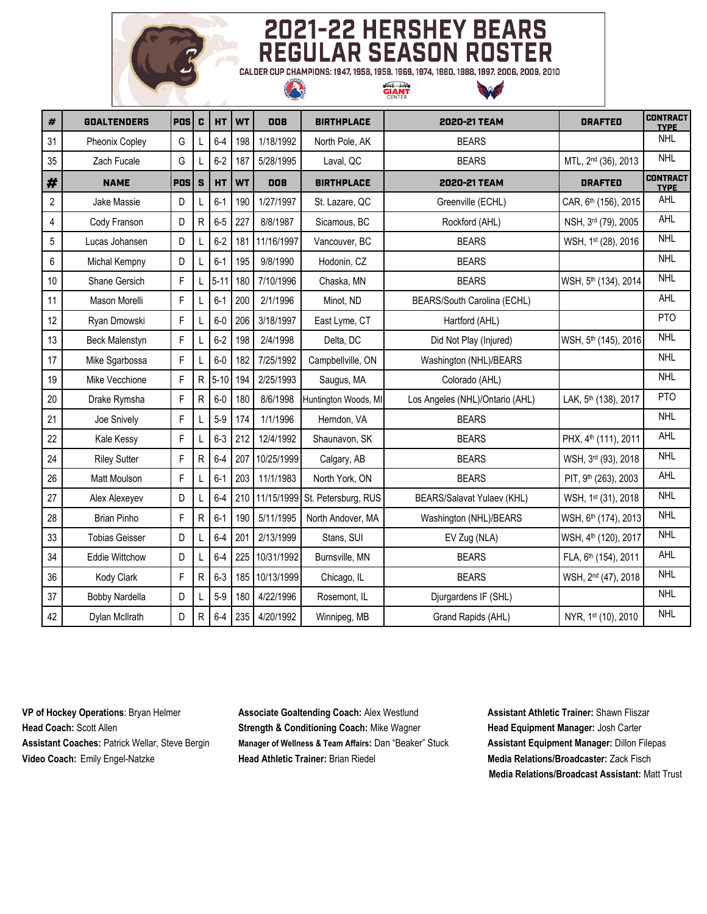

# **2021-22 HERSHEY BEARS<br>REGULAR SEASON ROSTER**

CALDER CUP CHAMPIONS: 1947, 1958, 1959, 1969, 1974, 1980, 1988, 1997, 2006, 2009, 2010 **GIANT** 

A

| $\pmb{\#}$     | <b>GOALTENDERS</b>    | <b>POS</b>  | C               | HT       | <b>WT</b> | <b>DOB</b> | <b>BIRTHPLACE</b>              | 2020-21 TEAM                    | <b>DRAFTED</b>                   | <b>CONTRACT</b><br><b>TYPE</b> |
|----------------|-----------------------|-------------|-----------------|----------|-----------|------------|--------------------------------|---------------------------------|----------------------------------|--------------------------------|
| 31             | Pheonix Copley        | G           |                 | $6-4$    | 198       | 1/18/1992  | North Pole, AK                 | <b>BEARS</b>                    |                                  | <b>NHL</b>                     |
| 35             | Zach Fucale           | G           |                 | $6-2$    | 187       | 5/28/1995  | Laval, QC                      | <b>BEARS</b>                    | MTL, 2 <sup>nd</sup> (36), 2013  | <b>NHL</b>                     |
| #              | <b>NAME</b>           | <b>POS</b>  | ${\bf S}$       | HT       | <b>WT</b> | DOB        | <b>BIRTHPLACE</b>              | 2020-21 TEAM                    | <b>DRAFTED</b>                   | <b>CONTRACT</b><br><b>TYPE</b> |
| $\overline{c}$ | Jake Massie           | D           |                 | $6-1$    | 190       | 1/27/1997  | St. Lazare, QC                 | Greenville (ECHL)               | CAR, 6th (156), 2015             | AHL                            |
| $\overline{4}$ | Cody Franson          | D           | $\mathsf{R}$    | $6-5$    | 227       | 8/8/1987   | Sicamous, BC                   | Rockford (AHL)                  | NSH, 3rd (79), 2005              | AHL                            |
| 5              | Lucas Johansen        | D           | L               | $6-2$    | 181       | 11/16/1997 | Vancouver, BC                  | <b>BEARS</b>                    | WSH, 1st (28), 2016              | <b>NHL</b>                     |
| 6              | Michal Kempny         | D           |                 | $6 - 1$  | 195       | 9/8/1990   | Hodonin, CZ                    | <b>BEARS</b>                    |                                  | <b>NHL</b>                     |
| 10             | Shane Gersich         | F           | L               | $5 - 11$ | 180       | 7/10/1996  | Chaska, MN                     | <b>BEARS</b>                    | WSH, 5th (134), 2014             | <b>NHL</b>                     |
| 11             | Mason Morelli         | F           |                 | $6-1$    | 200       | 2/1/1996   | Minot, ND                      | BEARS/South Carolina (ECHL)     |                                  | <b>AHL</b>                     |
| 12             | Ryan Dmowski          | F           |                 | $6-0$    | 206       | 3/18/1997  | East Lyme, CT                  | Hartford (AHL)                  |                                  | PT <sub>O</sub>                |
| 13             | <b>Beck Malenstyn</b> | $\mathsf F$ |                 | $6-2$    | 198       | 2/4/1998   | Delta, DC                      | Did Not Play (Injured)          | WSH, 5th (145), 2016             | <b>NHL</b>                     |
| 17             | Mike Sgarbossa        | $\mathsf F$ |                 | $6-0$    | 182       | 7/25/1992  | Campbellville, ON              | Washington (NHL)/BEARS          |                                  | <b>NHL</b>                     |
| 19             | Mike Vecchione        | F           | $\mathsf R$     | $5 - 10$ | 194       | 2/25/1993  | Saugus, MA                     | Colorado (AHL)                  |                                  | <b>NHL</b>                     |
| 20             | Drake Rymsha          | F           | R               | $6-0$    | 180       | 8/6/1998   | Huntington Woods, MI           | Los Angeles (NHL)/Ontario (AHL) | LAK, 5th (138), 2017             | <b>PTO</b>                     |
| 21             | Joe Snively           | F           |                 | $5-9$    | 174       | 1/1/1996   | Herndon, VA                    | <b>BEARS</b>                    |                                  | <b>NHL</b>                     |
| 22             | Kale Kessy            | F           |                 | $6 - 3$  | 212       | 12/4/1992  | Shaunavon, SK                  | <b>BEARS</b>                    | PHX, 4 <sup>th</sup> (111), 2011 | <b>AHL</b>                     |
| 24             | <b>Riley Sutter</b>   | F           | R               | $6 - 4$  | 207       | 10/25/1999 | Calgary, AB                    | <b>BEARS</b>                    | WSH, 3rd (93), 2018              | <b>NHL</b>                     |
| 26             | Matt Moulson          | $\mathsf F$ |                 | $6-1$    | 203       | 11/1/1983  | North York, ON                 | <b>BEARS</b>                    | PIT, 9th (263), 2003             | AHL                            |
| 27             | Alex Alexeyev         | D           |                 | $6-4$    | 210       |            | 11/15/1999 St. Petersburg, RUS | BEARS/Salavat Yulaev (KHL)      | WSH, 1st (31), 2018              | <b>NHL</b>                     |
| 28             | <b>Brian Pinho</b>    | F           | R               | $6-1$    | 190       | 5/11/1995  | North Andover, MA              | Washington (NHL)/BEARS          | WSH, 6th (174), 2013             | <b>NHL</b>                     |
| 33             | <b>Tobias Geisser</b> | D           |                 | $6-4$    | 201       | 2/13/1999  | Stans, SUI                     | EV Zug (NLA)                    | WSH, 4th (120), 2017             | <b>NHL</b>                     |
| 34             | <b>Eddie Wittchow</b> | D           |                 | $6-4$    | 225       | 10/31/1992 | Burnsville, MN                 | <b>BEARS</b>                    | FLA, 6th (154), 2011             | <b>AHL</b>                     |
| 36             | Kody Clark            | F           | R               | $6 - 3$  | 185       | 10/13/1999 | Chicago, IL                    | <b>BEARS</b>                    | WSH, 2 <sup>nd</sup> (47), 2018  | <b>NHL</b>                     |
| 37             | <b>Bobby Nardella</b> | D           |                 | $5-9$    | 180       | 4/22/1996  | Rosemont, IL                   | Djurgardens IF (SHL)            |                                  | <b>NHL</b>                     |
| 42             | Dylan McIlrath        | D           | $R_{\parallel}$ | $6-4$    | 235       | 4/20/1992  | Winnipeg, MB                   | Grand Rapids (AHL)              | NYR, 1st (10), 2010              | <b>NHL</b>                     |

**VP of Hockey Operations**: Bryan Helmer **Associate Goaltending Coach:** Alex Westlund **Assistant Athletic Trainer:** Shawn Fliszar **Head Coach:** Scott Allen **Strength & Conditioning Coach:** Mike Wagner **Head Equipment Manager:** Josh Carter **Assistant Coaches:** Patrick Wellar, Steve Bergin **Manager of Wellness & Team Affairs:** Dan "Beaker" Stuck **Assistant Equipment Manager:** Dillon Filepas **Video Coach:** Emily Engel-Natzke **Head Athletic Trainer:** Brian Riedel **Media Relations/Broadcaster:** Zack Fisch

**Media Relations/Broadcast Assistant:** Matt Trust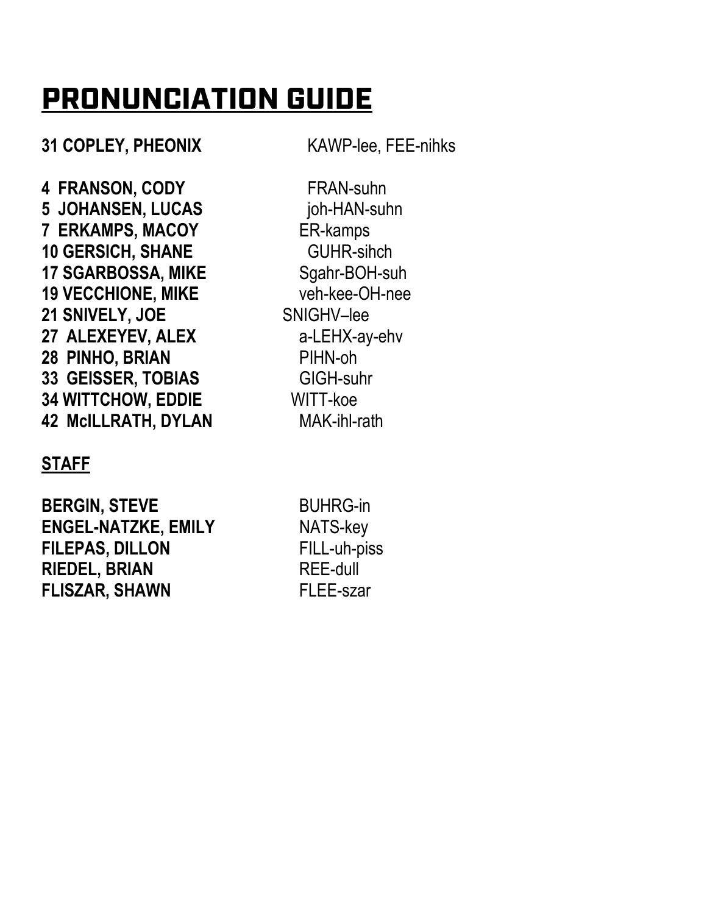# **PRONUNCIATION GUIDE**

**31 COPLEY, PHEONIX** KAWP-lee, FEE-nihks

**4 FRANSON, CODY** FRAN-suhn **5 JOHANSEN, LUCAS** joh-HAN-suhn **7 ERKAMPS, MACOY** ER-kamps **10 GERSICH, SHANE GUHR-sihch 17 SGARBOSSA, MIKE** Sgahr-BOH-suh **19 VECCHIONE, MIKE** veh-kee-OH-nee **21 SNIVELY, JOE** SNIGHV–lee **27 ALEXEYEV, ALEX** a-LEHX-ay-ehv **28 PINHO, BRIAN** PIHN-oh **33 GEISSER, TOBIAS** GIGH-suhr **34 WITTCHOW, EDDIE** WITT-koe **42 McILLRATH, DYLAN** MAK-ihl-rath

### **STAFF**

**BERGIN, STEVE** BUHRG-in **ENGEL-NATZKE, EMILY** NATS-key **FILEPAS, DILLON** FILL-uh-piss **RIEDEL, BRIAN** REE-dull **FLISZAR, SHAWN** FLEE-szar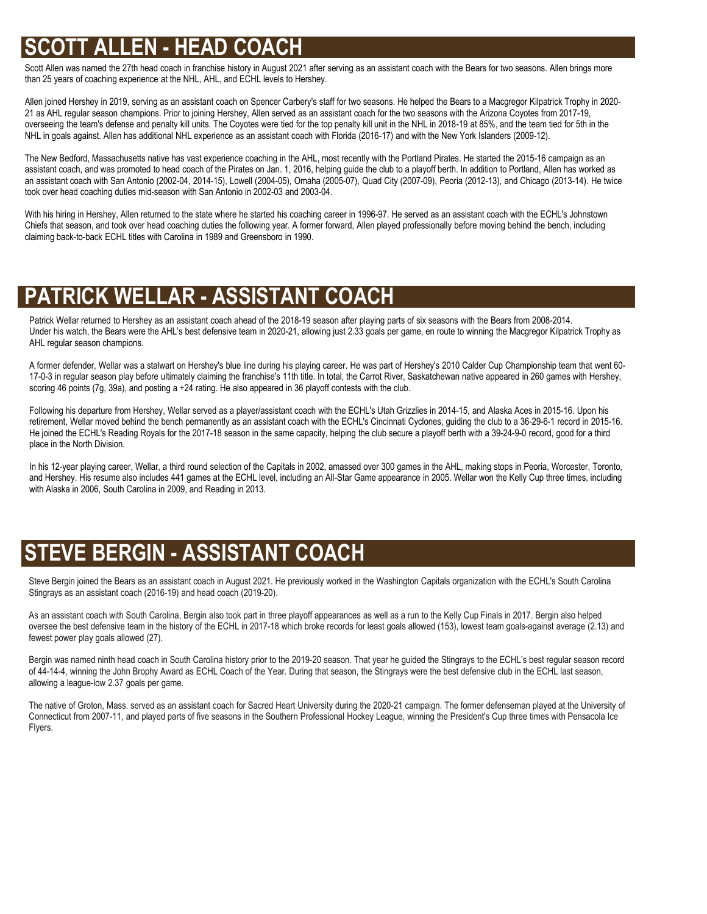### **SCOTT ALLEN - HEAD COACH**

Scott Allen was named the 27th head coach in franchise history in August 2021 after serving as an assistant coach with the Bears for two seasons. Allen brings more than 25 years of coaching experience at the NHL, AHL, and ECHL levels to Hershey.

.<br>Allen joined Hershey in 2019, serving as an assistant coach on Spencer Carbery's staff for two seasons. He helped the Bears to a Macgregor Kilpatrick Trophy in 2020-21 as AHL regular season champions. Prior to joining Hershey, Allen served as an assistant coach for the two seasons with the Arizona Coyotes from 2017-19, overseeing the team's defense and penalty kill units. The Coyotes were tied for the top penalty kill unit in the NHL in 2018-19 at 85%, and the team tied for 5th in the NHL in goals against. Allen has additional NHL experience as an assistant coach with Florida (2016-17) and with the New York Islanders (2009-12).

The New Bedford, Massachusetts native has vast experience coaching in the AHL, most recently with the Portland Pirates. He started the 2015-16 campaign as an assistant coach, and was promoted to head coach of the Pirates on Jan. 1, 2016, helping guide the club to a playoff berth. In addition to Portland, Allen has worked as an assistant coach with San Antonio (2002-04, 2014-15), Lowell (2004-05), Omaha (2005-07), Quad City (2007-09), Peoria (2012-13), and Chicago (2013-14). He twice took over head coaching duties mid-season with San Antonio in 2002-03 and 2003-04.

With his hiring in Hershey, Allen returned to the state where he started his coaching career in 1996-97. He served as an assistant coach with the ECHL's Johnstown Chiefs that season, and took over head coaching duties the following year. A former forward, Allen played professionally before moving behind the bench, including claiming back-to-back ECHL titles with Carolina in 1989 and Greensboro in 1990.

### **PATRICK WELLAR - ASSISTANT COACH**

Patrick Wellar returned to Hershey as an assistant coach ahead of the 2018-19 season after playing parts of six seasons with the Bears from 2008-2014. Under his watch, the Bears were the AHL's best defensive team in 2020-21, allowing just 2.33 goals per game, en route to winning the Macgregor Kilpatrick Trophy as AHL regular season champions.

A former defender, Wellar was a stalwart on Hershey's blue line during his playing career. He was part of Hershey's 2010 Calder Cup Championship team that went 60- 17-0-3 in regular season play before ultimately claiming the franchise's 11th title. In total, the Carrot River, Saskatchewan native appeared in 260 games with Hershey, scoring 46 points (7g, 39a), and posting a +24 rating. He also appeared in 36 playoff contests with the club.

Following his departure from Hershey, Wellar served as a player/assistant coach with the ECHL's Utah Grizzlies in 2014-15, and Alaska Aces in 2015-16. Upon his retirement, Wellar moved behind the bench permanently as an assistant coach with the ECHL's Cincinnati Cyclones, guiding the club to a 36-29-6-1 record in 2015-16. He joined the ECHL's Reading Royals for the 2017-18 season in the same capacity, helping the club secure a playoff berth with a 39-24-9-0 record, good for a third place in the North Division.

In his 12-year playing career, Wellar, a third round selection of the Capitals in 2002, amassed over 300 games in the AHL, making stops in Peoria, Worcester, Toronto, and Hershey. His resume also includes 441 games at the ECHL level, including an All-Star Game appearance in 2005. Wellar won the Kelly Cup three times, including with Alaska in 2006, South Carolina in 2009, and Reading in 2013.

### **STEVE BERGIN - ASSISTANT COACH**

Steve Bergin joined the Bears as an assistant coach in August 2021. He previously worked in the Washington Capitals organization with the ECHL's South Carolina Stingrays as an assistant coach (2016-19) and head coach (2019-20).

As an assistant coach with South Carolina, Bergin also took part in three playoff appearances as well as a run to the Kelly Cup Finals in 2017. Bergin also helped oversee the best defensive team in the history of the ECHL in 2017-18 which broke records for least goals allowed (153), lowest team goals-against average (2.13) and fewest power play goals allowed (27).

Bergin was named ninth head coach in South Carolina history prior to the 2019-20 season. That year he guided the Stingrays to the ECHL's best regular season record of 44-14-4, winning the John Brophy Award as ECHL Coach of the Year. During that season, the Stingrays were the best defensive club in the ECHL last season, allowing a league-low 2.37 goals per game.

The native of Groton, Mass. served as an assistant coach for Sacred Heart University during the 2020-21 campaign. The former defenseman played at the University of<br>Connectivut from 2007-11, and played nath of five second i Connecticut from 2007-11, and played parts of five seasons in the Southern Professional Hockey League, winning the President's Cup three times with Pensacola Ice Flyers.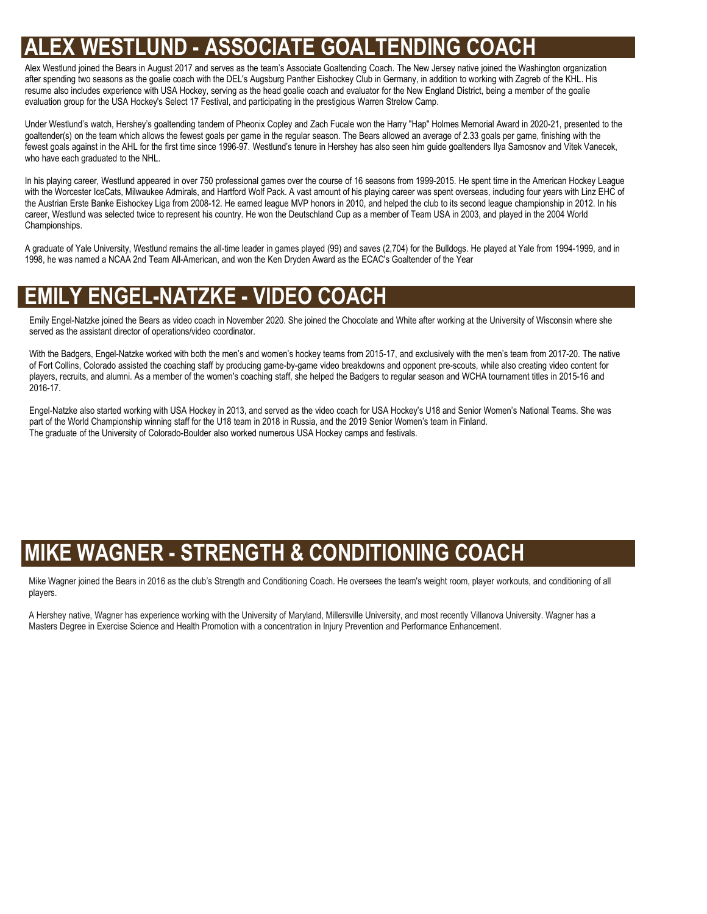### **ND - ASSOCIATE GOALTENDING**

resume also includes experience with OOA Hockey, serving as the head goalle coach and evaluation for the New Eng<br>evaluation group for the USA Hockey's Select 17 Festival, and participating in the prestigious Warren Strelow Alex Westlund joined the Bears in August 2017 and serves as the team's Associate Goaltending Coach. The New Jersey native joined the Washington organization after spending two seasons as the goalie coach with the DEL's Augsburg Panther Eishockey Club in Germany, in addition to working with Zagreb of the KHL. His resume also includes experience with USA Hockey, serving as the head goalie coach and evaluator for the New England District, being a member of the goalie

Under Westlund's watch, Hershey's goaltending tandem of Pheonix Copley and Zach Fucale won the Harry "Hap" Holmes Memorial Award in 2020-21, presented to the goaltender(s) on the team which allows the fewest goals per game in the regular season. The Bears allowed an average of 2.33 goals per game, finishing with the fewest goals against in the AHL for the first time since 1996-97. Westlund's tenure in Hershey has also seen him guide goaltenders Ilya Samosnov and Vitek Vanecek, who have each graduated to the NHL.

In his playing career, Westlund appeared in over 750 professional games over the course of 16 seasons from 1999-2015. He spent time in the American Hockey League with the Worcester IceCats, Milwaukee Admirals, and Hartford Wolf Pack. A vast amount of his playing career was spent overseas, including four years with Linz EHC of the Austrian Erste Banke Eishockey Liga from 2008-12. He earned league MVP honors in 2010, and helped the club to its second league championship in 2012. In his career, Westlund was selected twice to represent his country. He won the Deutschland Cup as a member of Team USA in 2003, and played in the 2004 World Championships.

A graduate of Yale University, Westlund remains the all-time leader in games played (99) and saves (2,704) for the Bulldogs. He played at Yale from 1994-1999, and in 1998, he was named a NCAA 2nd Team All-American, and won the Ken Dryden Award as the ECAC's Goaltender of the Year

### **EMILY ENGEL-NATZKE - VIDEO COACH**

Emily Engel-Natzke joined the Bears as video coach in November 2020. She joined the Chocolate and White after working at the University of Wisconsin where she served as the assistant director of operations/video coordinator.

With the Badgers, Engel-Natzke worked with both the men's and women's hockey teams from 2015-17, and exclusively with the men's team from 2017-20. The native of Fort Collins, Colorado assisted the coaching staff by producing game-by-game video breakdowns and opponent pre-scouts, while also creating video content for players, recruits, and alumni. As a member of the women's coaching staff, she helped the Badgers to regular season and WCHA tournament titles in 2015-16 and 2016-17.

Engel-Natzke also started working with USA Hockey in 2013, and served as the video coach for USA Hockey's U18 and Senior Women's National Teams. She was part of the World Championship winning staff for the U18 team in 2018 in Russia, and the 2019 Senior Women's team in Finland. The graduate of the University of Colorado-Boulder also worked numerous USA Hockey camps and festivals.

### **MIKE WAGNER - STRENGTH & CONDITIONING COACH**

Mike Wagner joined the Bears in 2016 as the club's Strength and Conditioning Coach. He oversees the team's weight room, player workouts, and conditioning of all players.

A Hershey native, Wagner has experience working with the University of Maryland, Millersville University, and most recently Villanova University. Wagner has a Masters Degree in Exercise Science and Health Promotion with a concentration in Injury Prevention and Performance Enhancement.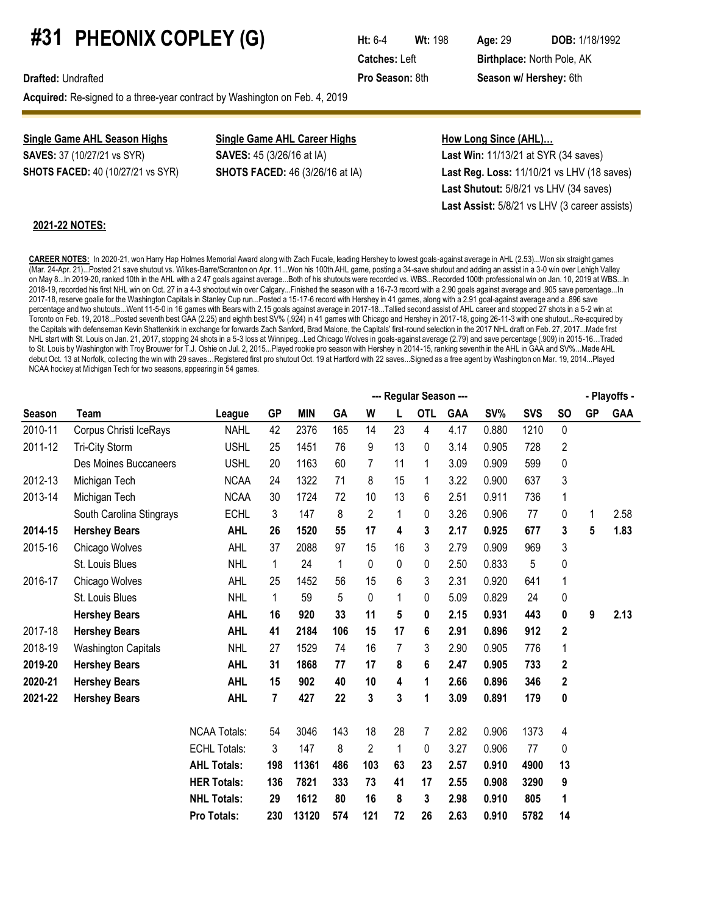# **#31 PHEONIX COPLEY (G) Ht:** 6-4 **Wt:** 198 Age: 29 **DOB:** 1/18/1992

**Acquired:** Re-signed to a three-year contract by Washington on Feb. 4, 2019

**Single Game AHL Season Highs Single Game AHL Career Highs How Long Since (AHL)...** 

**SAVES:** 37 (10/27/21 vs SYR) **SAVES:** 45 (3/26/16 at IA) **Last Win:** 11/13/21 at SYR (34 saves) **SHOTS FACED:** 40 (10/27/21 vs SYR) **SHOTS FACED:** 46 (3/26/16 at IA) **Last Reg. Loss:** 11/10/21 vs LHV (18 saves) **Last Shutout:** 5/8/21 vs LHV (34 saves) **Last Assist:** 5/8/21 vs LHV (3 career assists)

#### **2021-22 NOTES:**

**CAREER NOTES:** In 2020-21, won Harry Hap Holmes Memorial Award along with Zach Fucale, leading Hershey to lowest goals-against average in AHL (2.53)...Won six straight games (Mar. 24-Apr. 21)...Posted 21 save shutout vs. Wilkes-Barre/Scranton on Apr. 11...Won his 100th AHL game, posting a 34-save shutout and adding an assist in a 3-0 win over Lehigh Valley on May 8...In 2019-20, ranked 10th in the AHL with a 2.47 goals against average...Both of his shutouts were recorded vs. WBS...Recorded 100th professional win on Jan. 10, 2019 at WBS...In 2018-19, recorded his first NHL win on Oct. 27 in a 4-3 shootout win over Calgary...Finished the season with a 16-7-3 record with a 2.90 goals against average and .905 save percentage...In 2017-18, reserve goalie for the Washington Capitals in Stanley Cup run...Posted a 15-17-6 record with Hershey in 41 games, along with a 2.91 goal-against average and a .896 save percentage and two shutouts...Went 11-5-0 in 16 games with Bears with 2.15 goals against average in 2017-18...Tallied second assist of AHL career and stopped 27 shots in a 5-2 win at Toronto on Feb. 19, 2018...Posted seventh best GAA (2.25) and eighth best SV% (.924) in 41 games with Chicago and Hershey in 2017-18, going 26-11-3 with one shutout...Re-acquired by the Capitals with defenseman Kevin Shattenkirk in exchange for forwards Zach Sanford, Brad Malone, the Capitals' first-round selection in the 2017 NHL draft on Feb. 27, 2017...Made first NHL start with St. Louis on Jan. 21, 2017, stopping 24 shots in a 5-3 loss at Winnipeg...Led Chicago Wolves in goals-against average (2.79) and save percentage (.909) in 2015-16…Traded to St. Louis by Washington with Troy Brouwer for T.J. Oshie on Jul. 2, 2015...Played rookie pro season with Hershey in 2014-15, ranking seventh in the AHL in GAA and SV%...Made AHL debut Oct. 13 at Norfolk, collecting the win with 29 saves…Registered first pro shutout Oct. 19 at Hartford with 22 saves...Signed as a free agent by Washington on Mar. 19, 2014...Played NCAA hockey at Michigan Tech for two seasons, appearing in 54 games.

|               |                            |                     |           |            |     |                |              | --- Regular Season --- |            |       |            |           |           | - Playoffs - |
|---------------|----------------------------|---------------------|-----------|------------|-----|----------------|--------------|------------------------|------------|-------|------------|-----------|-----------|--------------|
| <b>Season</b> | Team                       | League              | <b>GP</b> | <b>MIN</b> | GA  | W              |              | <b>OTL</b>             | <b>GAA</b> | SV%   | <b>SVS</b> | <b>SO</b> | <b>GP</b> | <b>GAA</b>   |
| 2010-11       | Corpus Christi IceRays     | <b>NAHL</b>         | 42        | 2376       | 165 | 14             | 23           | 4                      | 4.17       | 0.880 | 1210       | 0         |           |              |
| 2011-12       | Tri-City Storm             | <b>USHL</b>         | 25        | 1451       | 76  | 9              | 13           | 0                      | 3.14       | 0.905 | 728        | 2         |           |              |
|               | Des Moines Buccaneers      | <b>USHL</b>         | 20        | 1163       | 60  | 7              | 11           | 1                      | 3.09       | 0.909 | 599        | 0         |           |              |
| 2012-13       | Michigan Tech              | <b>NCAA</b>         | 24        | 1322       | 71  | 8              | 15           | 1                      | 3.22       | 0.900 | 637        | 3         |           |              |
| 2013-14       | Michigan Tech              | <b>NCAA</b>         | 30        | 1724       | 72  | 10             | 13           | 6                      | 2.51       | 0.911 | 736        | 1         |           |              |
|               | South Carolina Stingrays   | <b>ECHL</b>         | 3         | 147        | 8   | $\overline{2}$ | 1            | 0                      | 3.26       | 0.906 | 77         | 0         |           | 2.58         |
| 2014-15       | <b>Hershey Bears</b>       | <b>AHL</b>          | 26        | 1520       | 55  | 17             | 4            | 3                      | 2.17       | 0.925 | 677        | 3         | 5         | 1.83         |
| 2015-16       | Chicago Wolves             | AHL                 | 37        | 2088       | 97  | 15             | 16           | 3                      | 2.79       | 0.909 | 969        | 3         |           |              |
|               | St. Louis Blues            | <b>NHL</b>          | 1         | 24         | 1   | 0              | 0            | 0                      | 2.50       | 0.833 | 5          | 0         |           |              |
| 2016-17       | Chicago Wolves             | AHL                 | 25        | 1452       | 56  | 15             | 6            | 3                      | 2.31       | 0.920 | 641        | 1         |           |              |
|               | St. Louis Blues            | <b>NHL</b>          | 1         | 59         | 5   | 0              | 1            | 0                      | 5.09       | 0.829 | 24         | 0         |           |              |
|               | <b>Hershey Bears</b>       | <b>AHL</b>          | 16        | 920        | 33  | 11             | 5            | 0                      | 2.15       | 0.931 | 443        | 0         | 9         | 2.13         |
| 2017-18       | <b>Hershey Bears</b>       | <b>AHL</b>          | 41        | 2184       | 106 | 15             | 17           | 6                      | 2.91       | 0.896 | 912        | 2         |           |              |
| 2018-19       | <b>Washington Capitals</b> | <b>NHL</b>          | 27        | 1529       | 74  | 16             | 7            | 3                      | 2.90       | 0.905 | 776        | 1         |           |              |
| 2019-20       | <b>Hershey Bears</b>       | <b>AHL</b>          | 31        | 1868       | 77  | 17             | 8            | 6                      | 2.47       | 0.905 | 733        | 2         |           |              |
| 2020-21       | <b>Hershey Bears</b>       | <b>AHL</b>          | 15        | 902        | 40  | 10             | 4            | 1                      | 2.66       | 0.896 | 346        | 2         |           |              |
| 2021-22       | <b>Hershey Bears</b>       | <b>AHL</b>          | 7         | 427        | 22  | 3              | 3            | 1                      | 3.09       | 0.891 | 179        | 0         |           |              |
|               |                            | <b>NCAA Totals:</b> | 54        | 3046       | 143 | 18             | 28           | 7                      | 2.82       | 0.906 | 1373       | 4         |           |              |
|               |                            | <b>ECHL Totals:</b> | 3         | 147        | 8   | $\overline{2}$ | $\mathbf{1}$ | 0                      | 3.27       | 0.906 | 77         | 0         |           |              |
|               |                            | <b>AHL Totals:</b>  | 198       | 11361      | 486 | 103            | 63           | 23                     | 2.57       | 0.910 | 4900       | 13        |           |              |
|               |                            | <b>HER Totals:</b>  | 136       | 7821       | 333 | 73             | 41           | 17                     | 2.55       | 0.908 | 3290       | 9         |           |              |
|               |                            | <b>NHL Totals:</b>  | 29        | 1612       | 80  | 16             | 8            | 3                      | 2.98       | 0.910 | 805        | 1         |           |              |
|               |                            | Pro Totals:         | 230       | 13120      | 574 | 121            | 72           | 26                     | 2.63       | 0.910 | 5782       | 14        |           |              |

**Catches:** Left **Birthplace:** North Pole, AK **Drafted:** Undrafted **Pro Season:** 8th **Season w/ Hershey:** 6th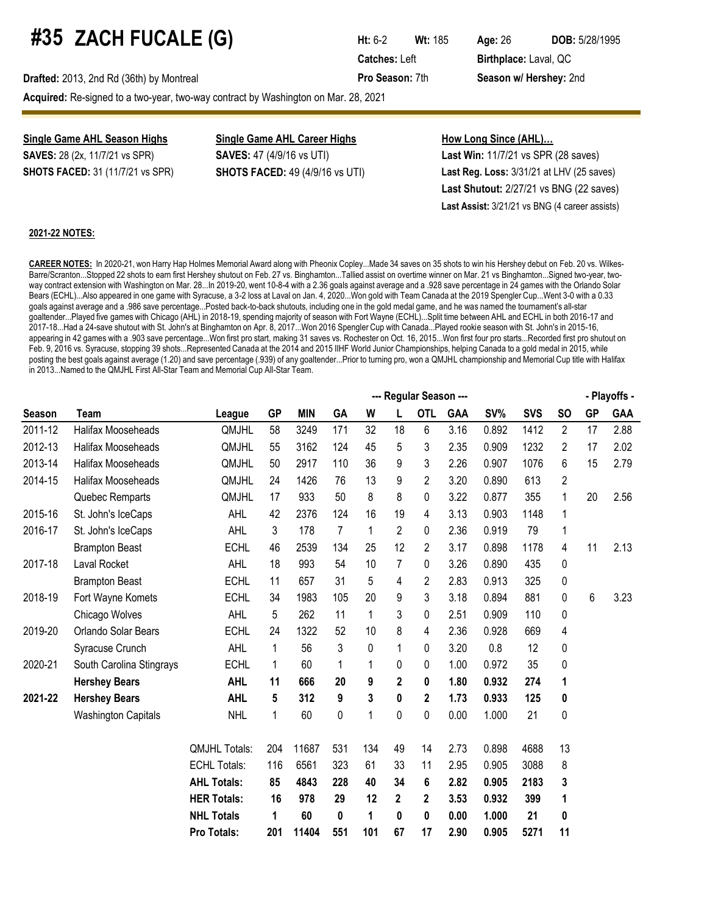# **#35 ZACH FUCALE (G) Ht:** 6-2 **Wt:** 185 Age: 26 DOB: 5/28/1995

**Drafted:** 2013, 2nd Rd (36th) by Montreal **Pro Season:** 7th **Season w/ Hershey:** 2nd

**Catches:** Left **Birthplace:** Laval, QC

**Acquired:** Re-signed to a two-year, two-way contract by Washington on Mar. 28, 2021

# **Single Game AHL Season Highs Single Game AHL Career Highs How Long Since (AHL)...**

**SAVES:** 28 (2x, 11/7/21 vs SPR) **SAVES:** 47 (4/9/16 vs UTI) **Last Win:** 11/7/21 vs SPR (28 saves) **SHOTS FACED:** 31 (11/7/21 vs SPR) **SHOTS FACED:** 49 (4/9/16 vs UTI) **Last Reg. Loss:** 3/31/21 at LHV (25 saves) **Last Shutout:** 2/27/21 vs BNG (22 saves) **Last Assist:** 3/21/21 vs BNG (4 career assists)

#### **2021-22 NOTES:**

**CAREER NOTES:** In 2020-21, won Harry Hap Holmes Memorial Award along with Pheonix Copley...Made 34 saves on 35 shots to win his Hershey debut on Feb. 20 vs. Wilkes-Barre/Scranton...Stopped 22 shots to earn first Hershey shutout on Feb. 27 vs. Binghamton...Tallied assist on overtime winner on Mar. 21 vs Binghamton...Signed two-year, twoway contract extension with Washington on Mar. 28...In 2019-20, went 10-8-4 with a 2.36 goals against average and a .928 save percentage in 24 games with the Orlando Solar Bears (ECHL)...Also appeared in one game with Syracuse, a 3-2 loss at Laval on Jan. 4, 2020...Won gold with Team Canada at the 2019 Spengler Cup...Went 3-0 with a 0.33 goals against average and a .986 save percentage...Posted back-to-back shutouts, including one in the gold medal game, and he was named the tournament's all-star goaltender...Played five games with Chicago (AHL) in 2018-19, spending majority of season with Fort Wayne (ECHL)...Split time between AHL and ECHL in both 2016-17 and 2017-18...Had a 24-save shutout with St. John's at Binghamton on Apr. 8, 2017...Won 2016 Spengler Cup with Canada...Played rookie season with St. John's in 2015-16, appearing in 42 games with a .903 save percentage...Won first pro start, making 31 saves vs. Rochester on Oct. 16, 2015...Won first four pro starts...Recorded first pro shutout on Feb. 9, 2016 vs. Syracuse, stopping 39 shots...Represented Canada at the 2014 and 2015 IIHF World Junior Championships, helping Canada to a gold medal in 2015, while posting the best goals against average (1.20) and save percentage (.939) of any goaltender...Prior to turning pro, won a QMJHL championship and Memorial Cup title with Halifax in 2013...Named to the QMJHL First All-Star Team and Memorial Cup All-Star Team.

|         |                            |                      |              |            |     |              |                | --- Regular Season --- |            |       |            |             |           | - Playoffs - |
|---------|----------------------------|----------------------|--------------|------------|-----|--------------|----------------|------------------------|------------|-------|------------|-------------|-----------|--------------|
| Season  | Team                       | League               | <b>GP</b>    | <b>MIN</b> | GA  | W            | L              | <b>OTL</b>             | <b>GAA</b> | SV%   | <b>SVS</b> | <b>SO</b>   | <b>GP</b> | GAA          |
| 2011-12 | Halifax Mooseheads         | QMJHL                | 58           | 3249       | 171 | 32           | 18             | 6                      | 3.16       | 0.892 | 1412       | 2           | 17        | 2.88         |
| 2012-13 | Halifax Mooseheads         | QMJHL                | 55           | 3162       | 124 | 45           | 5              | 3                      | 2.35       | 0.909 | 1232       | 2           | 17        | 2.02         |
| 2013-14 | <b>Halifax Mooseheads</b>  | QMJHL                | 50           | 2917       | 110 | 36           | 9              | 3                      | 2.26       | 0.907 | 1076       | 6           | 15        | 2.79         |
| 2014-15 | <b>Halifax Mooseheads</b>  | QMJHL                | 24           | 1426       | 76  | 13           | 9              | 2                      | 3.20       | 0.890 | 613        | 2           |           |              |
|         | Quebec Remparts            | QMJHL                | 17           | 933        | 50  | 8            | 8              | 0                      | 3.22       | 0.877 | 355        | 1           | 20        | 2.56         |
| 2015-16 | St. John's IceCaps         | AHL                  | 42           | 2376       | 124 | 16           | 19             | 4                      | 3.13       | 0.903 | 1148       | 1           |           |              |
| 2016-17 | St. John's IceCaps         | AHL                  | 3            | 178        | 7   | $\mathbf{1}$ | 2              | 0                      | 2.36       | 0.919 | 79         | 1           |           |              |
|         | <b>Brampton Beast</b>      | <b>ECHL</b>          | 46           | 2539       | 134 | 25           | 12             | 2                      | 3.17       | 0.898 | 1178       | 4           | 11        | 2.13         |
| 2017-18 | <b>Laval Rocket</b>        | AHL                  | 18           | 993        | 54  | 10           | $\overline{7}$ | 0                      | 3.26       | 0.890 | 435        | $\mathbf 0$ |           |              |
|         | <b>Brampton Beast</b>      | <b>ECHL</b>          | 11           | 657        | 31  | 5            | 4              | 2                      | 2.83       | 0.913 | 325        | 0           |           |              |
| 2018-19 | Fort Wayne Komets          | <b>ECHL</b>          | 34           | 1983       | 105 | 20           | 9              | 3                      | 3.18       | 0.894 | 881        | 0           | 6         | 3.23         |
|         | Chicago Wolves             | AHL                  | 5            | 262        | 11  | $\mathbf{1}$ | 3              | 0                      | 2.51       | 0.909 | 110        | 0           |           |              |
| 2019-20 | Orlando Solar Bears        | <b>ECHL</b>          | 24           | 1322       | 52  | 10           | 8              | 4                      | 2.36       | 0.928 | 669        | 4           |           |              |
|         | Syracuse Crunch            | <b>AHL</b>           | $\mathbf{1}$ | 56         | 3   | $\pmb{0}$    | 1              | 0                      | 3.20       | 0.8   | 12         | $\pmb{0}$   |           |              |
| 2020-21 | South Carolina Stingrays   | <b>ECHL</b>          | 1            | 60         | 1   | $\mathbf{1}$ | 0              | 0                      | 1.00       | 0.972 | 35         | 0           |           |              |
|         | <b>Hershey Bears</b>       | <b>AHL</b>           | 11           | 666        | 20  | 9            | 2              | 0                      | 1.80       | 0.932 | 274        | 1           |           |              |
| 2021-22 | <b>Hershey Bears</b>       | <b>AHL</b>           | 5            | 312        | 9   | 3            | 0              | 2                      | 1.73       | 0.933 | 125        | 0           |           |              |
|         | <b>Washington Capitals</b> | <b>NHL</b>           | 1            | 60         | 0   | $\mathbf{1}$ | 0              | 0                      | 0.00       | 1.000 | 21         | 0           |           |              |
|         |                            | <b>QMJHL Totals:</b> | 204          | 11687      | 531 | 134          | 49             | 14                     | 2.73       | 0.898 | 4688       | 13          |           |              |
|         |                            | <b>ECHL Totals:</b>  | 116          | 6561       | 323 | 61           | 33             | 11                     | 2.95       | 0.905 | 3088       | 8           |           |              |
|         |                            | <b>AHL Totals:</b>   | 85           | 4843       | 228 | 40           | 34             | 6                      | 2.82       | 0.905 | 2183       | 3           |           |              |
|         |                            | <b>HER Totals:</b>   | 16           | 978        | 29  | 12           | 2              | 2                      | 3.53       | 0.932 | 399        | 1           |           |              |
|         |                            | <b>NHL Totals</b>    | 1            | 60         | 0   | 1            | 0              | 0                      | 0.00       | 1.000 | 21         | 0           |           |              |
|         |                            | Pro Totals:          | 201          | 11404      | 551 | 101          | 67             | 17                     | 2.90       | 0.905 | 5271       | 11          |           |              |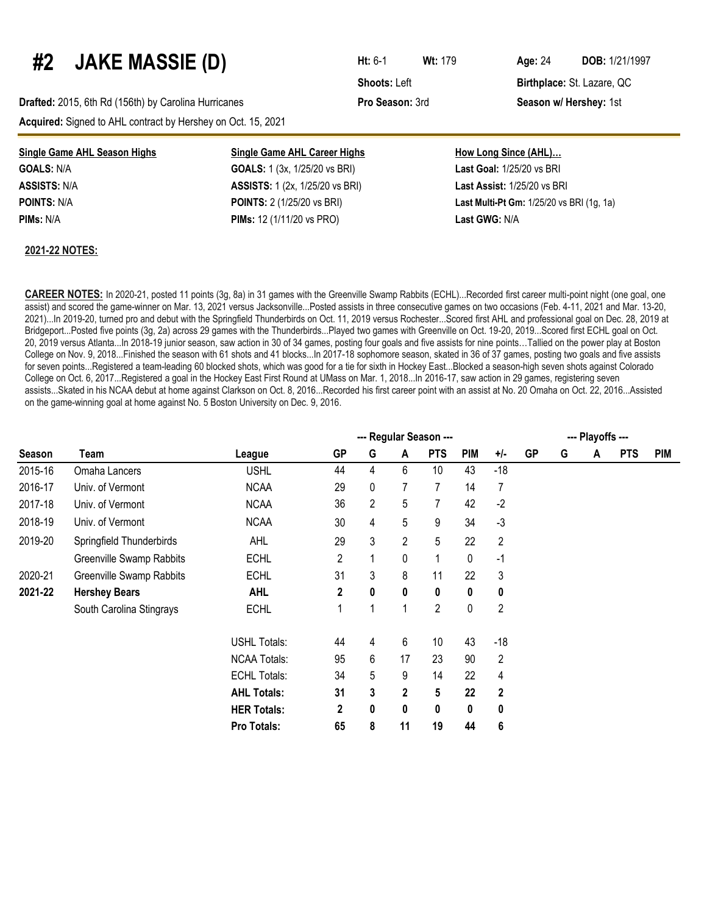### **#2 JAKE MASSIE (D) Ht:** 6-1 **Wt:**<sup>179</sup> **Age:**<sup>24</sup> **DOB:** 1/21/1997

**Drafted:** 2015, 6th Rd (156th) by Carolina Hurricanes **Pro Season:** 3rd **Season w/ Hershey:** 1st **Acquired:** Signed to AHL contract by Hershey on Oct. 15, 2021

| <b>Single Game AHL Season Highs</b> | <b>Single Game AHL Career Highs</b>    | <b>How Long Since (AHL)</b>               |
|-------------------------------------|----------------------------------------|-------------------------------------------|
| <b>GOALS: N/A</b>                   | <b>GOALS:</b> 1 (3x, 1/25/20 vs BRI)   | <b>Last Goal: 1/25/20 vs BRI</b>          |
| <b>ASSISTS:</b> N/A                 | <b>ASSISTS:</b> 1 (2x, 1/25/20 vs BRI) | Last Assist: 1/25/20 vs BRI               |
| POINTS: N/A                         | <b>POINTS:</b> 2 (1/25/20 vs BRI)      | Last Multi-Pt Gm: 1/25/20 vs BRI (1g, 1a) |
| PIMs: N/A                           | <b>PIMs:</b> 12 (1/11/20 vs PRO)       | Last GWG: N/A                             |
|                                     |                                        |                                           |

#### **2021-22 NOTES:**

**CAREER NOTES:** In 2020-21, posted 11 points (3g, 8a) in 31 games with the Greenville Swamp Rabbits (ECHL)...Recorded first career multi-point night (one goal, one assist) and scored the game-winner on Mar. 13, 2021 versus Jacksonville...Posted assists in three consecutive games on two occasions (Feb. 4-11, 2021 and Mar. 13-20, 2021)...In 2019-20, turned pro and debut with the Springfield Thunderbirds on Oct. 11, 2019 versus Rochester...Scored first AHL and professional goal on Dec. 28, 2019 at Bridgeport...Posted five points (3g, 2a) across 29 games with the Thunderbirds...Played two games with Greenville on Oct. 19-20, 2019...Scored first ECHL goal on Oct. 20, 2019 versus Atlanta...In 2018-19 junior season, saw action in 30 of 34 games, posting four goals and five assists for nine points…Tallied on the power play at Boston College on Nov. 9, 2018...Finished the season with 61 shots and 41 blocks...In 2017-18 sophomore season, skated in 36 of 37 games, posting two goals and five assists for seven points...Registered a team-leading 60 blocked shots, which was good for a tie for sixth in Hockey East...Blocked a season-high seven shots against Colorado College on Oct. 6, 2017...Registered a goal in the Hockey East First Round at UMass on Mar. 1, 2018...In 2016-17, saw action in 29 games, registering seven assists...Skated in his NCAA debut at home against Clarkson on Oct. 8, 2016...Recorded his first career point with an assist at No. 20 Omaha on Oct. 22, 2016...Assisted on the game-winning goal at home against No. 5 Boston University on Dec. 9, 2016.

|         |                          | --- Regular Season --- |                |                |                |                |            |                |           |   |   | --- Playoffs --- |            |  |  |  |  |
|---------|--------------------------|------------------------|----------------|----------------|----------------|----------------|------------|----------------|-----------|---|---|------------------|------------|--|--|--|--|
| Season  | Team                     | League                 | <b>GP</b>      | G              | A              | <b>PTS</b>     | <b>PIM</b> | $+/-$          | <b>GP</b> | G | A | <b>PTS</b>       | <b>PIM</b> |  |  |  |  |
| 2015-16 | Omaha Lancers            | <b>USHL</b>            | 44             | 4              | 6              | 10             | 43         | $-18$          |           |   |   |                  |            |  |  |  |  |
| 2016-17 | Univ. of Vermont         | <b>NCAA</b>            | 29             | 0              |                | 7              | 14         | 7              |           |   |   |                  |            |  |  |  |  |
| 2017-18 | Univ. of Vermont         | <b>NCAA</b>            | 36             | $\overline{2}$ | 5              | 7              | 42         | $-2$           |           |   |   |                  |            |  |  |  |  |
| 2018-19 | Univ. of Vermont         | <b>NCAA</b>            | 30             | 4              | 5              | 9              | 34         | $-3$           |           |   |   |                  |            |  |  |  |  |
| 2019-20 | Springfield Thunderbirds | <b>AHL</b>             | 29             | 3              | $\overline{2}$ | 5              | 22         | $\overline{2}$ |           |   |   |                  |            |  |  |  |  |
|         | Greenville Swamp Rabbits | <b>ECHL</b>            | $\overline{2}$ | 1              | 0              | 1              | 0          | $-1$           |           |   |   |                  |            |  |  |  |  |
| 2020-21 | Greenville Swamp Rabbits | <b>ECHL</b>            | 31             | 3              | 8              | 11             | 22         | 3              |           |   |   |                  |            |  |  |  |  |
| 2021-22 | <b>Hershey Bears</b>     | <b>AHL</b>             | 2              | 0              | 0              | 0              | 0          | 0              |           |   |   |                  |            |  |  |  |  |
|         | South Carolina Stingrays | <b>ECHL</b>            | 1              | 1              |                | $\overline{2}$ | 0          | $\overline{2}$ |           |   |   |                  |            |  |  |  |  |
|         |                          | <b>USHL Totals:</b>    | 44             | 4              | 6              | 10             | 43         | $-18$          |           |   |   |                  |            |  |  |  |  |
|         |                          | <b>NCAA Totals:</b>    | 95             | 6              | 17             | 23             | 90         | $\overline{2}$ |           |   |   |                  |            |  |  |  |  |
|         |                          | <b>ECHL Totals:</b>    | 34             | 5              | 9              | 14             | 22         | 4              |           |   |   |                  |            |  |  |  |  |
|         |                          | <b>AHL Totals:</b>     | 31             | 3              | $\mathbf 2$    | 5              | 22         | $\mathbf{2}$   |           |   |   |                  |            |  |  |  |  |
|         |                          | <b>HER Totals:</b>     | $\overline{2}$ | $\bf{0}$       | 0              | 0              | $\bf{0}$   | 0              |           |   |   |                  |            |  |  |  |  |
|         |                          | Pro Totals:            | 65             | 8              | 11             | 19             | 44         | 6              |           |   |   |                  |            |  |  |  |  |

**Shoots: Left <b>Birthplace:** St. Lazare, QC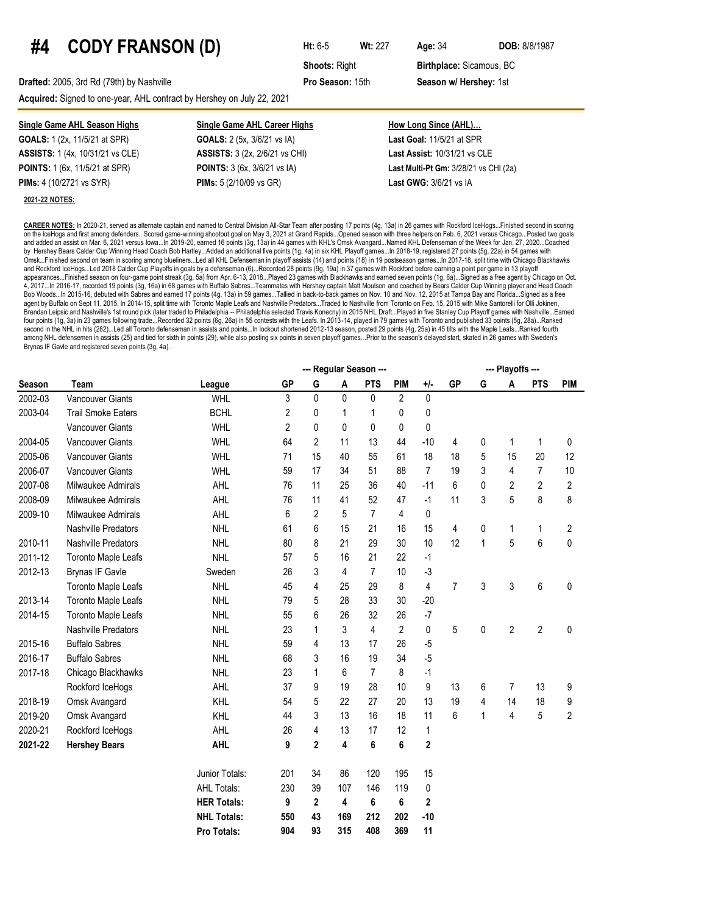## **#4 CODY FRANSON (D) Ht:** 6-5 **Wt:** <sup>227</sup> **Age:**<sup>34</sup> **DOB:** 8/8/1987

**Shoots: Right <b>Birthplace:** Sicamous, BC

**Drafted:** 2005, 3rd Rd (79th) by Nashville **Pro Season:** 15th **Season w/ Hershey:** 1st

**Acquired:** Signed to one-year, AHL contract by Hershey on July 22, 2021

**GOALS:** 1 (2x, 11/5/21 at SPR) **GOALS:** 2 (5x, 3/6/21 vs IA) **Last Goal:** 11/5/21 at SPR **ASSISTS:** 1 (4x, 10/31/21 vs CLE) **ASSISTS:** 3 (2x, 2/6/21 vs CHI) **Last Assist:** 10/31/21 vs CLE **PIMs:** 4 (10/2721 vs SYR) **PIMs:** 5 (2/10/09 vs GR) **Last GWG:** 3/6/21 vs IA

**2021-22 NOTES:** 

**Single Game AHL Season Highs Single Game AHL Career Highs How Long Since (AHL)…**

**POINTS:** 1 (6x, 11/5/21 at SPR) **POINTS:** 3 (6x, 3/6/21 vs IA) **Last Multi-Pt Gm:** 3/28/21 vs CHI (2a)

**CAREER NOTES:** In 2020-21, served as alternate captain and named to Central Division All-Star Team after posting 17 points (4g, 13a) in 26 games with Rockford IceHogs...Finished second in scoring on the IceHogs and first among defenders...Scored game-winning shootout goal on May 3, 2021 at Grand Rapids...Opened season with three helpers on Feb. 6, 2021 versus Chicago...Posted two goals and added an assist on Mar. 6, 2021 versus Iowa...In 2019-20, earned 16 points (3g, 13a) in 44 games with KHL's Omsk Avangard...Named KHL Defenseman of the Week for Jan. 27, 2020...Coached by Hershey Bears Calder Cup Winning Head Coach Bob Hartley...Added an additional five points (1g, 4a) in six KHL Playoff games...In 2018-19, registered 27 points (5g, 22a) in 54 games with Omsk...Finished second on team in scoring among blueliners...Led all KHL Defenseman in playoff assists (14) and points (18) in 19 postseason games...In 2017-18, split time with Chicago Blackhawks and Rockford IceHogs...Led 2018 Calder Cup Playoffs in goals by a defenseman (6)...Recorded 28 points (9g, 19a) in 37 games with Rockford before earning a point per game in 13 playoff appearances...Finished season on four-game point streak (3g, 5a) from Apr. 6-13, 2018...Played 23 games with Blackhawks and earned seven points (1g, 6a)...Signed as a free agent by Chicago on Oct. 4, 2017...In 2016-17, recorded 19 points (3g, 16a) in 68 games with Buffalo Sabres...Teammates with Hershey captain Matt Moulson and coached by Bears Calder Cup Winning player and Head Coach Bob Woods...In 2015-16, debuted with Sabres and earned 17 points (4g, 13a) in 59 games...Tallied in back-to-back games on Nov. 10 and Nov. 12, 2015 at Tampa Bay and Florida...Signed as a free agent by Buffalo on Sept 11, 2015. In 2014-15, split time with Toronto Maple Leafs and Nashville Predators...Traded to Nashville from Toronto on Feb. 15, 2015 with Mike Santorelli for Olli Jokinen, Brendan Leipsic and Nashville's 1st round pick (later traded to Philadelphia -- Philadelphia selected Travis Konecny) in 2015 NHL Draft...Played in five Stanley Cup Playoff games with Nashville...Earned four points (1g, 3a) in 23 games following trade...Recorded 32 points (6g, 26a) in 55 contests with the Leafs. In 2013-14, played in 79 games with Toronto and published 33 points (5g, 28a)...Ranked second in the NHL in hits (282)...Led all Toronto defenseman in assists and points...In lockout shortened 2012-13 season, posted 29 points (4g, 25a) in 45 tilts with the Maple Leafs...Ranked fourth among NHL defensemen in assists (25) and tied for sixth in points (29), while also posting six points in seven playoff games...Prior to the season's delayed start, skated in 26 games with Sweden's Brynas IF Gavle and registered seven points (3g, 4a).

|               |                            |                    |           |                |     | --- Regular Season --- |                |                         |                |             | --- Playoffs --- |                |                |
|---------------|----------------------------|--------------------|-----------|----------------|-----|------------------------|----------------|-------------------------|----------------|-------------|------------------|----------------|----------------|
| <b>Season</b> | <b>Team</b>                | League             | <b>GP</b> | G              | A   | <b>PTS</b>             | <b>PIM</b>     | $+/-$                   | <b>GP</b>      | G           | A                | <b>PTS</b>     | <b>PIM</b>     |
| 2002-03       | Vancouver Giants           | <b>WHL</b>         | 3         | $\pmb{0}$      | 0   | 0                      | $\overline{2}$ | 0                       |                |             |                  |                |                |
| 2003-04       | <b>Trail Smoke Eaters</b>  | <b>BCHL</b>        | 2         | 0              | 1   | 1                      | 0              | 0                       |                |             |                  |                |                |
|               | <b>Vancouver Giants</b>    | <b>WHL</b>         | 2         | 0              | 0   | 0                      | 0              | 0                       |                |             |                  |                |                |
| 2004-05       | <b>Vancouver Giants</b>    | <b>WHL</b>         | 64        | $\overline{2}$ | 11  | 13                     | 44             | $-10$                   | 4              | 0           | $\mathbf 1$      | 1              | 0              |
| 2005-06       | <b>Vancouver Giants</b>    | <b>WHL</b>         | 71        | 15             | 40  | 55                     | 61             | 18                      | 18             | 5           | 15               | 20             | 12             |
| 2006-07       | <b>Vancouver Giants</b>    | <b>WHL</b>         | 59        | 17             | 34  | 51                     | 88             | $\overline{7}$          | 19             | 3           | 4                | $\overline{7}$ | 10             |
| 2007-08       | Milwaukee Admirals         | AHL                | 76        | 11             | 25  | 36                     | 40             | $-11$                   | 6              | 0           | $\overline{2}$   | $\overline{2}$ | $\overline{2}$ |
| 2008-09       | Milwaukee Admirals         | AHL                | 76        | 11             | 41  | 52                     | 47             | $-1$                    | 11             | 3           | 5                | 8              | 8              |
| 2009-10       | Milwaukee Admirals         | AHL                | 6         | $\overline{2}$ | 5   | $\overline{7}$         | 4              | 0                       |                |             |                  |                |                |
|               | Nashville Predators        | <b>NHL</b>         | 61        | 6              | 15  | 21                     | 16             | 15                      | 4              | 0           | 1                | 1              | 2              |
| 2010-11       | Nashville Predators        | <b>NHL</b>         | 80        | 8              | 21  | 29                     | 30             | 10                      | 12             | $\mathbf 1$ | 5                | 6              | 0              |
| 2011-12       | <b>Toronto Maple Leafs</b> | <b>NHL</b>         | 57        | 5              | 16  | 21                     | 22             | $-1$                    |                |             |                  |                |                |
| 2012-13       | <b>Brynas IF Gavle</b>     | Sweden             | 26        | 3              | 4   | 7                      | 10             | $-3$                    |                |             |                  |                |                |
|               | <b>Toronto Maple Leafs</b> | <b>NHL</b>         | 45        | 4              | 25  | 29                     | 8              | $\overline{4}$          | $\overline{7}$ | 3           | 3                | 6              | 0              |
| 2013-14       | Toronto Maple Leafs        | <b>NHL</b>         | 79        | 5              | 28  | 33                     | 30             | $-20$                   |                |             |                  |                |                |
| 2014-15       | Toronto Maple Leafs        | <b>NHL</b>         | 55        | 6              | 26  | 32                     | 26             | $-7$                    |                |             |                  |                |                |
|               | Nashville Predators        | <b>NHL</b>         | 23        | 1              | 3   | 4                      | $\overline{2}$ | 0                       | 5              | $\pmb{0}$   | $\overline{2}$   | $\overline{2}$ | 0              |
| 2015-16       | <b>Buffalo Sabres</b>      | <b>NHL</b>         | 59        | 4              | 13  | 17                     | 26             | $-5$                    |                |             |                  |                |                |
| 2016-17       | <b>Buffalo Sabres</b>      | <b>NHL</b>         | 68        | 3              | 16  | 19                     | 34             | $-5$                    |                |             |                  |                |                |
| 2017-18       | Chicago Blackhawks         | <b>NHL</b>         | 23        | 1              | 6   | $\overline{7}$         | 8              | $-1$                    |                |             |                  |                |                |
|               | Rockford IceHogs           | AHL                | 37        | 9              | 19  | 28                     | 10             | 9                       | 13             | 6           | 7                | 13             | 9              |
| 2018-19       | Omsk Avangard              | <b>KHL</b>         | 54        | 5              | 22  | 27                     | 20             | 13                      | 19             | 4           | 14               | 18             | 9              |
| 2019-20       | Omsk Avangard              | <b>KHL</b>         | 44        | 3              | 13  | 16                     | 18             | 11                      | 6              | 1           | 4                | 5              | 2              |
| 2020-21       | Rockford IceHogs           | <b>AHL</b>         | 26        | 4              | 13  | 17                     | 12             | $\mathbf 1$             |                |             |                  |                |                |
| 2021-22       | <b>Hershey Bears</b>       | <b>AHL</b>         | 9         | $\mathbf{2}$   | 4   | 6                      | 6              | $\overline{\mathbf{c}}$ |                |             |                  |                |                |
|               |                            | Junior Totals:     | 201       | 34             | 86  | 120                    | 195            | 15                      |                |             |                  |                |                |
|               |                            | <b>AHL Totals:</b> | 230       | 39             | 107 | 146                    | 119            | 0                       |                |             |                  |                |                |
|               |                            | <b>HER Totals:</b> | 9         | $\mathbf 2$    | 4   | 6                      | 6              | $\overline{\mathbf{c}}$ |                |             |                  |                |                |
|               |                            | <b>NHL Totals:</b> | 550       | 43             | 169 | 212                    | 202            | $-10$                   |                |             |                  |                |                |
|               |                            | Pro Totals:        | 904       | 93             | 315 | 408                    | 369            | 11                      |                |             |                  |                |                |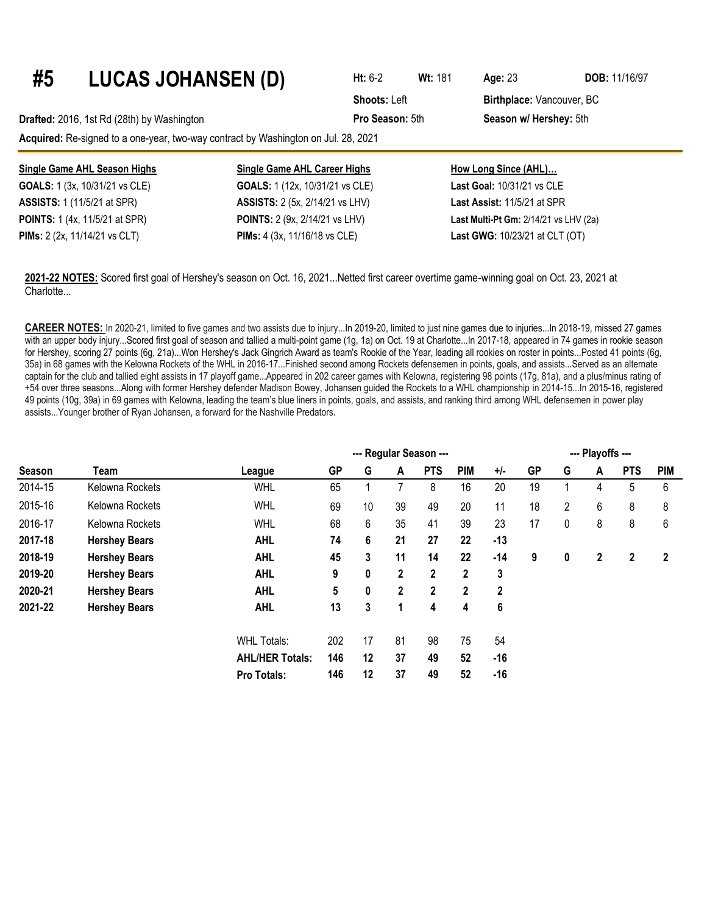| #5 | <b>LUCAS JOHANSEN (D)</b>                                                          |                                        | $Ht: 6-2$           | <b>Wt: 181</b> | Age: $23$                          | <b>DOB: 11/16/97</b> |
|----|------------------------------------------------------------------------------------|----------------------------------------|---------------------|----------------|------------------------------------|----------------------|
|    |                                                                                    |                                        | <b>Shoots: Left</b> |                | Birthplace: Vancouver, BC          |                      |
|    | Drafted: 2016, 1st Rd (28th) by Washington                                         |                                        | Pro Season: 5th     |                | Season w/ Hershey: 5th             |                      |
|    | Acquired: Re-signed to a one-year, two-way contract by Washington on Jul. 28, 2021 |                                        |                     |                |                                    |                      |
|    | Single Game AHL Season Highs                                                       | <b>Single Game AHL Career Highs</b>    |                     |                | How Long Since (AHL)               |                      |
|    | GOALS: 1 (3x, 10/31/21 vs CLE)                                                     | GOALS: 1 (12x, 10/31/21 vs CLE)        |                     |                | Last Goal: 10/31/21 vs CLE         |                      |
|    | <b>ASSISTS:</b> 1 (11/5/21 at SPR)                                                 | <b>ASSISTS:</b> 2 (5x, 2/14/21 vs LHV) |                     |                | <b>Last Assist: 11/5/21 at SPR</b> |                      |

**PIMs:** 2 (2x, 11/14/21 vs CLT) **PIMs:** 4 (3x, 11/16/18 vs CLE) **Last GWG:** 10/23/21 at CLT (OT)

**2021-22 NOTES:** Scored first goal of Hershey's season on Oct. 16, 2021...Netted first career overtime game-winning goal on Oct. 23, 2021 at Charlotte...

**POINTS:** 1 (4x, 11/5/21 at SPR) **POINTS:** 2 (9x, 2/14/21 vs LHV) **Last Multi-Pt Gm:** 2/14/21 vs LHV (2a)

**CAREER NOTES:** In 2020-21, limited to five games and two assists due to injury...In 2019-20, limited to just nine games due to injuries...In 2018-19, missed 27 games with an upper body injury...Scored first goal of season and tallied a multi-point game (1g, 1a) on Oct. 19 at Charlotte...ln 2017-18, appeared in 74 games in rookie season for Hershey, scoring 27 points (6g, 21a)...Won Hershey's Jack Gingrich Award as team's Rookie of the Year, leading all rookies on roster in points...Posted 41 points (6g, 35a) in 68 games with the Kelowna Rockets of the WHL in 2016-17...Finished second among Rockets defensemen in points, goals, and assists...Served as an alternate captain for the club and tallied eight assists in 17 playoff game...Appeared in 202 career games with Kelowna, registering 98 points (17g, 81a), and a plus/minus rating of +54 over three seasons...Along with former Hershey defender Madison Bowey, Johansen guided the Rockets to a WHL championship in 2014-15...In 2015-16, registered 49 points (10g, 39a) in 69 games with Kelowna, leading the team's blue liners in points, goals, and assists, and ranking third among WHL defensemen in power play assists...Younger brother of Ryan Johansen, a forward for the Nashville Predators.

|         |                      |                        |           | --- Playoffs --- |                |            |             |              |           |   |   |            |              |
|---------|----------------------|------------------------|-----------|------------------|----------------|------------|-------------|--------------|-----------|---|---|------------|--------------|
| Season  | Team                 | League                 | <b>GP</b> | G                | A              | <b>PTS</b> | <b>PIM</b>  | +/-          | <b>GP</b> | G | A | <b>PTS</b> | <b>PIM</b>   |
| 2014-15 | Kelowna Rockets      | <b>WHL</b>             | 65        |                  |                | 8          | 16          | 20           | 19        |   | 4 | 5          | 6            |
| 2015-16 | Kelowna Rockets      | <b>WHL</b>             | 69        | 10               | 39             | 49         | 20          | 11           | 18        | 2 | 6 | 8          | 8            |
| 2016-17 | Kelowna Rockets      | <b>WHL</b>             | 68        | 6                | 35             | 41         | 39          | 23           | 17        | 0 | 8 | 8          | 6            |
| 2017-18 | <b>Hershey Bears</b> | <b>AHL</b>             | 74        | 6                | 21             | 27         | 22          | $-13$        |           |   |   |            |              |
| 2018-19 | <b>Hershey Bears</b> | <b>AHL</b>             | 45        | 3                | 11             | 14         | 22          | $-14$        | 9         | 0 | 2 | 2          | $\mathbf{2}$ |
| 2019-20 | <b>Hershey Bears</b> | <b>AHL</b>             | 9         | 0                | $\overline{2}$ | 2          | 2           | 3            |           |   |   |            |              |
| 2020-21 | <b>Hershey Bears</b> | <b>AHL</b>             | 5         | 0                | $\mathbf{2}$   | 2          | $\mathbf 2$ | $\mathbf{2}$ |           |   |   |            |              |
| 2021-22 | <b>Hershey Bears</b> | <b>AHL</b>             | 13        | 3                | 1              | 4          | 4           | 6            |           |   |   |            |              |
|         |                      | <b>WHL Totals:</b>     | 202       | 17               | 81             | 98         | 75          | 54           |           |   |   |            |              |
|         |                      | <b>AHL/HER Totals:</b> | 146       | 12               | 37             | 49         | 52          | $-16$        |           |   |   |            |              |
|         |                      | Pro Totals:            | 146       | 12               | 37             | 49         | 52          | $-16$        |           |   |   |            |              |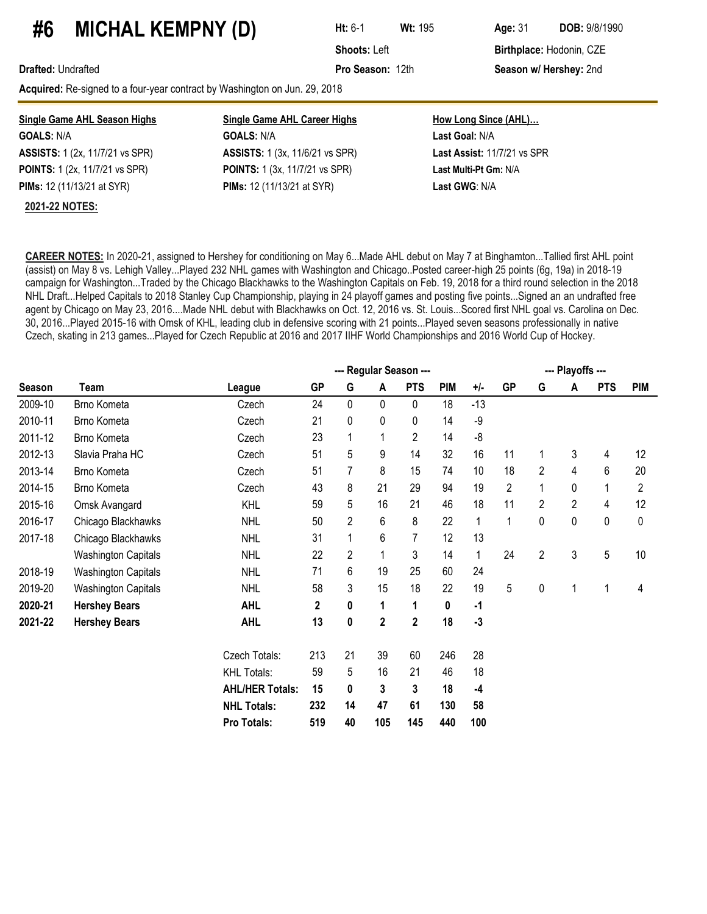### **#6 MICHAL KEMPNY (D) Ht:** 6-1 **Wt:**<sup>195</sup> **Age:**<sup>31</sup> **DOB:** 9/8/1990

**Shoots: Left Birthplace: Hodonin, CZE** 

**Drafted:** Undrafted **Pro Season:** 12th **Season w/ Hershey:** 2nd

Acquired: Re-signed to a four-year contract by Washington on Jun. 29, 2018

| <b>Single Game AHL Season Highs</b>    | <b>Single Game AHL Career Highs</b>    | <b>How Long Since (AHL)</b> |
|----------------------------------------|----------------------------------------|-----------------------------|
| <b>GOALS: N/A</b>                      | <b>GOALS: N/A</b>                      | Last Goal: N/A              |
| <b>ASSISTS:</b> 1 (2x, 11/7/21 vs SPR) | <b>ASSISTS:</b> 1 (3x, 11/6/21 vs SPR) | Last Assist: 11/7/21 vs SPR |
| <b>POINTS:</b> 1 (2x, 11/7/21 vs SPR)  | <b>POINTS:</b> 1 (3x, 11/7/21 vs SPR)  | Last Multi-Pt Gm: N/A       |
| <b>PIMs:</b> 12 (11/13/21 at SYR)      | <b>PIMs:</b> 12 (11/13/21 at SYR)      | Last GWG: N/A               |
| <b>2021-22 NOTES:</b>                  |                                        |                             |

**CAREER NOTES:** In 2020-21, assigned to Hershey for conditioning on May 6...Made AHL debut on May 7 at Binghamton...Tallied first AHL point (assist) on May 8 vs. Lehigh Valley...Played 232 NHL games with Washington and Chicago..Posted career-high 25 points (6g, 19a) in 2018-19 campaign for Washington...Traded by the Chicago Blackhawks to the Washington Capitals on Feb. 19, 2018 for a third round selection in the 2018 NHL Draft...Helped Capitals to 2018 Stanley Cup Championship, playing in 24 playoff games and posting five points...Signed an an undrafted free agent by Chicago on May 23, 2016....Made NHL debut with Blackhawks on Oct. 12, 2016 vs. St. Louis...Scored first NHL goal vs. Carolina on Dec. 30, 2016...Played 2015-16 with Omsk of KHL, leading club in defensive scoring with 21 points...Played seven seasons professionally in native Czech, skating in 213 games...Played for Czech Republic at 2016 and 2017 IIHF World Championships and 2016 World Cup of Hockey.

|         |                            |                        |           |                |             | --- Regular Season --- |            |       |                |                | --- Playoffs --- |            |            |
|---------|----------------------------|------------------------|-----------|----------------|-------------|------------------------|------------|-------|----------------|----------------|------------------|------------|------------|
| Season  | Team                       | League                 | <b>GP</b> | G              | A           | <b>PTS</b>             | <b>PIM</b> | $+/-$ | <b>GP</b>      | G              | A                | <b>PTS</b> | <b>PIM</b> |
| 2009-10 | Brno Kometa                | Czech                  | 24        | 0              | $\pmb{0}$   | $\mathbf 0$            | 18         | $-13$ |                |                |                  |            |            |
| 2010-11 | Brno Kometa                | Czech                  | 21        | 0              | $\pmb{0}$   | $\pmb{0}$              | 14         | -9    |                |                |                  |            |            |
| 2011-12 | Brno Kometa                | Czech                  | 23        | $\mathbf 1$    | 1           | $\overline{c}$         | 14         | $-8$  |                |                |                  |            |            |
| 2012-13 | Slavia Praha HC            | Czech                  | 51        | 5              | 9           | 14                     | 32         | 16    | 11             | 1              | 3                | 4          | 12         |
| 2013-14 | Brno Kometa                | Czech                  | 51        | 7              | 8           | 15                     | 74         | 10    | 18             | 2              | 4                | 6          | 20         |
| 2014-15 | Brno Kometa                | Czech                  | 43        | 8              | 21          | 29                     | 94         | 19    | $\overline{2}$ |                | 0                |            | 2          |
| 2015-16 | Omsk Avangard              | <b>KHL</b>             | 59        | 5              | 16          | 21                     | 46         | 18    | 11             | 2              | 2                | 4          | 12         |
| 2016-17 | Chicago Blackhawks         | <b>NHL</b>             | 50        | $\overline{2}$ | 6           | 8                      | 22         | 1     | 1              | 0              | 0                | 0          | 0          |
| 2017-18 | Chicago Blackhawks         | <b>NHL</b>             | 31        | 1              | 6           | 7                      | 12         | 13    |                |                |                  |            |            |
|         | <b>Washington Capitals</b> | <b>NHL</b>             | 22        | $\overline{2}$ | 1           | 3                      | 14         | 1     | 24             | $\overline{2}$ | 3                | 5          | 10         |
| 2018-19 | <b>Washington Capitals</b> | <b>NHL</b>             | 71        | 6              | 19          | 25                     | 60         | 24    |                |                |                  |            |            |
| 2019-20 | <b>Washington Capitals</b> | <b>NHL</b>             | 58        | 3              | 15          | 18                     | 22         | 19    | 5              | 0              |                  |            | 4          |
| 2020-21 | <b>Hershey Bears</b>       | <b>AHL</b>             | 2         | 0              | 1           | 1                      | 0          | $-1$  |                |                |                  |            |            |
| 2021-22 | <b>Hershey Bears</b>       | <b>AHL</b>             | 13        | 0              | $\mathbf 2$ | $\mathbf 2$            | 18         | $-3$  |                |                |                  |            |            |
|         |                            | Czech Totals:          | 213       | 21             | 39          | 60                     | 246        | 28    |                |                |                  |            |            |
|         |                            | <b>KHL Totals:</b>     | 59        | 5              | 16          | 21                     | 46         | 18    |                |                |                  |            |            |
|         |                            | <b>AHL/HER Totals:</b> | 15        | 0              | 3           | 3                      | 18         | $-4$  |                |                |                  |            |            |
|         |                            | <b>NHL Totals:</b>     | 232       | 14             | 47          | 61                     | 130        | 58    |                |                |                  |            |            |
|         |                            | Pro Totals:            | 519       | 40             | 105         | 145                    | 440        | 100   |                |                |                  |            |            |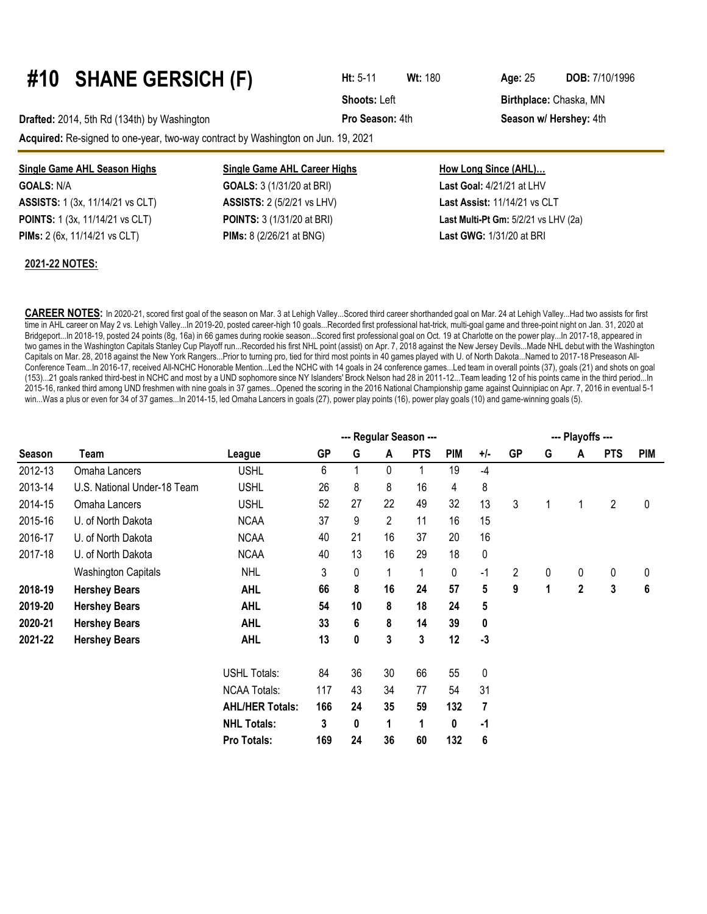# **#10 SHANE GERSICH (F) Ht:** 5-11 **Wt:**<sup>180</sup> **Age:**<sup>25</sup> **DOB:** 7/10/1996

**Drafted:** 2014, 5th Rd (134th) by Washington **Pro Season:** 4th **Season w/ Hershey:** 4th

**Acquired:** Re-signed to one-year, two-way contract by Washington on Jun. 19, 2021

#### **Single Game AHL Season Highs Single Game AHL Career Highs How Long Since (AHL)… GOALS:** N/A **GOALS:** 3 (1/31/20 at BRI) **Last Goal:** 4/21/21 at LHV **ASSISTS:** 1 (3x, 11/14/21 vs CLT) **ASSISTS:** 2 (5/2/21 vs LHV) **Last Assist:** 11/14/21 vs CLT **POINTS:** 1 (3x, 11/14/21 vs CLT) **POINTS:** 3 (1/31/20 at BRI) **Last Multi-Pt Gm:** 5/2/21 vs LHV (2a)

**PIMs:** 2 (6x, 11/14/21 vs CLT) **PIMs:** 8 (2/26/21 at BNG) **Last GWG:** 1/31/20 at BRI

#### **2021-22 NOTES:**

**CAREER NOTES:** In 2020-21, scored first goal of the season on Mar. 3 at Lehigh Valley...Scored third career shorthanded goal on Mar. 24 at Lehigh Valley...Had two assists for first time in AHL career on May 2 vs. Lehigh Valley...In 2019-20, posted career-high 10 goals...Recorded first professional hat-trick, multi-goal game and three-point night on Jan. 31, 2020 at Bridgeport...In 2018-19, posted 24 points (8g, 16a) in 66 games during rookie season...Scored first professional goal on Oct. 19 at Charlotte on the power play...In 2017-18, appeared in two games in the Washington Capitals Stanley Cup Playoff run...Recorded his first NHL point (assist) on Apr. 7, 2018 against the New Jersey Devils...Made NHL debut with the Washington Capitals on Mar. 28, 2018 against the New York Rangers...Prior to turning pro, tied for third most points in 40 games played with U. of North Dakota...Named to 2017-18 Preseason All-Conference Team...In 2016-17, received All-NCHC Honorable Mention...Led the NCHC with 14 goals in 24 conference games...Led team in overall points (37), goals (21) and shots on goal (153)...21 goals ranked third-best in NCHC and most by a UND sophomore since NY Islanders' Brock Nelson had 28 in 2011-12...Team leading 12 of his points came in the third period...In 2015-16, ranked third among UND freshmen with nine goals in 37 games...Opened the scoring in the 2016 National Championship game against Quinnipiac on Apr. 7, 2016 in eventual 5-1 win...Was a plus or even for 34 of 37 games...In 2014-15, led Omaha Lancers in goals (27), power play points (16), power play goals (10) and game-winning goals (5).

|         |                             |                        |           |    |                | --- Regular Season --- |            |       |                |   | --- Playoffs --- |                |            |
|---------|-----------------------------|------------------------|-----------|----|----------------|------------------------|------------|-------|----------------|---|------------------|----------------|------------|
| Season  | Team                        | League                 | <b>GP</b> | G  | A              | <b>PTS</b>             | <b>PIM</b> | $+/-$ | <b>GP</b>      | G | A                | <b>PTS</b>     | <b>PIM</b> |
| 2012-13 | Omaha Lancers               | <b>USHL</b>            | 6         |    | 0              |                        | 19         | -4    |                |   |                  |                |            |
| 2013-14 | U.S. National Under-18 Team | <b>USHL</b>            | 26        | 8  | 8              | 16                     | 4          | 8     |                |   |                  |                |            |
| 2014-15 | Omaha Lancers               | <b>USHL</b>            | 52        | 27 | 22             | 49                     | 32         | 13    | 3              |   |                  | $\overline{2}$ | 0          |
| 2015-16 | U. of North Dakota          | <b>NCAA</b>            | 37        | 9  | $\overline{2}$ | 11                     | 16         | 15    |                |   |                  |                |            |
| 2016-17 | U. of North Dakota          | <b>NCAA</b>            | 40        | 21 | 16             | 37                     | 20         | 16    |                |   |                  |                |            |
| 2017-18 | U. of North Dakota          | <b>NCAA</b>            | 40        | 13 | 16             | 29                     | 18         | 0     |                |   |                  |                |            |
|         | <b>Washington Capitals</b>  | <b>NHL</b>             | 3         | 0  |                | $\mathbf{1}$           | 0          | $-1$  | $\overline{2}$ | 0 | 0                | 0              | 0          |
| 2018-19 | <b>Hershey Bears</b>        | <b>AHL</b>             | 66        | 8  | 16             | 24                     | 57         | 5     | 9              | 1 | $\overline{2}$   | 3              | 6          |
| 2019-20 | <b>Hershey Bears</b>        | <b>AHL</b>             | 54        | 10 | 8              | 18                     | 24         | 5     |                |   |                  |                |            |
| 2020-21 | <b>Hershey Bears</b>        | <b>AHL</b>             | 33        | 6  | 8              | 14                     | 39         | 0     |                |   |                  |                |            |
| 2021-22 | <b>Hershey Bears</b>        | <b>AHL</b>             | 13        | 0  | 3              | 3                      | 12         | $-3$  |                |   |                  |                |            |
|         |                             | <b>USHL Totals:</b>    | 84        | 36 | 30             | 66                     | 55         | 0     |                |   |                  |                |            |
|         |                             | <b>NCAA Totals:</b>    | 117       | 43 | 34             | 77                     | 54         | 31    |                |   |                  |                |            |
|         |                             | <b>AHL/HER Totals:</b> | 166       | 24 | 35             | 59                     | 132        | 7     |                |   |                  |                |            |
|         |                             | <b>NHL Totals:</b>     | 3         | 0  | 1              | 1                      | 0          | -1    |                |   |                  |                |            |
|         |                             | <b>Pro Totals:</b>     | 169       | 24 | 36             | 60                     | 132        | 6     |                |   |                  |                |            |

**Shoots:** Left **Birthplace:** Chaska, MN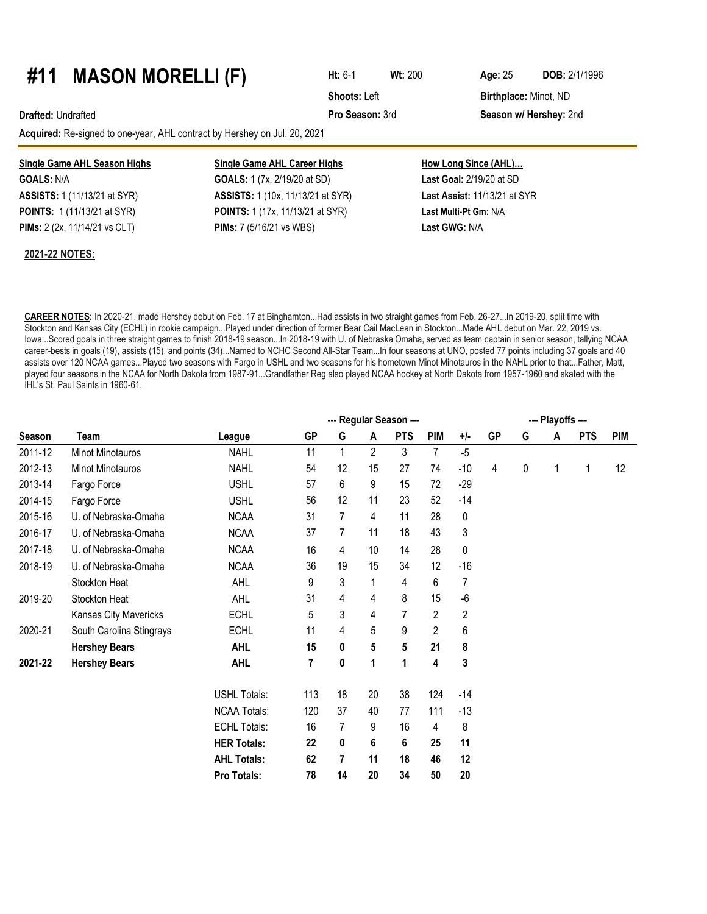### **#11 MASON MORELLI (F) Ht:** 6-1 **Wt:**<sup>200</sup> **Age:**<sup>25</sup> **DOB:** 2/1/1996

**Acquired:** Re-signed to one-year, AHL contract by Hershey on Jul. 20, 2021

#### **Single Game AHL Season Highs Single Game AHL Career Highs How Long Since (AHL)...**

**GOALS:** N/A **GOALS:** 1 (7x, 2/19/20 at SD) **Last Goal:** 2/19/20 at SD

**ASSISTS:** 1 (11/13/21 at SYR) **ASSISTS:** 1 (10x, 11/13/21 at SYR) **Last Assist:** 11/13/21 at SYR **POINTS:** 1 (11/13/21 at SYR) **POINTS:** 1 (17x, 11/13/21 at SYR) **Last Multi-Pt Gm:** N/A **PIMs:** 2 (2x, 11/14/21 vs CLT) **PIMs:** 7 (5/16/21 vs WBS) **Last GWG:** N/A

**Shoots: Left Birthplace: Minot, ND** 

**Drafted:** Undrafted **Pro Season:** 3rd **Season w/ Hershey:** 2nd

### **2021-22 NOTES:**

**CAREER NOTES:** In 2020-21, made Hershey debut on Feb. 17 at Binghamton...Had assists in two straight games from Feb. 26-27...In 2019-20, split time with Stockton and Kansas City (ECHL) in rookie campaign...Played under direction of former Bear Cail MacLean in Stockton...Made AHL debut on Mar. 22, 2019 vs. Iowa...Scored goals in three straight games to finish 2018-19 season...In 2018-19 with U. of Nebraska Omaha, served as team captain in senior season, tallying NCAA career-bests in goals (19), assists (15), and points (34)...Named to NCHC Second All-Star Team...In four seasons at UNO, posted 77 points including 37 goals and 40 assists over 120 NCAA games...Played two seasons with Fargo in USHL and two seasons for his hometown Minot Minotauros in the NAHL prior to that...Father, Matt, played four seasons in the NCAA for North Dakota from 1987-91...Grandfather Reg also played NCAA hockey at North Dakota from 1957-1960 and skated with the IHL's St. Paul Saints in 1960-61.

|               |                          | --- Regular Season --- |           |    |                |                         |                |                |           |   | --- Playoffs --- |            |            |  |  |  |
|---------------|--------------------------|------------------------|-----------|----|----------------|-------------------------|----------------|----------------|-----------|---|------------------|------------|------------|--|--|--|
| <b>Season</b> | Team                     | League                 | <b>GP</b> | G  | A              | <b>PTS</b>              | <b>PIM</b>     | $+/-$          | <b>GP</b> | G | A                | <b>PTS</b> | <b>PIM</b> |  |  |  |
| 2011-12       | Minot Minotauros         | <b>NAHL</b>            | 11        |    | $\overline{2}$ | 3                       | $\overline{7}$ | $-5$           |           |   |                  |            |            |  |  |  |
| 2012-13       | <b>Minot Minotauros</b>  | <b>NAHL</b>            | 54        | 12 | 15             | 27                      | 74             | $-10$          | 4         | 0 | 1                | 1          | 12         |  |  |  |
| 2013-14       | Fargo Force              | <b>USHL</b>            | 57        | 6  | 9              | 15                      | 72             | $-29$          |           |   |                  |            |            |  |  |  |
| 2014-15       | Fargo Force              | <b>USHL</b>            | 56        | 12 | 11             | 23                      | 52             | $-14$          |           |   |                  |            |            |  |  |  |
| 2015-16       | U. of Nebraska-Omaha     | <b>NCAA</b>            | 31        | 7  | 4              | 11                      | 28             | 0              |           |   |                  |            |            |  |  |  |
| 2016-17       | U. of Nebraska-Omaha     | <b>NCAA</b>            | 37        | 7  | 11             | 18                      | 43             | 3              |           |   |                  |            |            |  |  |  |
| 2017-18       | U. of Nebraska-Omaha     | <b>NCAA</b>            | 16        | 4  | 10             | 14                      | 28             | 0              |           |   |                  |            |            |  |  |  |
| 2018-19       | U. of Nebraska-Omaha     | <b>NCAA</b>            | 36        | 19 | 15             | 34                      | 12             | $-16$          |           |   |                  |            |            |  |  |  |
|               | Stockton Heat            | <b>AHL</b>             | 9         | 3  | 1              | 4                       | 6              | 7              |           |   |                  |            |            |  |  |  |
| 2019-20       | Stockton Heat            | <b>AHL</b>             | 31        | 4  | 4              | 8                       | 15             | $-6$           |           |   |                  |            |            |  |  |  |
|               | Kansas City Mavericks    | <b>ECHL</b>            | 5         | 3  | 4              | $\overline{7}$          | $\overline{2}$ | $\overline{2}$ |           |   |                  |            |            |  |  |  |
| 2020-21       | South Carolina Stingrays | <b>ECHL</b>            | 11        | 4  | 5              | 9                       | $\overline{2}$ | 6              |           |   |                  |            |            |  |  |  |
|               | <b>Hershey Bears</b>     | <b>AHL</b>             | 15        | 0  | 5              | $\overline{\mathbf{5}}$ | 21             | 8              |           |   |                  |            |            |  |  |  |
| 2021-22       | <b>Hershey Bears</b>     | <b>AHL</b>             | 7         | 0  | 1              | 1                       | 4              | 3              |           |   |                  |            |            |  |  |  |
|               |                          | <b>USHL Totals:</b>    | 113       | 18 | 20             | 38                      | 124            | $-14$          |           |   |                  |            |            |  |  |  |
|               |                          | <b>NCAA Totals:</b>    | 120       | 37 | 40             | 77                      | 111            | $-13$          |           |   |                  |            |            |  |  |  |
|               |                          | <b>ECHL Totals:</b>    | 16        | 7  | 9              | 16                      | 4              | 8              |           |   |                  |            |            |  |  |  |
|               |                          | <b>HER Totals:</b>     | 22        | 0  | 6              | 6                       | 25             | 11             |           |   |                  |            |            |  |  |  |
|               |                          | <b>AHL Totals:</b>     | 62        | 7  | 11             | 18                      | 46             | 12             |           |   |                  |            |            |  |  |  |
|               |                          | Pro Totals:            | 78        | 14 | 20             | 34                      | 50             | 20             |           |   |                  |            |            |  |  |  |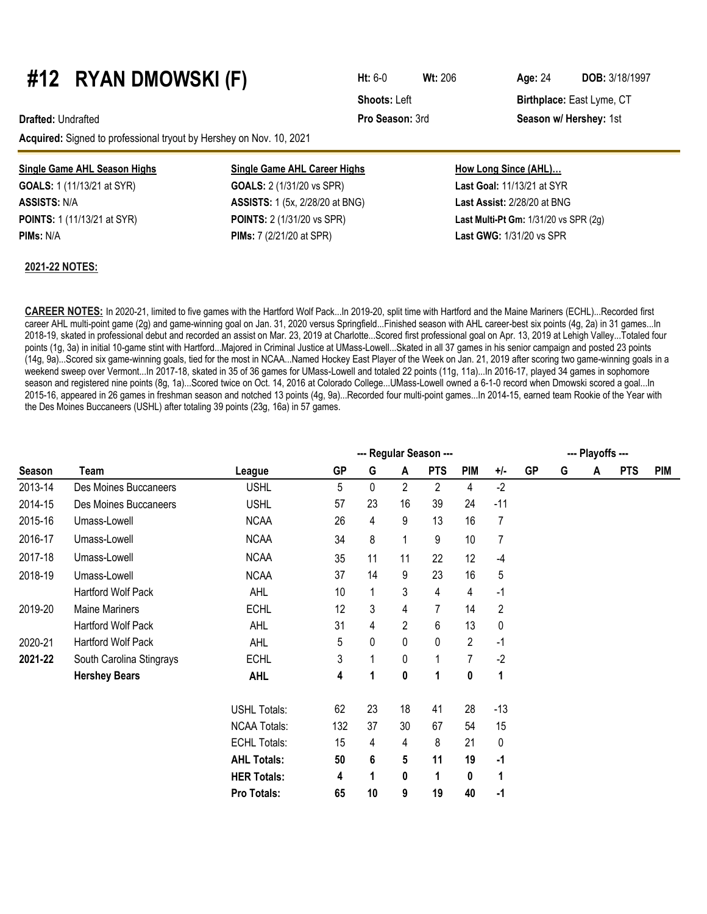# **#12 RYAN DMOWSKI (F) Ht:** 6-0 **Wt:**<sup>206</sup> **Age:**<sup>24</sup> **DOB:** 3/18/1997

**Acquired:** Signed to professional tryout by Hershey on Nov. 10, 2021

|  | Single Game AHL Season Highs |  |
|--|------------------------------|--|
|  |                              |  |

#### **2021-22 NOTES:**

**Single Game AHL Career Highs GOALS:** 1 (11/13/21 at SYR) **GOALS:** 2 (1/31/20 vs SPR) **ASSISTS:** N/A **ASSISTS:** 1 (5x, 2/28/20 at BNG) **Last Assist:** 2/28/20 at BNG **POINTS:** 1 (11/13/21 at SYR) **POINTS:** 2 (1/31/20 vs SPR) **Last Multi-Pt Gm:** 1/31/20 vs SPR (2g) **PIMs:** N/A **PIMs:** 7 (2/21/20 at SPR) **Last GWG:** 1/31/20 vs SPR

| How Long Since (AHL)              |
|-----------------------------------|
| <b>Last Goal: 11/13/21 at SYR</b> |
| Last Assist: 2/28/20 at BNG       |
| Les Multi Dt Cas, 1/24/20 us CDD  |

**CAREER NOTES:** In 2020-21, limited to five games with the Hartford Wolf Pack...In 2019-20, split time with Hartford and the Maine Mariners (ECHL)...Recorded first career AHL multi-point game (2g) and game-winning goal on Jan. 31, 2020 versus Springfield...Finished season with AHL career-best six points (4g, 2a) in 31 games...In 2018-19, skated in professional debut and recorded an assist on Mar. 23, 2019 at Charlotte...Scored first professional goal on Apr. 13, 2019 at Lehigh Valley...Totaled four points (1g, 3a) in initial 10-game stint with Hartford...Majored in Criminal Justice at UMass-Lowell...Skated in all 37 games in his senior campaign and posted 23 points (14g, 9a)...Scored six game-winning goals, tied for the most in NCAA...Named Hockey East Player of the Week on Jan. 21, 2019 after scoring two game-winning goals in a weekend sweep over Vermont...In 2017-18, skated in 35 of 36 games for UMass-Lowell and totaled 22 points (11g, 11a)...In 2016-17, played 34 games in sophomore season and registered nine points (8g, 1a)...Scored twice on Oct. 14, 2016 at Colorado College...UMass-Lowell owned a 6-1-0 record when Dmowski scored a goal...In 2015-16, appeared in 26 games in freshman season and notched 13 points (4g, 9a)...Recorded four multi-point games...In 2014-15, earned team Rookie of the Year with the Des Moines Buccaneers (USHL) after totaling 39 points (23g, 16a) in 57 games.

|         |                          |                     |           | --- Playoffs --- |    |              |            |                |           |   |   |            |            |
|---------|--------------------------|---------------------|-----------|------------------|----|--------------|------------|----------------|-----------|---|---|------------|------------|
| Season  | Team                     | League              | <b>GP</b> | G                | A  | <b>PTS</b>   | <b>PIM</b> | +/-            | <b>GP</b> | G | Α | <b>PTS</b> | <b>PIM</b> |
| 2013-14 | Des Moines Buccaneers    | <b>USHL</b>         | 5         | 0                | 2  | 2            | 4          | $-2$           |           |   |   |            |            |
| 2014-15 | Des Moines Buccaneers    | <b>USHL</b>         | 57        | 23               | 16 | 39           | 24         | $-11$          |           |   |   |            |            |
| 2015-16 | Umass-Lowell             | <b>NCAA</b>         | 26        | 4                | 9  | 13           | 16         | 7              |           |   |   |            |            |
| 2016-17 | Umass-Lowell             | <b>NCAA</b>         | 34        | 8                | 1  | 9            | 10         | 7              |           |   |   |            |            |
| 2017-18 | Umass-Lowell             | <b>NCAA</b>         | 35        | 11               | 11 | 22           | 12         | $-4$           |           |   |   |            |            |
| 2018-19 | Umass-Lowell             | <b>NCAA</b>         | 37        | 14               | 9  | 23           | 16         | 5              |           |   |   |            |            |
|         | Hartford Wolf Pack       | <b>AHL</b>          | 10        | 1                | 3  | 4            | 4          | $-1$           |           |   |   |            |            |
| 2019-20 | <b>Maine Mariners</b>    | <b>ECHL</b>         | 12        | 3                | 4  |              | 14         | $\overline{c}$ |           |   |   |            |            |
|         | Hartford Wolf Pack       | <b>AHL</b>          | 31        | 4                | 2  | 6            | 13         | 0              |           |   |   |            |            |
| 2020-21 | Hartford Wolf Pack       | <b>AHL</b>          | 5         | 0                | 0  | $\mathbf{0}$ | 2          | $-1$           |           |   |   |            |            |
| 2021-22 | South Carolina Stingrays | <b>ECHL</b>         | 3         | 1                | 0  |              | 7          | $-2$           |           |   |   |            |            |
|         | <b>Hershey Bears</b>     | <b>AHL</b>          | 4         | 1                | 0  | 1            | 0          | 1              |           |   |   |            |            |
|         |                          | <b>USHL Totals:</b> | 62        | 23               | 18 | 41           | 28         | $-13$          |           |   |   |            |            |
|         |                          | <b>NCAA Totals:</b> | 132       | 37               | 30 | 67           | 54         | 15             |           |   |   |            |            |
|         |                          | <b>ECHL Totals:</b> | 15        | 4                | 4  | 8            | 21         | 0              |           |   |   |            |            |
|         |                          | <b>AHL Totals:</b>  | 50        | 6                | 5  | 11           | 19         | $-1$           |           |   |   |            |            |
|         |                          | <b>HER Totals:</b>  | 4         | 1                | 0  | 1            | 0          | 1              |           |   |   |            |            |
|         |                          | Pro Totals:         | 65        | 10               | 9  | 19           | 40         | $-1$           |           |   |   |            |            |

**Shoots: Left Birthplace: East Lyme, CT** 

**Drafted:** Undrafted **Pro Season:** 3rd **Season w/ Hershey:** 1st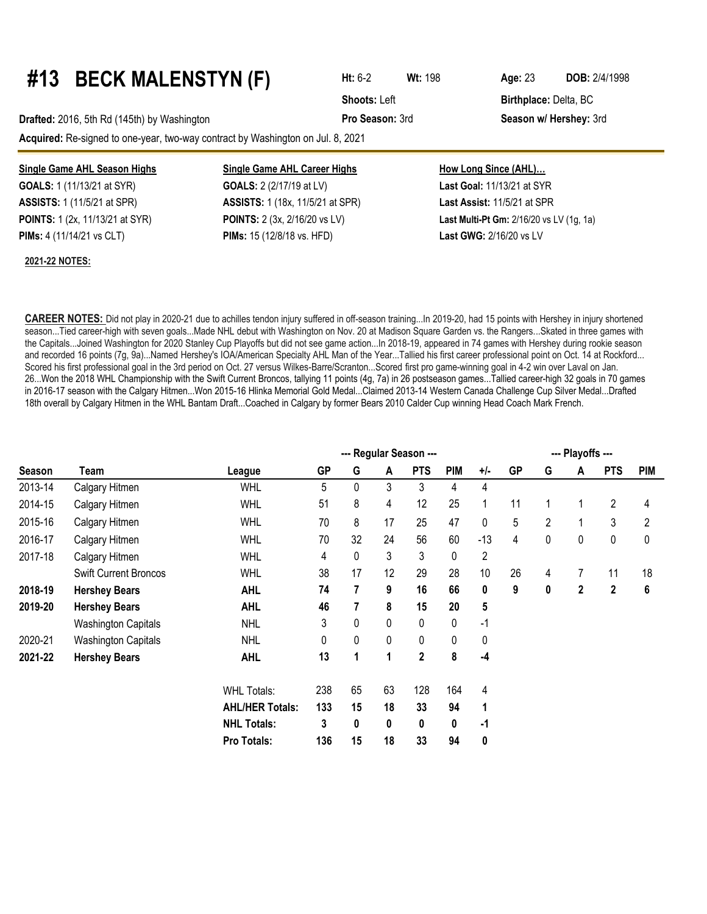# **#13 BECK MALENSTYN (F) Ht:** 6-2 **Wt:**<sup>198</sup> **Age:**<sup>23</sup> **DOB:** 2/4/1998

**Drafted:** 2016, 5th Rd (145th) by Washington **Pro Season:** 3rd **Season w/ Hershey:** 3rd

**Acquired:** Re-signed to one-year, two-way contract by Washington on Jul. 8, 2021

**GOALS:** 1 (11/13/21 at SYR) **GOALS:** 2 (2/17/19 at LV) **Last Goal:** 11/13/21 at SYR

#### **2021-22 NOTES:**

### **Single Game AHL Season Highs Single Game AHL Career Highs How Long Since (AHL)...**

**ASSISTS:** 1 (11/5/21 at SPR) **ASSISTS:** 1 (18x, 11/5/21 at SPR) **Last Assist:** 11/5/21 at SPR **PIMs:** 4 (11/14/21 vs CLT) **PIMs:** 15 (12/8/18 vs. HFD) **Last GWG:** 2/16/20 vs LV

**POINTS:** 1 (2x, 11/13/21 at SYR) **POINTS:** 2 (3x, 2/16/20 vs LV) **Last Multi-Pt Gm:** 2/16/20 vs LV (1g, 1a)

**CAREER NOTES:** Did not play in 2020-21 due to achilles tendon injury suffered in off-season training...In 2019-20, had 15 points with Hershey in injury shortened season...Tied career-high with seven goals...Made NHL debut with Washington on Nov. 20 at Madison Square Garden vs. the Rangers...Skated in three games with the Capitals...Joined Washington for 2020 Stanley Cup Playoffs but did not see game action...In 2018-19, appeared in 74 games with Hershey during rookie season and recorded 16 points (7g, 9a)...Named Hershey's IOA/American Specialty AHL Man of the Year...Tallied his first career professional point on Oct. 14 at Rockford... Scored his first professional goal in the 3rd period on Oct. 27 versus Wilkes-Barre/Scranton...Scored first pro game-winning goal in 4-2 win over Laval on Jan. 26...Won the 2018 WHL Championship with the Swift Current Broncos, tallying 11 points (4g, 7a) in 26 postseason games...Tallied career-high 32 goals in 70 games in 2016-17 season with the Calgary Hitmen...Won 2015-16 Hlinka Memorial Gold Medal...Claimed 2013-14 Western Canada Challenge Cup Silver Medal...Drafted 18th overall by Calgary Hitmen in the WHL Bantam Draft...Coached in Calgary by former Bears 2010 Calder Cup winning Head Coach Mark French.

|               |                              |                        | --- Regular Season --- |    |    |                         |            |                |           |                | --- Playoffs --- |             |                |
|---------------|------------------------------|------------------------|------------------------|----|----|-------------------------|------------|----------------|-----------|----------------|------------------|-------------|----------------|
| <b>Season</b> | Team                         | League                 | <b>GP</b>              | G  | A  | <b>PTS</b>              | <b>PIM</b> | +/-            | <b>GP</b> | G              | A                | <b>PTS</b>  | <b>PIM</b>     |
| 2013-14       | Calgary Hitmen               | <b>WHL</b>             | 5                      | 0  | 3  | 3                       | 4          | 4              |           |                |                  |             |                |
| 2014-15       | Calgary Hitmen               | <b>WHL</b>             | 51                     | 8  | 4  | 12                      | 25         | 1              | 11        |                |                  | 2           | 4              |
| 2015-16       | Calgary Hitmen               | <b>WHL</b>             | 70                     | 8  | 17 | 25                      | 47         | 0              | 5         | $\overline{2}$ | 1                | 3           | $\overline{2}$ |
| 2016-17       | Calgary Hitmen               | <b>WHL</b>             | 70                     | 32 | 24 | 56                      | 60         | $-13$          | 4         | 0              | 0                | 0           | 0              |
| 2017-18       | Calgary Hitmen               | <b>WHL</b>             | 4                      | 0  | 3  | 3                       | 0          | $\overline{c}$ |           |                |                  |             |                |
|               | <b>Swift Current Broncos</b> | <b>WHL</b>             | 38                     | 17 | 12 | 29                      | 28         | 10             | 26        | 4              | $\overline{7}$   | 11          | 18             |
| 2018-19       | <b>Hershey Bears</b>         | <b>AHL</b>             | 74                     | 7  | 9  | 16                      | 66         | 0              | 9         | 0              | 2                | $\mathbf 2$ | 6              |
| 2019-20       | <b>Hershey Bears</b>         | <b>AHL</b>             | 46                     |    | 8  | 15                      | 20         | 5              |           |                |                  |             |                |
|               | <b>Washington Capitals</b>   | <b>NHL</b>             | 3                      | 0  | 0  | 0                       | 0          | $-1$           |           |                |                  |             |                |
| 2020-21       | <b>Washington Capitals</b>   | <b>NHL</b>             | 0                      | 0  | 0  | 0                       | 0          | 0              |           |                |                  |             |                |
| 2021-22       | <b>Hershey Bears</b>         | <b>AHL</b>             | 13                     | 1  | 1  | $\overline{\mathbf{c}}$ | 8          | -4             |           |                |                  |             |                |
|               |                              | <b>WHL Totals:</b>     | 238                    | 65 | 63 | 128                     | 164        | 4              |           |                |                  |             |                |
|               |                              | <b>AHL/HER Totals:</b> | 133                    | 15 | 18 | 33                      | 94         | $\mathbf 1$    |           |                |                  |             |                |
|               |                              | <b>NHL Totals:</b>     | 3                      | 0  | 0  | 0                       | 0          | $-1$           |           |                |                  |             |                |
|               |                              | Pro Totals:            | 136                    | 15 | 18 | 33                      | 94         | 0              |           |                |                  |             |                |

**Shoots:** Left **Birthplace:** Delta, BC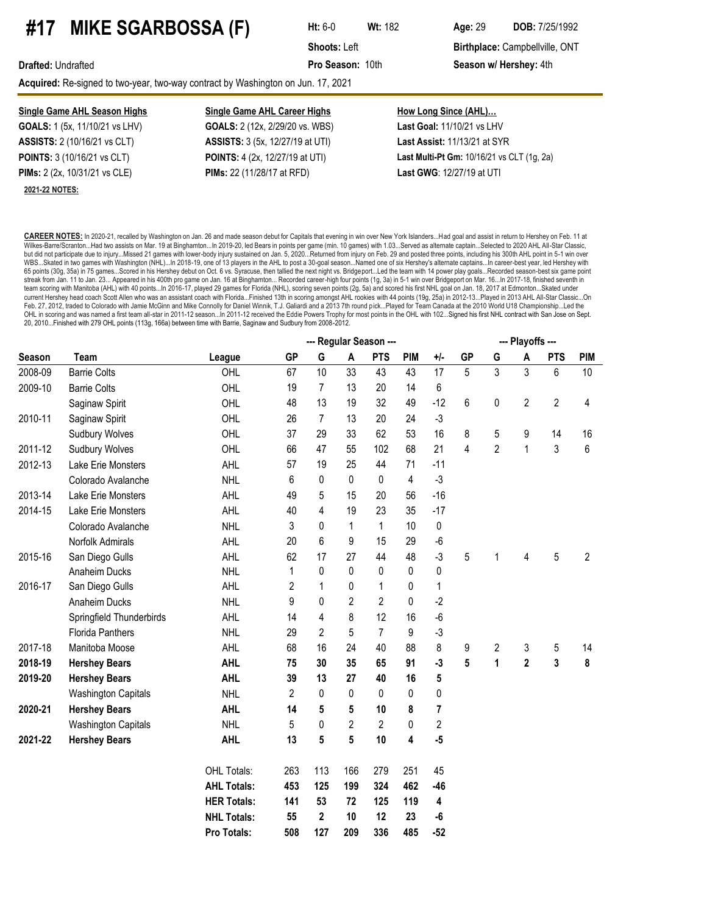## **#17 MIKE SGARBOSSA (F) Ht:** 6-0 **Wt:**<sup>182</sup> **Age:**<sup>29</sup> **DOB:** 7/25/1992

**Shoots:** Left **Birthplace:** Campbellville, ONT

**Drafted:** Undrafted **Pro Season:** 10th **Season w/ Hershey:** 4th

Acquired: Re-signed to two-year, two-way contract by Washington on Jun. 17, 2021

#### **Single Game AHL Season Highs Single Game AHL Career Highs How Long Since (AHL)... GOALS:** 1 (5x, 11/10/21 vs LHV) **GOALS:** 2 (12x, 2/29/20 vs. WBS) **Last Goal:** 11/10/21 vs LHV **ASSISTS:** 2 (10/16/21 vs CLT) **ASSISTS:** 3 (5x, 12/27/19 at UTI) **Last Assist:** 11/13/21 at SYR **POINTS:** 3 (10/16/21 vs CLT) **POINTS:** 4 (2x, 12/27/19 at UTI) **Last Multi-Pt Gm:** 10/16/21 vs CLT (1g, 2a)

**2021-22 NOTES:**

# **PIMs:** 2 (2x, 10/31/21 vs CLE) **PIMs:** 22 (11/28/17 at RFD) **Last GWG**: 12/27/19 at UTI

**CAREER NOTES:** In 2020-21, recalled by Washington on Jan. 26 and made season debut for Capitals that evening in win over New York Islanders...Had goal and assist in return to Hershey on Feb. 11 at Wilkes-Barre/Scranton...Had two assists on Mar. 19 at Binghamton...In 2019-20, led Bears in points per game (min. 10 games) with 1.03...Served as alternate captain...Selected to 2020 AHL All-Star Classic, but did not participate due to injury...Missed 21 games with lower-body injury sustained on Jan. 5, 2020...Returned from injury on Feb. 29 and posted three points, including his 300th AHL point in 5-1 win over WBS...Skated in two games with Washington (NHL)...In 2018-19, one of 13 players in the AHL to post a 30-goal season...Named one of six Hershey's alternate captains...In career-best year, led Hershey with 65 points (30g, 35a) in 75 games...Scored in his Hershey debut on Oct. 6 vs. Syracuse, then tallied the next night vs. Bridgeport...Led the team with 14 power play goals...Recorded season-best six game point streak from Jan. 11 to Jan. 23... Appeared in his 400th pro game on Jan. 16 at Binghamton... Recorded career-high four points (1g, 3a) in 5-1 win over Bridgeport on Mar. 16...In 2017-18, finished seventh in team scoring with Manitoba (AHL) with 40 points...In 2016-17, played 29 games for Florida (NHL), scoring seven points (2g, 5a) and scored his first NHL goal on Jan. 18, 2017 at Edmonton...Skated under current Hershey head coach Scott Allen who was an assistant coach with Florida...Finished 13th in scoring amongst AHL rookies with 44 points (19g, 25a) in 2012-13...Played in 2013 AHL All-Star Classic...On Feb. 27, 2012, traded to Colorado with Jamie McGinn and Mike Connolly for Daniel Winnik, T.J. Galiardi and a 2013 7th round pick...Played for Team Canada at the 2010 World U18 Championship...Led the OHL in scoring and was named a first team all-star in 2011-12 season...In 2011-12 received the Eddie Powers Trophy for most points in the OHL with 102...Signed his first NHL contract with San Jose on Sept. 20, 2010...Finished with 279 OHL points (113g, 166a) between time with Barrie, Saginaw and Sudbury from 2008-2012.

|         |                            |                    |                | --- Playoffs --- |                |                |            |                         |                |                |                         |                         |                |
|---------|----------------------------|--------------------|----------------|------------------|----------------|----------------|------------|-------------------------|----------------|----------------|-------------------------|-------------------------|----------------|
| Season  | Team                       | League             | <b>GP</b>      | G                | A              | <b>PTS</b>     | <b>PIM</b> | $+/-$                   | <b>GP</b>      | G              | A                       | <b>PTS</b>              | <b>PIM</b>     |
| 2008-09 | <b>Barrie Colts</b>        | OHL                | 67             | 10               | 33             | 43             | 43         | 17                      | 5              | 3              | 3                       | 6                       | 10             |
| 2009-10 | <b>Barrie Colts</b>        | OHL                | 19             | $\overline{7}$   | 13             | 20             | 14         | 6                       |                |                |                         |                         |                |
|         | Saginaw Spirit             | OHL                | 48             | 13               | 19             | 32             | 49         | $-12$                   | 6              | $\pmb{0}$      | $\overline{2}$          | $\overline{c}$          | 4              |
| 2010-11 | Saginaw Spirit             | OHL                | 26             | $\overline{7}$   | 13             | 20             | 24         | $-3$                    |                |                |                         |                         |                |
|         | <b>Sudbury Wolves</b>      | OHL                | 37             | 29               | 33             | 62             | 53         | 16                      | 8              | 5              | 9                       | 14                      | 16             |
| 2011-12 | <b>Sudbury Wolves</b>      | OHL                | 66             | 47               | 55             | 102            | 68         | 21                      | $\overline{4}$ | $\overline{2}$ | $\mathbf{1}$            | 3                       | 6              |
| 2012-13 | Lake Erie Monsters         | AHL                | 57             | 19               | 25             | 44             | 71         | $-11$                   |                |                |                         |                         |                |
|         | Colorado Avalanche         | <b>NHL</b>         | 6              | 0                | 0              | 0              | 4          | $-3$                    |                |                |                         |                         |                |
| 2013-14 | Lake Erie Monsters         | <b>AHL</b>         | 49             | 5                | 15             | 20             | 56         | $-16$                   |                |                |                         |                         |                |
| 2014-15 | Lake Erie Monsters         | AHL                | 40             | 4                | 19             | 23             | 35         | $-17$                   |                |                |                         |                         |                |
|         | Colorado Avalanche         | <b>NHL</b>         | 3              | 0                | 1              | 1              | 10         | 0                       |                |                |                         |                         |                |
|         | Norfolk Admirals           | AHL                | 20             | 6                | 9              | 15             | 29         | $-6$                    |                |                |                         |                         |                |
| 2015-16 | San Diego Gulls            | AHL                | 62             | 17               | 27             | 44             | 48         | $-3$                    | 5              | 1              | 4                       | 5                       | $\overline{2}$ |
|         | Anaheim Ducks              | <b>NHL</b>         | 1              | 0                | 0              | 0              | 0          | 0                       |                |                |                         |                         |                |
| 2016-17 | San Diego Gulls            | AHL                | 2              | 1                | 0              | 1              | 0          | 1                       |                |                |                         |                         |                |
|         | Anaheim Ducks              | <b>NHL</b>         | 9              | 0                | $\overline{2}$ | 2              | 0          | $-2$                    |                |                |                         |                         |                |
|         | Springfield Thunderbirds   | <b>AHL</b>         | 14             | 4                | 8              | 12             | 16         | $-6$                    |                |                |                         |                         |                |
|         | <b>Florida Panthers</b>    | <b>NHL</b>         | 29             | $\overline{2}$   | 5              | 7              | 9          | $-3$                    |                |                |                         |                         |                |
| 2017-18 | Manitoba Moose             | AHL                | 68             | 16               | 24             | 40             | 88         | 8                       | 9              | 2              | 3                       | 5                       | 14             |
| 2018-19 | <b>Hershey Bears</b>       | <b>AHL</b>         | 75             | 30               | 35             | 65             | 91         | $-3$                    | 5              | 1              | $\overline{\mathbf{c}}$ | $\overline{\mathbf{3}}$ | 8              |
| 2019-20 | <b>Hershey Bears</b>       | <b>AHL</b>         | 39             | 13               | 27             | 40             | 16         | 5                       |                |                |                         |                         |                |
|         | <b>Washington Capitals</b> | <b>NHL</b>         | $\overline{2}$ | 0                | 0              | 0              | 0          | 0                       |                |                |                         |                         |                |
| 2020-21 | <b>Hershey Bears</b>       | <b>AHL</b>         | 14             | 5                | 5              | 10             | 8          | 7                       |                |                |                         |                         |                |
|         | <b>Washington Capitals</b> | <b>NHL</b>         | 5              | 0                | $\overline{2}$ | $\overline{2}$ | 0          | $\overline{\mathbf{c}}$ |                |                |                         |                         |                |
| 2021-22 | <b>Hershey Bears</b>       | <b>AHL</b>         | 13             | 5                | 5              | 10             | 4          | $-5$                    |                |                |                         |                         |                |
|         |                            | OHL Totals:        | 263            | 113              | 166            | 279            | 251        | 45                      |                |                |                         |                         |                |
|         |                            | <b>AHL Totals:</b> | 453            | 125              | 199            | 324            | 462        | $-46$                   |                |                |                         |                         |                |
|         |                            | <b>HER Totals:</b> | 141            | 53               | 72             | 125            | 119        | 4                       |                |                |                         |                         |                |
|         |                            | <b>NHL Totals:</b> | 55             | 2                | 10             | 12             | 23         | -6                      |                |                |                         |                         |                |
|         |                            | Pro Totals:        | 508            | 127              | 209            | 336            | 485        | $-52$                   |                |                |                         |                         |                |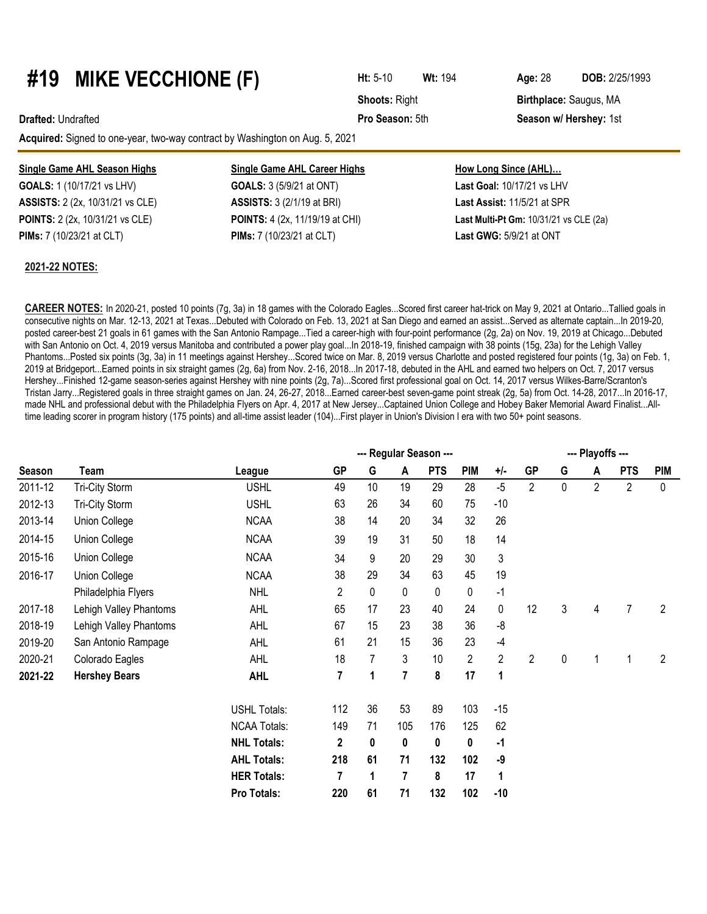### **#19 MIKE VECCHIONE (F) Ht:** 5-10 **Wt:**<sup>194</sup> **Age:**<sup>28</sup> **DOB:** 2/25/1993

**Drafted:** Undrafted **Pro Season:** 5th **Season w/ Hershey:** 1st

**Acquired:** Signed to one-year, two-way contract by Washington on Aug. 5, 2021

#### **Single Game AHL Season Highs Single Game AHL Career Highs**

**GOALS:** 1 (10/17/21 vs LHV) **GOALS:** 3 (5/9/21 at ONT) **ASSISTS:** 2 (2x, 10/31/21 vs CLE) **ASSISTS:** 3 (2/1/19 at BRI) **POINTS:** 2 (2x, 10/31/21 vs CLE) **POINTS:** 4 (2x, 11/19/19 at CHI) **Last Multi-Pt Gm:** 10/31/21 vs CLE (2a) **PIMs:** 7 (10/23/21 at CLT) **PIMs:** 7 (10/23/21 at CLT) **Last GWG:** 5/9/21 at ONT

#### **2021-22 NOTES:**

| How Long Since (AHL)        |  |
|-----------------------------|--|
| Last Goal: 10/17/21 vs LHV  |  |
| Last Assist: 11/5/21 at SPR |  |

**CAREER NOTES:** In 2020-21, posted 10 points (7g, 3a) in 18 games with the Colorado Eagles...Scored first career hat-trick on May 9, 2021 at Ontario...Tallied goals in consecutive nights on Mar. 12-13, 2021 at Texas...Debuted with Colorado on Feb. 13, 2021 at San Diego and earned an assist...Served as alternate captain...In 2019-20, posted career-best 21 goals in 61 games with the San Antonio Rampage...Tied a career-high with four-point performance (2g, 2a) on Nov. 19, 2019 at Chicago...Debuted with San Antonio on Oct. 4, 2019 versus Manitoba and contributed a power play goal...In 2018-19, finished campaign with 38 points (15g, 23a) for the Lehigh Valley Phantoms...Posted six points (3g, 3a) in 11 meetings against Hershey...Scored twice on Mar. 8, 2019 versus Charlotte and posted registered four points (1g, 3a) on Feb. 1, 2019 at Bridgeport...Earned points in six straight games (2g, 6a) from Nov. 2-16, 2018...In 2017-18, debuted in the AHL and earned two helpers on Oct. 7, 2017 versus Hershey...Finished 12-game season-series against Hershey with nine points (2g, 7a)...Scored first professional goal on Oct. 14, 2017 versus Wilkes-Barre/Scranton's Tristan Jarry...Registered goals in three straight games on Jan. 24, 26-27, 2018...Earned career-best seven-game point streak (2g, 5a) from Oct. 14-28, 2017...In 2016-17, made NHL and professional debut with the Philadelphia Flyers on Apr. 4, 2017 at New Jersey...Captained Union College and Hobey Baker Memorial Award Finalist...Alltime leading scorer in program history (175 points) and all-time assist leader (104)...First player in Union's Division I era with two 50+ point seasons.

|         |                        |                     |                |    |                | --- Regular Season --- |            |              |                |           | --- Playoffs --- |                |                |
|---------|------------------------|---------------------|----------------|----|----------------|------------------------|------------|--------------|----------------|-----------|------------------|----------------|----------------|
| Season  | Team                   | League              | <b>GP</b>      | G  | A              | <b>PTS</b>             | <b>PIM</b> | $+/-$        | <b>GP</b>      | G         | A                | <b>PTS</b>     | <b>PIM</b>     |
| 2011-12 | Tri-City Storm         | <b>USHL</b>         | 49             | 10 | 19             | 29                     | 28         | $-5$         | 2              | 0         | $\overline{2}$   | 2              | $\mathbf{0}$   |
| 2012-13 | Tri-City Storm         | <b>USHL</b>         | 63             | 26 | 34             | 60                     | 75         | $-10$        |                |           |                  |                |                |
| 2013-14 | Union College          | <b>NCAA</b>         | 38             | 14 | 20             | 34                     | 32         | 26           |                |           |                  |                |                |
| 2014-15 | Union College          | <b>NCAA</b>         | 39             | 19 | 31             | 50                     | 18         | 14           |                |           |                  |                |                |
| 2015-16 | Union College          | <b>NCAA</b>         | 34             | 9  | 20             | 29                     | 30         | 3            |                |           |                  |                |                |
| 2016-17 | Union College          | <b>NCAA</b>         | 38             | 29 | 34             | 63                     | 45         | 19           |                |           |                  |                |                |
|         | Philadelphia Flyers    | <b>NHL</b>          | $\overline{2}$ | 0  | 0              | 0                      | 0          | $-1$         |                |           |                  |                |                |
| 2017-18 | Lehigh Valley Phantoms | <b>AHL</b>          | 65             | 17 | 23             | 40                     | 24         | $\pmb{0}$    | 12             | 3         | 4                | $\overline{7}$ | $\overline{2}$ |
| 2018-19 | Lehigh Valley Phantoms | <b>AHL</b>          | 67             | 15 | 23             | 38                     | 36         | -8           |                |           |                  |                |                |
| 2019-20 | San Antonio Rampage    | <b>AHL</b>          | 61             | 21 | 15             | 36                     | 23         | $-4$         |                |           |                  |                |                |
| 2020-21 | Colorado Eagles        | AHL                 | 18             | 7  | 3              | 10                     | 2          | $\mathbf{2}$ | $\overline{2}$ | $\pmb{0}$ |                  | 1              | $\overline{2}$ |
| 2021-22 | <b>Hershey Bears</b>   | <b>AHL</b>          | 7              | 1  | $\overline{7}$ | 8                      | 17         | 1            |                |           |                  |                |                |
|         |                        | <b>USHL Totals:</b> | 112            | 36 | 53             | 89                     | 103        | $-15$        |                |           |                  |                |                |
|         |                        | <b>NCAA Totals:</b> | 149            | 71 | 105            | 176                    | 125        | 62           |                |           |                  |                |                |
|         |                        | <b>NHL Totals:</b>  | 2              | 0  | 0              | 0                      | 0          | -1           |                |           |                  |                |                |
|         |                        | <b>AHL Totals:</b>  | 218            | 61 | 71             | 132                    | 102        | -9           |                |           |                  |                |                |
|         |                        | <b>HER Totals:</b>  | 7              | 1  | 7              | 8                      | 17         | 1            |                |           |                  |                |                |
|         |                        | Pro Totals:         | 220            | 61 | 71             | 132                    | 102        | $-10$        |                |           |                  |                |                |

**Shoots: Right <b>Birthplace:** Saugus, MA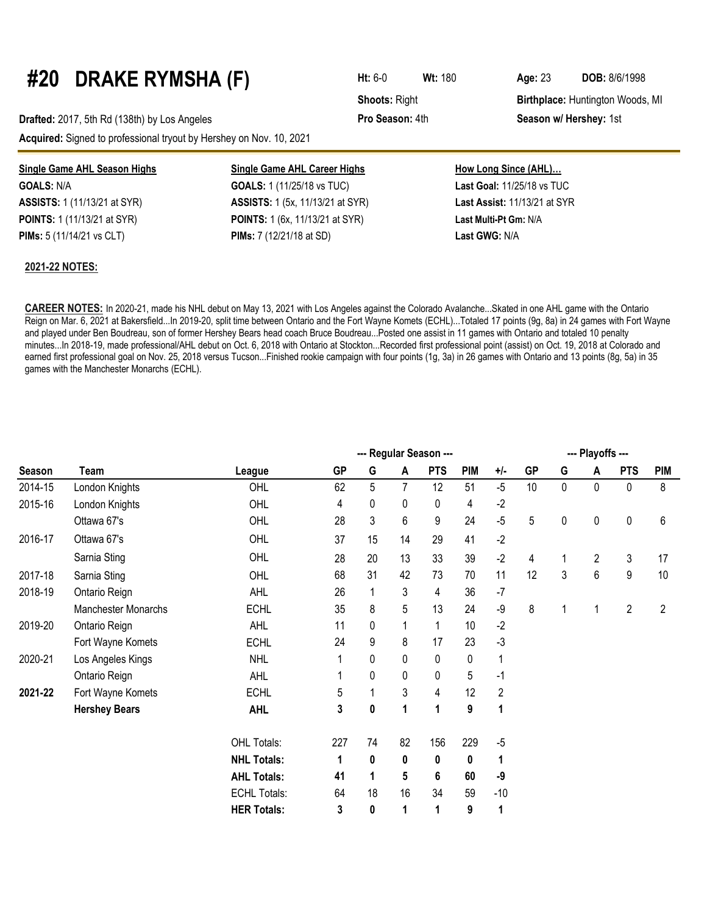# **#20 DRAKE RYMSHA (F) Ht:** 6-0 **Wt:**<sup>180</sup> **Age:**<sup>23</sup> **DOB:** 8/6/1998

**Drafted:** 2017, 5th Rd (138th) by Los Angeles **Pro Season:** 4th **Season w/ Hershey:** 1st **Acquired:** Signed to professional tryout by Hershey on Nov. 10, 2021

| Single Game AHL Season Highs        | <b>Single Game AHL Career Highs</b>     | How Long Since (AHL)              |
|-------------------------------------|-----------------------------------------|-----------------------------------|
| <b>GOALS:</b> N/A                   | <b>GOALS:</b> 1 (11/25/18 vs TUC)       | <b>Last Goal: 11/25/18 vs TUC</b> |
| <b>ASSISTS:</b> 1 (11/13/21 at SYR) | <b>ASSISTS:</b> 1 (5x, 11/13/21 at SYR) | Last Assist: 11/13/21 at SYR      |
| <b>POINTS:</b> 1 (11/13/21 at SYR)  | <b>POINTS:</b> 1 (6x, 11/13/21 at SYR)  | Last Multi-Pt Gm: N/A             |
| <b>PIMs:</b> 5 (11/14/21 vs CLT)    | <b>PIMs:</b> 7 (12/21/18 at SD)         | Last GWG: N/A                     |

#### **2021-22 NOTES:**

**CAREER NOTES:** In 2020-21, made his NHL debut on May 13, 2021 with Los Angeles against the Colorado Avalanche...Skated in one AHL game with the Ontario Reign on Mar. 6, 2021 at Bakersfield...In 2019-20, split time between Ontario and the Fort Wayne Komets (ECHL)...Totaled 17 points (9g, 8a) in 24 games with Fort Wayne and played under Ben Boudreau, son of former Hershey Bears head coach Bruce Boudreau...Posted one assist in 11 games with Ontario and totaled 10 penalty minutes...In 2018-19, made professional/AHL debut on Oct. 6, 2018 with Ontario at Stockton...Recorded first professional point (assist) on Oct. 19, 2018 at Colorado and earned first professional goal on Nov. 25, 2018 versus Tucson...Finished rookie campaign with four points (1g, 3a) in 26 games with Ontario and 13 points (8g, 5a) in 35 games with the Manchester Monarchs (ECHL).

|         |                      |                     |           |              |             | --- Regular Season --- |            |                |           |             | --- Playoffs --- |                |            |
|---------|----------------------|---------------------|-----------|--------------|-------------|------------------------|------------|----------------|-----------|-------------|------------------|----------------|------------|
| Season  | Team                 | League              | <b>GP</b> | G            | A           | <b>PTS</b>             | <b>PIM</b> | $+/-$          | <b>GP</b> | G           | A                | <b>PTS</b>     | <b>PIM</b> |
| 2014-15 | London Knights       | OHL                 | 62        | 5            | 7           | 12                     | 51         | $-5$           | 10        | $\mathbf 0$ | 0                | 0              | 8          |
| 2015-16 | London Knights       | OHL                 | 4         | 0            | 0           | 0                      | 4          | $-2$           |           |             |                  |                |            |
|         | Ottawa 67's          | OHL                 | 28        | 3            | 6           | 9                      | 24         | $-5$           | 5         | 0           | 0                | 0              | 6          |
| 2016-17 | Ottawa 67's          | OHL                 | 37        | 15           | 14          | 29                     | 41         | $-2$           |           |             |                  |                |            |
|         | Sarnia Sting         | OHL                 | 28        | 20           | 13          | 33                     | 39         | $-2$           | 4         | 1           | 2                | 3              | 17         |
| 2017-18 | Sarnia Sting         | OHL                 | 68        | 31           | 42          | 73                     | 70         | 11             | 12        | 3           | 6                | 9              | 10         |
| 2018-19 | Ontario Reign        | <b>AHL</b>          | 26        | $\mathbf{1}$ | 3           | 4                      | 36         | $-7$           |           |             |                  |                |            |
|         | Manchester Monarchs  | <b>ECHL</b>         | 35        | 8            | 5           | 13                     | 24         | $-9$           | 8         | 1           |                  | $\overline{2}$ | 2          |
| 2019-20 | Ontario Reign        | <b>AHL</b>          | 11        | 0            | 1           | 1                      | 10         | $-2$           |           |             |                  |                |            |
|         | Fort Wayne Komets    | <b>ECHL</b>         | 24        | 9            | 8           | 17                     | 23         | $-3$           |           |             |                  |                |            |
| 2020-21 | Los Angeles Kings    | <b>NHL</b>          | 1         | 0            | $\mathbf 0$ | 0                      | 0          | 1              |           |             |                  |                |            |
|         | Ontario Reign        | <b>AHL</b>          | 1         | 0            | 0           | 0                      | 5          | $-1$           |           |             |                  |                |            |
| 2021-22 | Fort Wayne Komets    | <b>ECHL</b>         | 5         | $\mathbf{1}$ | 3           | 4                      | 12         | $\overline{2}$ |           |             |                  |                |            |
|         | <b>Hershey Bears</b> | <b>AHL</b>          | 3         | 0            | 1           | 1                      | 9          | 1              |           |             |                  |                |            |
|         |                      | OHL Totals:         | 227       | 74           | 82          | 156                    | 229        | $-5$           |           |             |                  |                |            |
|         |                      | <b>NHL Totals:</b>  | 1         | 0            | 0           | 0                      | 0          | 1              |           |             |                  |                |            |
|         |                      | <b>AHL Totals:</b>  | 41        | 1            | 5           | 6                      | 60         | -9             |           |             |                  |                |            |
|         |                      | <b>ECHL Totals:</b> | 64        | 18           | 16          | 34                     | 59         | $-10$          |           |             |                  |                |            |
|         |                      | <b>HER Totals:</b>  | 3         | 0            | 1           | 1                      | 9          | 1              |           |             |                  |                |            |

**Shoots: Right <b>Birthplace:** Huntington Woods, MI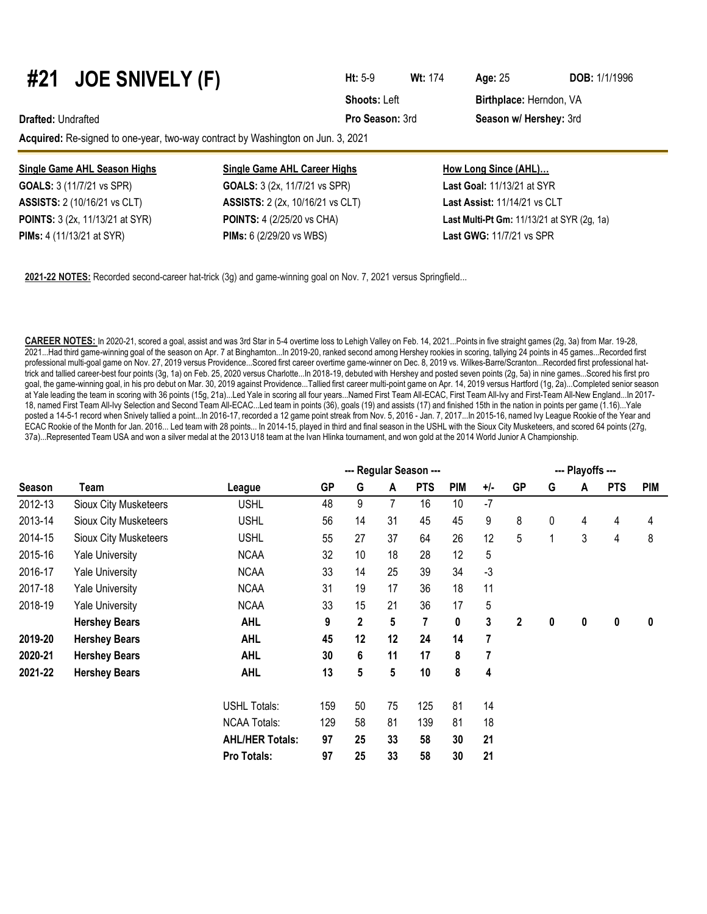# **#21 JOE SNIVELY (F) Ht:** 5-9 **Wt:** <sup>174</sup> **Age:**<sup>25</sup> **DOB:** 1/1/1996

**Acquired:** Re-signed to one-year, two-way contract by Washington on Jun. 3, 2021

| Single Game AHL Season Highs           | <b>Single Game AHL Career Highs</b>      | How Long Since (AHL)                              |
|----------------------------------------|------------------------------------------|---------------------------------------------------|
| <b>GOALS:</b> 3 (11/7/21 vs SPR)       | <b>GOALS:</b> 3 (2x, 11/7/21 vs SPR)     | <b>Last Goal: 11/13/21 at SYR</b>                 |
| <b>ASSISTS:</b> 2 (10/16/21 vs CLT)    | <b>ASSISTS:</b> 2 (2x, 10/16/21 vs CLT)  | Last Assist: 11/14/21 vs CLT                      |
| <b>POINTS:</b> 3 (2x, 11/13/21 at SYR) | <b>POINTS:</b> 4 (2/25/20 vs CHA)        | <b>Last Multi-Pt Gm:</b> 11/13/21 at SYR (2g, 1a) |
| <b>PIMs:</b> 4 (11/13/21 at SYR)       | <b>PIMs:</b> $6(2/29/20 \text{ vs WBS})$ | <b>Last GWG: 11/7/21 vs SPR</b>                   |

**2021-22 NOTES:** Recorded second-career hat-trick (3g) and game-winning goal on Nov. 7, 2021 versus Springfield...

**CAREER NOTES:** In 2020-21, scored a goal, assist and was 3rd Star in 5-4 overtime loss to Lehigh Valley on Feb. 14, 2021...Points in five straight games (2g, 3a) from Mar. 19-28, 2021...Had third game-winning goal of the season on Apr. 7 at Binghamton...In 2019-20, ranked second among Hershey rookies in scoring, tallying 24 points in 45 games...Recorded first professional multi-goal game on Nov. 27, 2019 versus Providence...Scored first career overtime game-winner on Dec. 8, 2019 vs. Wilkes-Barre/Scranton...Recorded first professional hattrick and tallied career-best four points (3g, 1a) on Feb. 25, 2020 versus Charlotte...In 2018-19, debuted with Hershey and posted seven points (2g, 5a) in nine games...Scored his first pro goal, the game-winning goal, in his pro debut on Mar. 30, 2019 against Providence...Tallied first career multi-point game on Apr. 14, 2019 versus Hartford (1g, 2a)...Completed senior season at Yale leading the team in scoring with 36 points (15g, 21a)...Led Yale in scoring all four years...Named First Team All-ECAC, First Team All-Ivy and First-Team All-New England...In 2017- 18, named First Team All-Ivy Selection and Second Team All-ECAC...Led team in points (36), goals (19) and assists (17) and finished 15th in the nation in points per game (1.16)...Yale posted a 14-5-1 record when Snively tallied a point...In 2016-17, recorded a 12 game point streak from Nov. 5, 2016 - Jan. 7, 2017...In 2015-16, named Ivy League Rookie of the Year and ECAC Rookie of the Month for Jan. 2016... Led team with 28 points... In 2014-15, played in third and final season in the USHL with the Sioux City Musketeers, and scored 64 points (27g, 37a)...Represented Team USA and won a silver medal at the 2013 U18 team at the Ivan Hlinka tournament, and won gold at the 2014 World Junior A Championship.

|               |                              |                        |     |    |    | --- Regular Season --- |            |      |           |   | --- Playoffs --- |            |            |
|---------------|------------------------------|------------------------|-----|----|----|------------------------|------------|------|-----------|---|------------------|------------|------------|
| <b>Season</b> | Team                         | League                 | GP  | G  | A  | <b>PTS</b>             | <b>PIM</b> | +/-  | <b>GP</b> | G | A                | <b>PTS</b> | <b>PIM</b> |
| 2012-13       | Sioux City Musketeers        | <b>USHL</b>            | 48  | 9  | 7  | 16                     | 10         | $-7$ |           |   |                  |            |            |
| 2013-14       | <b>Sioux City Musketeers</b> | <b>USHL</b>            | 56  | 14 | 31 | 45                     | 45         | 9    | 8         | 0 | 4                | 4          | 4          |
| 2014-15       | <b>Sioux City Musketeers</b> | <b>USHL</b>            | 55  | 27 | 37 | 64                     | 26         | 12   | 5         | 1 | 3                | 4          | 8          |
| 2015-16       | <b>Yale University</b>       | <b>NCAA</b>            | 32  | 10 | 18 | 28                     | 12         | 5    |           |   |                  |            |            |
| 2016-17       | <b>Yale University</b>       | <b>NCAA</b>            | 33  | 14 | 25 | 39                     | 34         | $-3$ |           |   |                  |            |            |
| 2017-18       | <b>Yale University</b>       | <b>NCAA</b>            | 31  | 19 | 17 | 36                     | 18         | 11   |           |   |                  |            |            |
| 2018-19       | <b>Yale University</b>       | <b>NCAA</b>            | 33  | 15 | 21 | 36                     | 17         | 5    |           |   |                  |            |            |
|               | <b>Hershey Bears</b>         | <b>AHL</b>             | 9   | 2  | 5  | 7                      | 0          | 3    | 2         | 0 | 0                | 0          | 0          |
| 2019-20       | <b>Hershey Bears</b>         | <b>AHL</b>             | 45  | 12 | 12 | 24                     | 14         | 7    |           |   |                  |            |            |
| 2020-21       | <b>Hershey Bears</b>         | <b>AHL</b>             | 30  | 6  | 11 | 17                     | 8          | 7    |           |   |                  |            |            |
| 2021-22       | <b>Hershey Bears</b>         | <b>AHL</b>             | 13  | 5  | 5  | 10                     | 8          | 4    |           |   |                  |            |            |
|               |                              | <b>USHL Totals:</b>    | 159 | 50 | 75 | 125                    | 81         | 14   |           |   |                  |            |            |
|               |                              | <b>NCAA Totals:</b>    | 129 | 58 | 81 | 139                    | 81         | 18   |           |   |                  |            |            |
|               |                              | <b>AHL/HER Totals:</b> | 97  | 25 | 33 | 58                     | 30         | 21   |           |   |                  |            |            |
|               |                              | Pro Totals:            | 97  | 25 | 33 | 58                     | 30         | 21   |           |   |                  |            |            |

**Shoots: Left Birthplace: Herndon, VA Drafted:** Undrafted **Pro Season:** 3rd **Season w/ Hershey:** 3rd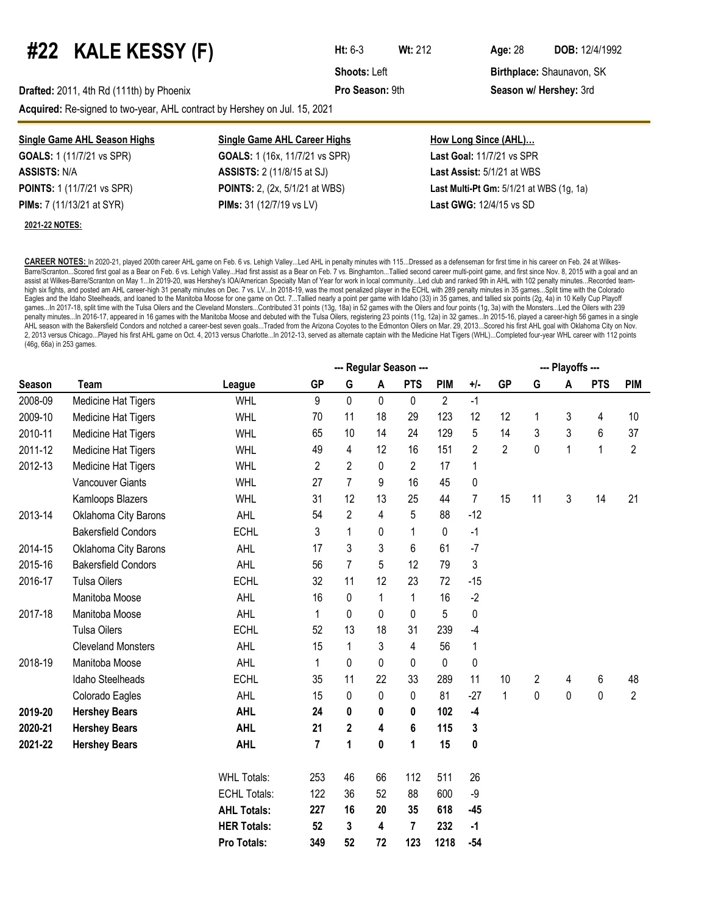## **#22 KALE KESSY (F) Ht:** 6-3 **Wt:**<sup>212</sup> **Age:**<sup>28</sup> **DOB:** 12/4/1992

**Shoots:** Left **Birthplace:** Shaunavon, SK

**Drafted:** 2011, 4th Rd (111th) by Phoenix **Pro Season:** 9th **Season:** 9th **Season w/ Hershey:** 3rd

**Acquired:** Re-signed to two-year, AHL contract by Hershey on Jul. 15, 2021

| <b>Single Game AHL Season Highs</b> | <b>Single Game AHL Career Highs</b>   | <u>How Long Since (AHL)</u>                  |
|-------------------------------------|---------------------------------------|----------------------------------------------|
| <b>GOALS:</b> 1 (11/7/21 vs SPR)    | <b>GOALS:</b> 1 (16x, 11/7/21 vs SPR) | <b>Last Goal: 11/7/21 vs SPR</b>             |
| <b>ASSISTS: N/A</b>                 | <b>ASSISTS:</b> 2 (11/8/15 at SJ)     | <b>Last Assist: 5/1/21 at WBS</b>            |
| <b>POINTS:</b> 1 (11/7/21 vs SPR)   | <b>POINTS:</b> 2, (2x, 5/1/21 at WBS) | Last Multi-Pt Gm: $5/1/21$ at WBS $(1q, 1a)$ |
| <b>PIMs:</b> 7 (11/13/21 at SYR)    | <b>PIMs:</b> 31 (12/7/19 vs LV)       | <b>Last GWG: 12/4/15 vs SD</b>               |
| 2021-22 NOTES:                      |                                       |                                              |

**CAREER NOTES:** In 2020-21, played 200th career AHL game on Feb. 6 vs. Lehigh Valley...Led AHL in penalty minutes with 115...Dressed as a defenseman for first time in his career on Feb. 24 at Wilkes-Barre/Scranton...Scored first goal as a Bear on Feb. 6 vs. Lehigh Valley...Had first assist as a Bear on Feb. 7 vs. Binghamton...Tallied second career multi-point game, and first since Nov. 8, 2015 with a goal and an assist at Wilkes-Barre/Scranton on May 1...In 2019-20, was Hershey's IOA/American Specialty Man of Year for work in local community...Led club and ranked 9th in AHL with 102 penalty minutes...Recorded teamhigh six fights, and posted am AHL career-high 31 penalty minutes on Dec. 7 vs. LV...In 2018-19, was the most penalized player in the ECHL with 289 penalty minutes in 35 games...Split time with the Colorado Eagles and the Idaho Steelheads, and loaned to the Manitoba Moose for one game on Oct. 7...Tallied nearly a point per game with Idaho (33) in 35 games, and tallied six points (2g, 4a) in 10 Kelly Cup Playoff games...In 2017-18, split time with the Tulsa Oilers and the Cleveland Monsters...Contributed 31 points (13g, 18a) in 52 games with the Oilers and four points (1g, 3a) with the Monsters...Led the Oilers with 239 penalty minutes...In 2016-17, appeared in 16 games with the Manitoba Moose and debuted with the Tulsa Oilers, registering 23 points (11g, 12a) in 32 games...In 2015-16, played a career-high 56 games in a single AHL season with the Bakersfield Condors and notched a career-best seven goals...Traded from the Arizona Coyotes to the Edmonton Oilers on Mar. 29, 2013...Scored his first AHL goal with Oklahoma City on Nov. 2, 2013 versus Chicago...Played his first AHL game on Oct. 4, 2013 versus Charlotte...In 2012-13, served as alternate captain with the Medicine Hat Tigers (WHL)...Completed four-year WHL career with 112 points (46g, 66a) in 253 games.

|               |                            |                     | --- Playoffs --- |                |    |                |                |                |                |    |              |            |                 |
|---------------|----------------------------|---------------------|------------------|----------------|----|----------------|----------------|----------------|----------------|----|--------------|------------|-----------------|
| <b>Season</b> | Team                       | League              | <b>GP</b>        | G              | A  | <b>PTS</b>     | <b>PIM</b>     | $+/-$          | <b>GP</b>      | G  | A            | <b>PTS</b> | <b>PIM</b>      |
| 2008-09       | Medicine Hat Tigers        | <b>WHL</b>          | 9                | 0              | 0  | 0              | $\overline{2}$ | $-1$           |                |    |              |            |                 |
| 2009-10       | Medicine Hat Tigers        | WHL                 | 70               | 11             | 18 | 29             | 123            | 12             | 12             | 1  | 3            | 4          | 10 <sup>°</sup> |
| 2010-11       | Medicine Hat Tigers        | <b>WHL</b>          | 65               | 10             | 14 | 24             | 129            | 5              | 14             | 3  | 3            | 6          | 37              |
| 2011-12       | Medicine Hat Tigers        | <b>WHL</b>          | 49               | 4              | 12 | 16             | 151            | $\overline{c}$ | $\overline{2}$ | 0  | $\mathbf{1}$ | 1          | $\overline{2}$  |
| 2012-13       | Medicine Hat Tigers        | <b>WHL</b>          | $\overline{2}$   | 2              | 0  | $\overline{2}$ | 17             | 1              |                |    |              |            |                 |
|               | <b>Vancouver Giants</b>    | <b>WHL</b>          | 27               | $\overline{7}$ | 9  | 16             | 45             | 0              |                |    |              |            |                 |
|               | Kamloops Blazers           | <b>WHL</b>          | 31               | 12             | 13 | 25             | 44             | $\overline{7}$ | 15             | 11 | 3            | 14         | 21              |
| 2013-14       | Oklahoma City Barons       | <b>AHL</b>          | 54               | 2              | 4  | 5              | 88             | $-12$          |                |    |              |            |                 |
|               | <b>Bakersfield Condors</b> | <b>ECHL</b>         | 3                | 1              | 0  | $\mathbf{1}$   | $\mathbf 0$    | $-1$           |                |    |              |            |                 |
| 2014-15       | Oklahoma City Barons       | AHL                 | 17               | 3              | 3  | 6              | 61             | $-7$           |                |    |              |            |                 |
| 2015-16       | <b>Bakersfield Condors</b> | AHL                 | 56               | 7              | 5  | 12             | 79             | 3              |                |    |              |            |                 |
| 2016-17       | <b>Tulsa Oilers</b>        | <b>ECHL</b>         | 32               | 11             | 12 | 23             | 72             | $-15$          |                |    |              |            |                 |
|               | Manitoba Moose             | AHL                 | 16               | 0              | 1  | $\mathbf{1}$   | 16             | $-2$           |                |    |              |            |                 |
| 2017-18       | Manitoba Moose             | AHL                 | 1                | 0              | 0  | 0              | 5              | 0              |                |    |              |            |                 |
|               | <b>Tulsa Oilers</b>        | <b>ECHL</b>         | 52               | 13             | 18 | 31             | 239            | $-4$           |                |    |              |            |                 |
|               | <b>Cleveland Monsters</b>  | AHL                 | 15               | 1              | 3  | 4              | 56             | 1              |                |    |              |            |                 |
| 2018-19       | Manitoba Moose             | AHL                 | 1                | 0              | 0  | 0              | $\mathbf 0$    | 0              |                |    |              |            |                 |
|               | Idaho Steelheads           | <b>ECHL</b>         | 35               | 11             | 22 | 33             | 289            | 11             | 10             | 2  | 4            | 6          | 48              |
|               | Colorado Eagles            | AHL                 | 15               | 0              | 0  | 0              | 81             | $-27$          | $\mathbf{1}$   | 0  | 0            | 0          | $\overline{2}$  |
| 2019-20       | <b>Hershey Bears</b>       | <b>AHL</b>          | 24               | 0              | 0  | 0              | 102            | $-4$           |                |    |              |            |                 |
| 2020-21       | <b>Hershey Bears</b>       | <b>AHL</b>          | 21               | $\mathbf{2}$   | 4  | 6              | 115            | 3              |                |    |              |            |                 |
| 2021-22       | <b>Hershey Bears</b>       | <b>AHL</b>          | 7                | 1              | 0  | 1              | 15             | 0              |                |    |              |            |                 |
|               |                            |                     | 253              | 46             | 66 | 112            | 511            | 26             |                |    |              |            |                 |
|               |                            | <b>WHL Totals:</b>  |                  |                |    |                |                |                |                |    |              |            |                 |
|               |                            | <b>ECHL Totals:</b> | 122              | 36             | 52 | 88             | 600            | -9             |                |    |              |            |                 |
|               |                            | <b>AHL Totals:</b>  | 227              | 16             | 20 | 35             | 618            | $-45$          |                |    |              |            |                 |
|               |                            | <b>HER Totals:</b>  | 52               | 3              | 4  | 7              | 232            | $-1$           |                |    |              |            |                 |
|               |                            | Pro Totals:         | 349              | 52             | 72 | 123            | 1218           | $-54$          |                |    |              |            |                 |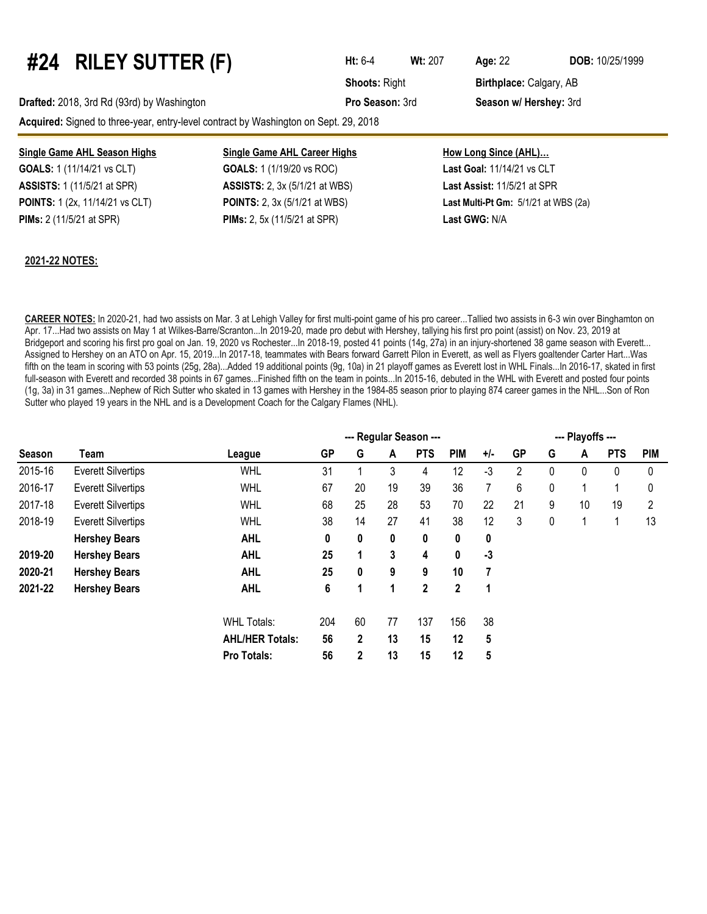# **#24 RILEY SUTTER (F) Ht:** 6-4 **Wt:**<sup>207</sup> **Age:**<sup>22</sup> **DOB:** 10/25/1999

**Drafted:** 2018, 3rd Rd (93rd) by Washington **Pro Season:** 3rd **Season w/ Hershey:** 3rd

**Acquired:** Signed to three-year, entry-level contract by Washington on Sept. 29, 2018

#### **Single Game AHL Season Highs Single Game AHL Career Highs How Long Since (AHL)...**

**ASSISTS:** 1 (11/5/21 at SPR) **ASSISTS:** 2, 3x (5/1/21 at WBS) **Last Assist:** 11/5/21 at SPR **PIMs:** 2 (11/5/21 at SPR) **PIMs:** 2, 5x (11/5/21 at SPR) **Last GWG:** N/A

**GOALS:** 1 (11/14/21 vs CLT) **GOALS:** 1 (1/19/20 vs ROC) **Last Goal:** 11/14/21 vs CLT

**POINTS:** 1 (2x, 11/14/21 vs CLT) **POINTS:** 2, 3x (5/1/21 at WBS) **Last Multi-Pt Gm:** 5/1/21 at WBS (2a)

#### **2021-22 NOTES:**

**CAREER NOTES:** In 2020-21, had two assists on Mar. 3 at Lehigh Valley for first multi-point game of his pro career...Tallied two assists in 6-3 win over Binghamton on Apr. 17...Had two assists on May 1 at Wilkes-Barre/Scranton...In 2019-20, made pro debut with Hershey, tallying his first pro point (assist) on Nov. 23, 2019 at Bridgeport and scoring his first pro goal on Jan. 19, 2020 vs Rochester...In 2018-19, posted 41 points (14g, 27a) in an injury-shortened 38 game season with Everett... Assigned to Hershey on an ATO on Apr. 15, 2019...In 2017-18, teammates with Bears forward Garrett Pilon in Everett, as well as Flyers goaltender Carter Hart...Was fifth on the team in scoring with 53 points (25g, 28a)...Added 19 additional points (9g, 10a) in 21 playoff games as Everett lost in WHL Finals...In 2016-17, skated in first full-season with Everett and recorded 38 points in 67 games...Finished fifth on the team in points...In 2015-16, debuted in the WHL with Everett and posted four points (1g, 3a) in 31 games...Nephew of Rich Sutter who skated in 13 games with Hershey in the 1984-85 season prior to playing 874 career games in the NHL...Son of Ron Sutter who played 19 years in the NHL and is a Development Coach for the Calgary Flames (NHL).

|         |                           |                        | --- Regular Season --- |              |    |                |             |      |    | --- Playoffs --- |    |            |            |  |  |
|---------|---------------------------|------------------------|------------------------|--------------|----|----------------|-------------|------|----|------------------|----|------------|------------|--|--|
| Season  | Team                      | League                 | <b>GP</b>              | G            | A  | <b>PTS</b>     | <b>PIM</b>  | +/-  | GP | G                | A  | <b>PTS</b> | <b>PIM</b> |  |  |
| 2015-16 | <b>Everett Silvertips</b> | <b>WHL</b>             | 31                     |              | 3  | 4              | 12          | $-3$ | 2  | 0                | 0  | 0          | 0          |  |  |
| 2016-17 | <b>Everett Silvertips</b> | <b>WHL</b>             | 67                     | 20           | 19 | 39             | 36          | 7    | 6  | 0                |    |            | 0          |  |  |
| 2017-18 | <b>Everett Silvertips</b> | <b>WHL</b>             | 68                     | 25           | 28 | 53             | 70          | 22   | 21 | 9                | 10 | 19         | 2          |  |  |
| 2018-19 | <b>Everett Silvertips</b> | <b>WHL</b>             | 38                     | 14           | 27 | 41             | 38          | 12   | 3  | 0                |    |            | 13         |  |  |
|         | <b>Hershey Bears</b>      | <b>AHL</b>             | 0                      | 0            | 0  | 0              | 0           | 0    |    |                  |    |            |            |  |  |
| 2019-20 | <b>Hershey Bears</b>      | <b>AHL</b>             | 25                     | 1            | 3  | 4              | 0           | $-3$ |    |                  |    |            |            |  |  |
| 2020-21 | <b>Hershey Bears</b>      | <b>AHL</b>             | 25                     | 0            | 9  | 9              | 10          | 7    |    |                  |    |            |            |  |  |
| 2021-22 | <b>Hershey Bears</b>      | <b>AHL</b>             | 6                      | 1            | 1  | $\overline{2}$ | $\mathbf 2$ | 1    |    |                  |    |            |            |  |  |
|         |                           | <b>WHL Totals:</b>     | 204                    | 60           | 77 | 137            | 156         | 38   |    |                  |    |            |            |  |  |
|         |                           | <b>AHL/HER Totals:</b> | 56                     | $\mathbf{2}$ | 13 | 15             | 12          | 5    |    |                  |    |            |            |  |  |
|         |                           | <b>Pro Totals:</b>     | 56                     | 2            | 13 | 15             | 12          | 5    |    |                  |    |            |            |  |  |

**Shoots: Right <b>Birthplace:** Calgary, AB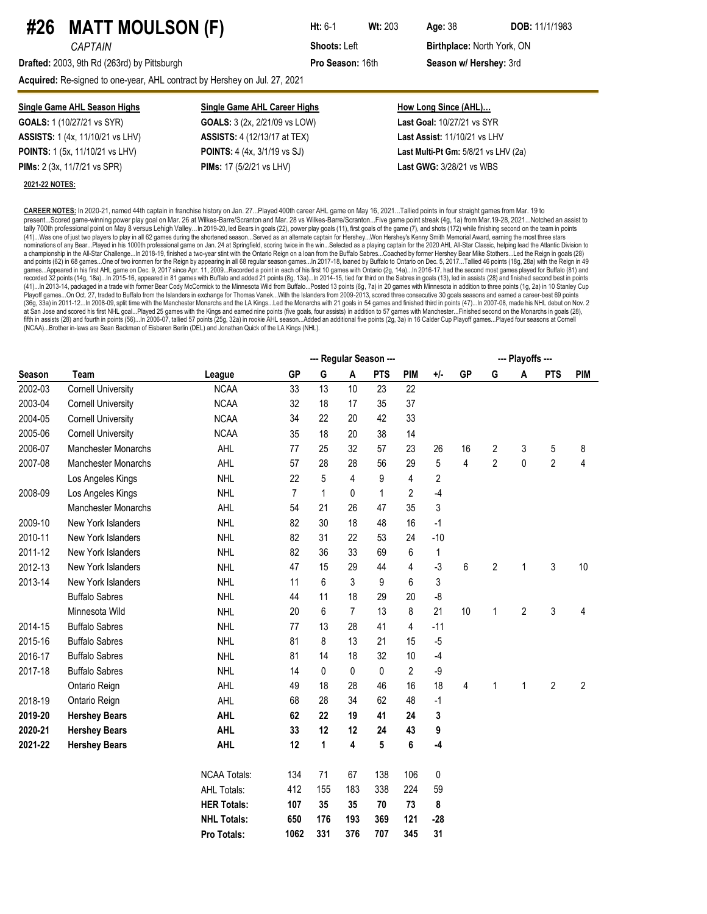### **#26 MATT MOULSON (F) Ht:** 6-1 **Wt:** <sup>203</sup> **Age:**<sup>38</sup> **DOB:** 11/1/1983

**Drafted:** 2003, 9th Rd (263rd) by Pittsburgh **Pro Season:** 16th **Season w/ Hershey:** 3rd

**Acquired:** Re-signed to one-year, AHL contract by Hershey on Jul. 27, 2021

| <b>Single Game AHL Season Highs</b>     | <b>Single Game AHL Career Highs</b>        | How Long Since (AHL)                   |
|-----------------------------------------|--------------------------------------------|----------------------------------------|
| <b>GOALS:</b> 1 (10/27/21 vs SYR)       | <b>GOALS:</b> 3 (2x, 2/21/09 vs LOW)       | <b>Last Goal: 10/27/21 vs SYR</b>      |
| <b>ASSISTS:</b> 1 (4x, 11/10/21 vs LHV) | <b>ASSISTS:</b> 4 (12/13/17 at TEX)        | Last Assist: 11/10/21 vs LHV           |
| <b>POINTS:</b> 1 (5x, 11/10/21 vs LHV)  | <b>POINTS:</b> 4 (4x, 3/1/19 vs SJ)        | Last Multi-Pt Gm: $5/8/21$ vs LHV (2a) |
| <b>PIMs:</b> 2 (3x, 11/7/21 vs SPR)     | <b>PIMs:</b> 17 $(5/2/21 \text{ vs } LHV)$ | <b>Last GWG: 3/28/21 vs WBS</b>        |
| 2021-22 NOTES:                          |                                            |                                        |

**CAREER NOTES:** In 2020-21, named 44th captain in franchise history on Jan. 27...Played 400th career AHL game on May 16, 2021...Tallied points in four straight games from Mar. 19 to present...Scored game-winning power play goal on Mar. 26 at Wilkes-Barre/Scranton and Mar. 28 vs Wilkes-Barre/Scranton...Five game point streak (4g, 1a) from Mar.19-28, 2021...Notched an assist to tally 700th professional point on May 8 versus Lehigh Valley...In 2019-20, led Bears in goals (22), power play goals (11), first goals of the game (7), and shots (172) while finishing second on the team in points (41)...Was one of just two players to play in all 62 games during the shortened season...Served as an alternate captain for Hershey...Won Hershey's Kenny Smith Memorial Award, earning the most three stars nominations of any Bear...Played in his 1000th professional game on Jan. 24 at Springfield, scoring twice in the win...Selected as a playing captain for the 2020 AHL All-Star Classic, helping lead the Atlantic Division to<br> and points (62) in 68 games...One of two ironmen for the Reign by appearing in all 68 regular season games...In 2017-18, loaned by Buffalo to Ontario on Dec. 5, 2017...Tallied 46 points (18g, 28a) with the Reign in 49 games…Appeared in his first AHL game on Dec. 9, 2017 since Apr. 11, 2009…Recorded a point in each of his first 10 games with Ontario (2g, 14a)…In 2016-17, had the second most games played for Buffalo (81) and<br>recorded 32 p (41)...In 2013-14, packaged in a trade with former Bear Cody McCormick to the Minnesota Wild from Buffalo...Posted 13 points (6g, 7a) in 20 games with Minnesota in addition to three points (1g, 2a) in 10 Stanley Cup<br>Playof (36g, 33a) in 2011-12...In 2008-09, split time with the Manchester Monarchs and the LA Kings...Led the Monarchs with 21 goals in 54 games and finished third in points (47)...In 2007-08, made his NHL debut on Nov. 2 at San Jose and scored his first NHL goal...Played 25 games with the Kings and earned nine points (five goals, four assists) in addition to 57 games with Manchester...Finished second on the Monarchs in goals (28),<br>fifth in (NCAA)...Brother in-laws are Sean Backman of Eisbaren Berlin (DEL) and Jonathan Quick of the LA Kings (NHL).

|               |                            |                     | --- Playoffs --- |              |                |            |                |             |           |                |                |                |                |
|---------------|----------------------------|---------------------|------------------|--------------|----------------|------------|----------------|-------------|-----------|----------------|----------------|----------------|----------------|
| <b>Season</b> | <b>Team</b>                | League              | <b>GP</b>        | G            | A              | <b>PTS</b> | <b>PIM</b>     | $+/-$       | <b>GP</b> | G              | A              | <b>PTS</b>     | <b>PIM</b>     |
| 2002-03       | <b>Cornell University</b>  | <b>NCAA</b>         | 33               | 13           | 10             | 23         | 22             |             |           |                |                |                |                |
| 2003-04       | <b>Cornell University</b>  | <b>NCAA</b>         | 32               | 18           | 17             | 35         | 37             |             |           |                |                |                |                |
| 2004-05       | <b>Cornell University</b>  | <b>NCAA</b>         | 34               | 22           | 20             | 42         | 33             |             |           |                |                |                |                |
| 2005-06       | <b>Cornell University</b>  | <b>NCAA</b>         | 35               | 18           | 20             | 38         | 14             |             |           |                |                |                |                |
| 2006-07       | Manchester Monarchs        | AHL                 | 77               | 25           | 32             | 57         | 23             | 26          | 16        | 2              | 3              | 5              | 8              |
| 2007-08       | Manchester Monarchs        | AHL                 | 57               | 28           | 28             | 56         | 29             | 5           | 4         | $\overline{2}$ | $\mathbf 0$    | $\overline{2}$ | 4              |
|               | Los Angeles Kings          | <b>NHL</b>          | 22               | 5            | 4              | 9          | $\overline{4}$ | $\sqrt{2}$  |           |                |                |                |                |
| 2008-09       | Los Angeles Kings          | <b>NHL</b>          | $\overline{7}$   | $\mathbf{1}$ | 0              | 1          | $\overline{c}$ | -4          |           |                |                |                |                |
|               | <b>Manchester Monarchs</b> | AHL                 | 54               | 21           | 26             | 47         | 35             | $\sqrt{3}$  |           |                |                |                |                |
| 2009-10       | New York Islanders         | <b>NHL</b>          | 82               | 30           | 18             | 48         | 16             | $-1$        |           |                |                |                |                |
| 2010-11       | New York Islanders         | <b>NHL</b>          | 82               | 31           | 22             | 53         | 24             | $-10$       |           |                |                |                |                |
| 2011-12       | New York Islanders         | <b>NHL</b>          | 82               | 36           | 33             | 69         | 6              | $\mathbf 1$ |           |                |                |                |                |
| 2012-13       | <b>New York Islanders</b>  | <b>NHL</b>          | 47               | 15           | 29             | 44         | 4              | $-3$        | 6         | $\overline{2}$ | 1              | 3              | 10             |
| 2013-14       | <b>New York Islanders</b>  | <b>NHL</b>          | 11               | 6            | 3              | 9          | 6              | 3           |           |                |                |                |                |
|               | <b>Buffalo Sabres</b>      | <b>NHL</b>          | 44               | 11           | 18             | 29         | 20             | -8          |           |                |                |                |                |
|               | Minnesota Wild             | <b>NHL</b>          | 20               | 6            | $\overline{7}$ | 13         | 8              | 21          | 10        | 1              | $\overline{c}$ | 3              | 4              |
| 2014-15       | <b>Buffalo Sabres</b>      | <b>NHL</b>          | 77               | 13           | 28             | 41         | 4              | $-11$       |           |                |                |                |                |
| 2015-16       | <b>Buffalo Sabres</b>      | <b>NHL</b>          | 81               | 8            | 13             | 21         | 15             | $-5$        |           |                |                |                |                |
| 2016-17       | <b>Buffalo Sabres</b>      | <b>NHL</b>          | 81               | 14           | 18             | 32         | 10             | -4          |           |                |                |                |                |
| 2017-18       | <b>Buffalo Sabres</b>      | <b>NHL</b>          | 14               | 0            | 0              | 0          | $\overline{2}$ | $-9$        |           |                |                |                |                |
|               | Ontario Reign              | AHL                 | 49               | 18           | 28             | 46         | 16             | 18          | 4         | 1              | 1              | $\overline{2}$ | $\overline{c}$ |
| 2018-19       | Ontario Reign              | <b>AHL</b>          | 68               | 28           | 34             | 62         | 48             | $-1$        |           |                |                |                |                |
| 2019-20       | <b>Hershey Bears</b>       | <b>AHL</b>          | 62               | 22           | 19             | 41         | 24             | 3           |           |                |                |                |                |
| 2020-21       | <b>Hershey Bears</b>       | <b>AHL</b>          | 33               | 12           | 12             | 24         | 43             | 9           |           |                |                |                |                |
| 2021-22       | <b>Hershey Bears</b>       | <b>AHL</b>          | 12               | 1            | 4              | 5          | 6              | -4          |           |                |                |                |                |
|               |                            | <b>NCAA Totals:</b> | 134              | 71           | 67             | 138        | 106            | $\pmb{0}$   |           |                |                |                |                |
|               |                            | <b>AHL Totals:</b>  | 412              | 155          | 183            | 338        | 224            | 59          |           |                |                |                |                |
|               |                            | <b>HER Totals:</b>  | 107              | 35           | 35             | 70         | 73             | 8           |           |                |                |                |                |
|               |                            | <b>NHL Totals:</b>  | 650              | 176          | 193            | 369        | 121            | $-28$       |           |                |                |                |                |
|               |                            | Pro Totals:         | 1062             | 331          | 376            | 707        | 345            | 31          |           |                |                |                |                |

**CAPTAIN CAPTAIN Shoots: Left Birthplace: North York, ON**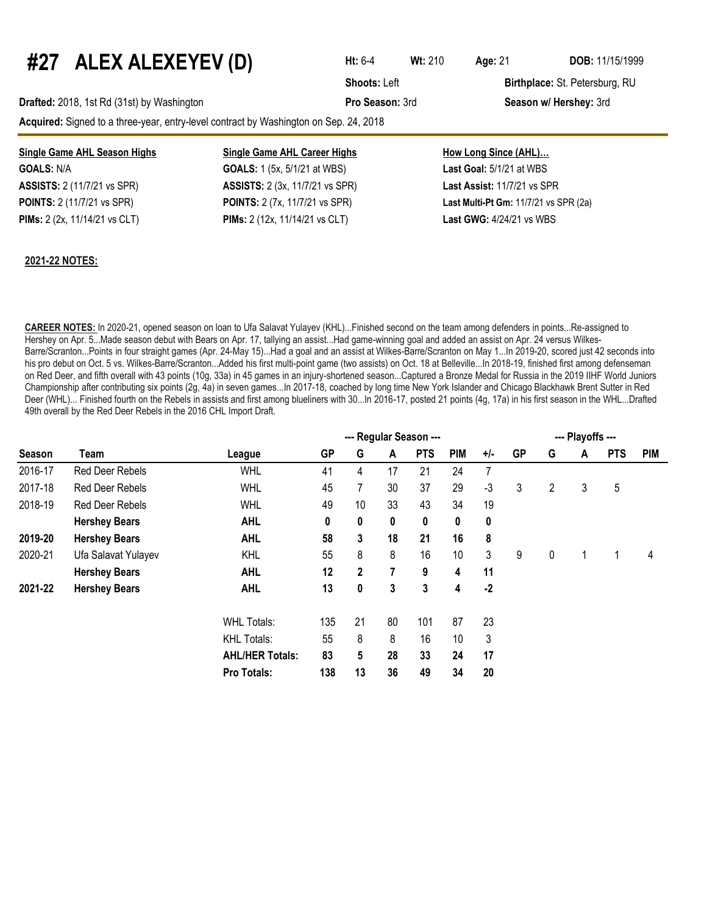# **#27 ALEX ALEXEYEV (D) Ht:** 6-4 **Wt:**<sup>210</sup> **Age:**<sup>21</sup> **DOB:** 11/15/1999

**Drafted:** 2018, 1st Rd (31st) by Washington **Pro Season:** 3rd **Season w/ Hershey:** 3rd

**Acquired:** Signed to a three-year, entry-level contract by Washington on Sep. 24, 2018

#### **Single Game AHL Season Highs Single Game AHL Career Highs How Long Since (AHL)...**

**GOALS:** N/A **GOALS:** 1 (5x, 5/1/21 at WBS) **Last Goal:** 5/1/21 at WBS **ASSISTS:** 2 (11/7/21 vs SPR) **ASSISTS:** 2 (3x, 11/7/21 vs SPR) **Last Assist:** 11/7/21 vs SPR **PIMs:** 2 (2x, 11/14/21 vs CLT) **PIMs:** 2 (12x, 11/14/21 vs CLT) **Last GWG:** 4/24/21 vs WBS

**POINTS:** 2 (11/7/21 vs SPR) **POINTS:** 2 (7x, 11/7/21 vs SPR) **Last Multi-Pt Gm:** 11/7/21 vs SPR (2a)

#### **2021-22 NOTES:**

**CAREER NOTES:** In 2020-21, opened season on loan to Ufa Salavat Yulayev (KHL)...Finished second on the team among defenders in points...Re-assigned to Hershey on Apr. 5...Made season debut with Bears on Apr. 17, tallying an assist...Had game-winning goal and added an assist on Apr. 24 versus Wilkes-Barre/Scranton...Points in four straight games (Apr. 24-May 15)...Had a goal and an assist at Wilkes-Barre/Scranton on May 1...In 2019-20, scored just 42 seconds into his pro debut on Oct. 5 vs. Wilkes-Barre/Scranton...Added his first multi-point game (two assists) on Oct. 18 at Belleville...In 2018-19, finished first among defenseman on Red Deer, and fifth overall with 43 points (10g, 33a) in 45 games in an injury-shortened season...Captured a Bronze Medal for Russia in the 2019 IIHF World Juniors Championship after contributing six points (2g, 4a) in seven games...In 2017-18, coached by long time New York Islander and Chicago Blackhawk Brent Sutter in Red Deer (WHL)... Finished fourth on the Rebels in assists and first among blueliners with 30...In 2016-17, posted 21 points (4g, 17a) in his first season in the WHL...Drafted 49th overall by the Red Deer Rebels in the 2016 CHL Import Draft.

|         |                        |                        |           | --- Playoffs --- |    |            |     |       |           |   |   |            |            |
|---------|------------------------|------------------------|-----------|------------------|----|------------|-----|-------|-----------|---|---|------------|------------|
| Season  | Team                   | League                 | <b>GP</b> | G                | A  | <b>PTS</b> | PIM | $+/-$ | <b>GP</b> | G | A | <b>PTS</b> | <b>PIM</b> |
| 2016-17 | Red Deer Rebels        | <b>WHL</b>             | 41        | 4                | 17 | 21         | 24  | 7     |           |   |   |            |            |
| 2017-18 | Red Deer Rebels        | <b>WHL</b>             | 45        | $\overline{7}$   | 30 | 37         | 29  | $-3$  | 3         | 2 | 3 | 5          |            |
| 2018-19 | <b>Red Deer Rebels</b> | <b>WHL</b>             | 49        | 10               | 33 | 43         | 34  | 19    |           |   |   |            |            |
|         | <b>Hershey Bears</b>   | <b>AHL</b>             | 0         | 0                | 0  | 0          | 0   | 0     |           |   |   |            |            |
| 2019-20 | <b>Hershey Bears</b>   | <b>AHL</b>             | 58        | 3                | 18 | 21         | 16  | 8     |           |   |   |            |            |
| 2020-21 | Ufa Salavat Yulayev    | <b>KHL</b>             | 55        | 8                | 8  | 16         | 10  | 3     | 9         | 0 |   |            | 4          |
|         | <b>Hershey Bears</b>   | <b>AHL</b>             | 12        | $\mathbf 2$      | 7  | 9          | 4   | 11    |           |   |   |            |            |
| 2021-22 | <b>Hershey Bears</b>   | <b>AHL</b>             | 13        | 0                | 3  | 3          | 4   | $-2$  |           |   |   |            |            |
|         |                        | <b>WHL Totals:</b>     | 135       | 21               | 80 | 101        | 87  | 23    |           |   |   |            |            |
|         |                        | <b>KHL Totals:</b>     | 55        | 8                | 8  | 16         | 10  | 3     |           |   |   |            |            |
|         |                        | <b>AHL/HER Totals:</b> | 83        | 5                | 28 | 33         | 24  | 17    |           |   |   |            |            |
|         |                        | Pro Totals:            | 138       | 13               | 36 | 49         | 34  | 20    |           |   |   |            |            |



**Shoots:** Left **Birthplace:** St. Petersburg, RU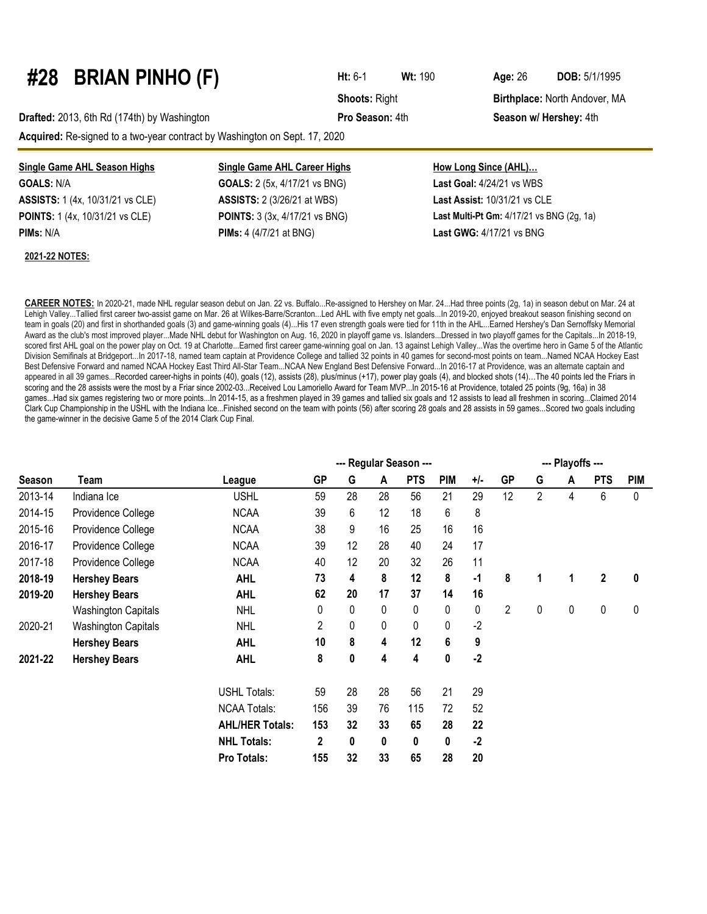### **#28 BRIAN PINHO (F) Ht:** 6-1 **Wt:**<sup>190</sup> **Age:**<sup>26</sup> **DOB:** 5/1/1995

**Drafted:** 2013, 6th Rd (174th) by Washington **Pro Season:** 4th **Season w/ Hershey:** 4th

**Acquired:** Re-signed to a two-year contract by Washington on Sept. 17, 2020

#### **Single Game AHL Season Highs Single Game AHL Career Highs How Long Since (AHL)…**

**GOALS:** N/A **GOALS:** 2 (5x, 4/17/21 vs BNG) **Last Goal:** 4/24/21 vs WBS **ASSISTS:** 1 (4x, 10/31/21 vs CLE) **ASSISTS:** 2 (3/26/21 at WBS) **Last Assist:** 10/31/21 vs CLE

#### **2021-22 NOTES:**

**PIMs:** N/A **PIMs:** 4 (4/7/21 at BNG) **Last GWG:** 4/17/21 vs BNG

| $\mathsf{nn} \cdot \mathsf{A}$ th |  |  |
|-----------------------------------|--|--|

**Shoots: Right <b>Birthplace:** North Andover, MA

# **POINTS:** 1 (4x, 10/31/21 vs CLE) **POINTS:** 3 (3x, 4/17/21 vs BNG) **Last Multi-Pt Gm:** 4/17/21 vs BNG (2g, 1a)

**CAREER NOTES:** In 2020-21, made NHL regular season debut on Jan. 22 vs. Buffalo...Re-assigned to Hershey on Mar. 24...Had three points (2g, 1a) in season debut on Mar. 24 at Lehigh Valley...Tallied first career two-assist game on Mar. 26 at Wilkes-Barre/Scranton...Led AHL with five empty net goals...In 2019-20, enjoyed breakout season finishing second on team in goals (20) and first in shorthanded goals (3) and game-winning goals (4)...His 17 even strength goals were tied for 11th in the AHL...Earned Hershey's Dan Sernoffsky Memorial Award as the club's most improved player...Made NHL debut for Washington on Aug. 16, 2020 in playoff game vs. Islanders...Dressed in two playoff games for the Capitals...In 2018-19, scored first AHL goal on the power play on Oct. 19 at Charlotte...Earned first career game-winning goal on Jan. 13 against Lehigh Valley...Was the overtime hero in Game 5 of the Atlantic Division Semifinals at Bridgeport...In 2017-18, named team captain at Providence College and tallied 32 points in 40 games for second-most points on team...Named NCAA Hockey East Best Defensive Forward and named NCAA Hockey East Third All-Star Team...NCAA New England Best Defensive Forward...In 2016-17 at Providence, was an alternate captain and appeared in all 39 games...Recorded career-highs in points (40), goals (12), assists (28), plus/minus (+17), power play goals (4), and blocked shots (14)...The 40 points led the Friars in scoring and the 28 assists were the most by a Friar since 2002-03...Received Lou Lamoriello Award for Team MVP...In 2015-16 at Providence, totaled 25 points (9g, 16a) in 38 games...Had six games registering two or more points...In 2014-15, as a freshmen played in 39 games and tallied six goals and 12 assists to lead all freshmen in scoring...Claimed 2014 Clark Cup Championship in the USHL with the Indiana Ice...Finished second on the team with points (56) after scoring 28 goals and 28 assists in 59 games...Scored two goals including the game-winner in the decisive Game 5 of the 2014 Clark Cup Final.

|               |                            | --- Regular Season --- |             |    |    |            |            |           |                | --- Playoffs --- |   |              |            |  |  |  |
|---------------|----------------------------|------------------------|-------------|----|----|------------|------------|-----------|----------------|------------------|---|--------------|------------|--|--|--|
| <b>Season</b> | Team                       | League                 | <b>GP</b>   | G  | A  | <b>PTS</b> | <b>PIM</b> | $+/-$     | <b>GP</b>      | G                | A | <b>PTS</b>   | <b>PIM</b> |  |  |  |
| 2013-14       | Indiana Ice                | <b>USHL</b>            | 59          | 28 | 28 | 56         | 21         | 29        | 12             | $\overline{2}$   | 4 | 6            | 0          |  |  |  |
| 2014-15       | Providence College         | <b>NCAA</b>            | 39          | 6  | 12 | 18         | 6          | 8         |                |                  |   |              |            |  |  |  |
| 2015-16       | Providence College         | <b>NCAA</b>            | 38          | 9  | 16 | 25         | 16         | 16        |                |                  |   |              |            |  |  |  |
| 2016-17       | Providence College         | <b>NCAA</b>            | 39          | 12 | 28 | 40         | 24         | 17        |                |                  |   |              |            |  |  |  |
| 2017-18       | Providence College         | <b>NCAA</b>            | 40          | 12 | 20 | 32         | 26         | 11        |                |                  |   |              |            |  |  |  |
| 2018-19       | <b>Hershey Bears</b>       | <b>AHL</b>             | 73          | 4  | 8  | 12         | 8          | $\cdot$ 1 | 8              | 1                | 1 | $\mathbf{2}$ | 0          |  |  |  |
| 2019-20       | <b>Hershey Bears</b>       | <b>AHL</b>             | 62          | 20 | 17 | 37         | 14         | 16        |                |                  |   |              |            |  |  |  |
|               | <b>Washington Capitals</b> | <b>NHL</b>             | 0           | 0  | 0  | 0          | 0          | 0         | $\overline{2}$ | 0                | 0 | 0            | 0          |  |  |  |
| 2020-21       | <b>Washington Capitals</b> | <b>NHL</b>             | 2           | 0  | 0  | 0          | 0          | $-2$      |                |                  |   |              |            |  |  |  |
|               | <b>Hershey Bears</b>       | <b>AHL</b>             | 10          | 8  | 4  | 12         | 6          | 9         |                |                  |   |              |            |  |  |  |
| 2021-22       | <b>Hershey Bears</b>       | <b>AHL</b>             | 8           | 0  | 4  | 4          | 0          | $-2$      |                |                  |   |              |            |  |  |  |
|               |                            | <b>USHL Totals:</b>    | 59          | 28 | 28 | 56         | 21         | 29        |                |                  |   |              |            |  |  |  |
|               |                            | <b>NCAA Totals:</b>    | 156         | 39 | 76 | 115        | 72         | 52        |                |                  |   |              |            |  |  |  |
|               |                            | <b>AHL/HER Totals:</b> | 153         | 32 | 33 | 65         | 28         | 22        |                |                  |   |              |            |  |  |  |
|               |                            | <b>NHL Totals:</b>     | $\mathbf 2$ | 0  | 0  | 0          | 0          | $-2$      |                |                  |   |              |            |  |  |  |
|               |                            | Pro Totals:            | 155         | 32 | 33 | 65         | 28         | 20        |                |                  |   |              |            |  |  |  |

| RIAN PINHO (F) |  |
|----------------|--|
|                |  |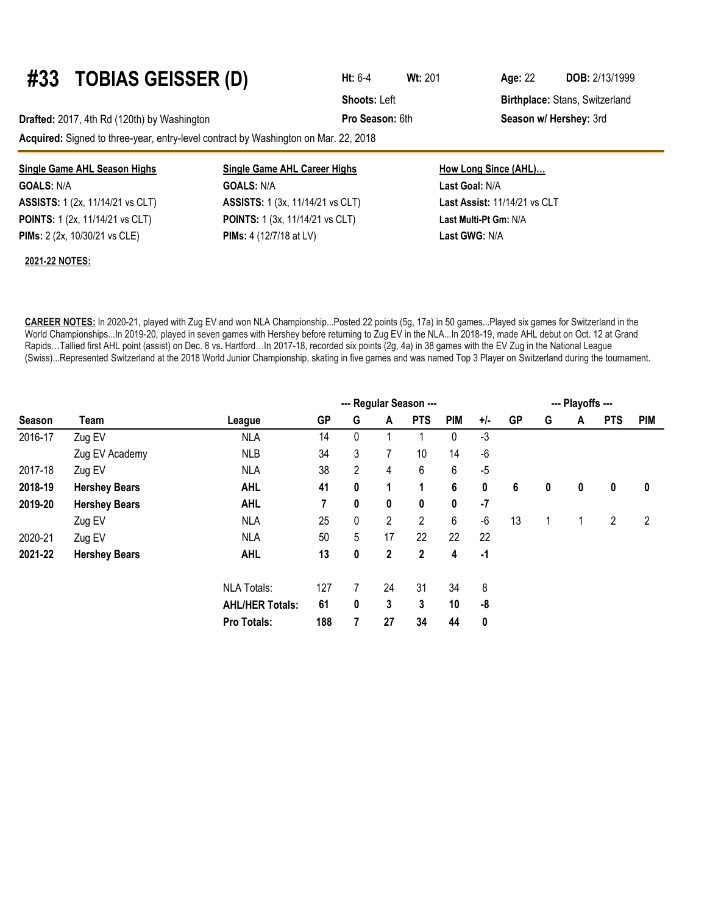### **#33 TOBIAS GEISSER (D) Ht:** 6-4 **Wt:**<sup>201</sup> **Age:**<sup>22</sup> **DOB:** 2/13/1999

**Drafted:** 2017, 4th Rd (120th) by Washington **Pro Season:** 6th **Season w/ Hershey:** 3rd

**Acquired:** Signed to three-year, entry-level contract by Washington on Mar. 22, 2018

| <b>Single Game AHL Season Highs</b>     | <b>Single Game AHL Career Highs</b>     | How Long Since (AHL)         |  |  |  |  |  |
|-----------------------------------------|-----------------------------------------|------------------------------|--|--|--|--|--|
| <b>GOALS: N/A</b>                       | <b>GOALS: N/A</b>                       | Last Goal: N/A               |  |  |  |  |  |
| <b>ASSISTS:</b> 1 (2x, 11/14/21 vs CLT) | <b>ASSISTS:</b> 1 (3x, 11/14/21 vs CLT) | Last Assist: 11/14/21 vs CLT |  |  |  |  |  |
| <b>POINTS:</b> 1 (2x, 11/14/21 vs CLT)  | <b>POINTS:</b> 1 (3x, 11/14/21 vs CLT)  | Last Multi-Pt Gm: N/A        |  |  |  |  |  |
| <b>PIMs:</b> 2 (2x, 10/30/21 vs CLE)    | <b>PIMs:</b> 4 $(12/7/18$ at LV)        | Last GWG: N/A                |  |  |  |  |  |

#### **2021-22 NOTES:**

**CAREER NOTES:** In 2020-21, played with Zug EV and won NLA Championship...Posted 22 points (5g, 17a) in 50 games...Played six games for Switzerland in the World Championships...In 2019-20, played in seven games with Hershey before returning to Zug EV in the NLA...In 2018-19, made AHL debut on Oct. 12 at Grand Rapids…Tallied first AHL point (assist) on Dec. 8 vs. Hartford…In 2017-18, recorded six points (2g, 4a) in 38 games with the EV Zug in the National League (Swiss)...Represented Switzerland at the 2018 World Junior Championship, skating in five games and was named Top 3 Player on Switzerland during the tournament.

|         |                      |                        | --- Regular Season --- |                |                |                |            |       | --- Playoffs --- |   |   |            |            |  |
|---------|----------------------|------------------------|------------------------|----------------|----------------|----------------|------------|-------|------------------|---|---|------------|------------|--|
| Season  | Team                 | League                 | <b>GP</b>              | G              | A              | <b>PTS</b>     | <b>PIM</b> | $+/-$ | <b>GP</b>        | G | A | <b>PTS</b> | <b>PIM</b> |  |
| 2016-17 | Zug EV               | <b>NLA</b>             | 14                     | 0              |                |                | 0          | $-3$  |                  |   |   |            |            |  |
|         | Zug EV Academy       | <b>NLB</b>             | 34                     | 3              |                | 10             | 14         | $-6$  |                  |   |   |            |            |  |
| 2017-18 | Zug EV               | <b>NLA</b>             | 38                     | $\overline{2}$ | 4              | 6              | 6          | $-5$  |                  |   |   |            |            |  |
| 2018-19 | <b>Hershey Bears</b> | <b>AHL</b>             | 41                     | 0              |                | 1              | 6          | 0     | 6                | 0 | 0 | 0          | 0          |  |
| 2019-20 | <b>Hershey Bears</b> | <b>AHL</b>             | 7                      | 0              | 0              | 0              | 0          | $-7$  |                  |   |   |            |            |  |
|         | Zug EV               | <b>NLA</b>             | 25                     | 0              | $\overline{2}$ | $\overline{2}$ | 6          | $-6$  | 13               |   | 1 | 2          | 2          |  |
| 2020-21 | Zug EV               | <b>NLA</b>             | 50                     | 5              | 17             | 22             | 22         | 22    |                  |   |   |            |            |  |
| 2021-22 | <b>Hershey Bears</b> | <b>AHL</b>             | 13                     | 0              | $\mathbf{2}$   | 2              | 4          | $-1$  |                  |   |   |            |            |  |
|         |                      | <b>NLA Totals:</b>     | 127                    |                | 24             | 31             | 34         | 8     |                  |   |   |            |            |  |
|         |                      | <b>AHL/HER Totals:</b> | 61                     | 0              | 3              | 3              | 10         | -8    |                  |   |   |            |            |  |
|         |                      | Pro Totals:            | 188                    | 7              | 27             | 34             | 44         | 0     |                  |   |   |            |            |  |

**Shoots: Left Birthplace: Stans, Switzerland**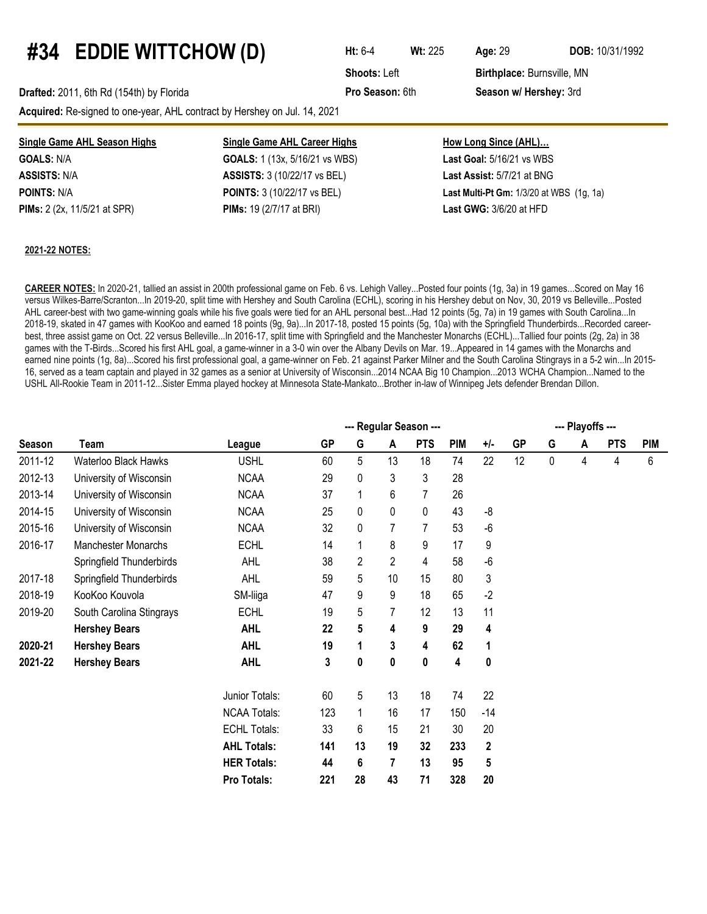## **#34 EDDIE WITTCHOW (D) Ht:** 6-4 **Wt:**<sup>225</sup> **Age:**<sup>29</sup> **DOB:** 10/31/1992

**Acquired:** Re-signed to one-year, AHL contract by Hershey on Jul. 14, 2021

**Shoots: Left Birthplace: Burnsville, MN Drafted:** 2011, 6th Rd (154th) by Florida **Pro Season:** 6th **Season w/ Hershey:** 3rd

**Single Game AHL Season Highs Single Game AHL Career Highs How Long Since (AHL)… GOALS:** N/A **GOALS:** 1 (13x, 5/16/21 vs WBS) **Last Goal:** 5/16/21 vs WBS **ASSISTS:** N/A **ASSISTS:** 3 (10/22/17 vs BEL) **Last Assist:** 5/7/21 at BNG **POINTS:** N/A **POINTS:** 3 (10/22/17 vs BEL) **Last Multi-Pt Gm:** 1/3/20 at WBS (1g, 1a) **PIMs:** 2 (2x, 11/5/21 at SPR) **PIMs:** 19 (2/7/17 at BRI) **Last GWG:** 3/6/20 at HFD

#### **2021-22 NOTES:**

**CAREER NOTES:** In 2020-21, tallied an assist in 200th professional game on Feb. 6 vs. Lehigh Valley...Posted four points (1g, 3a) in 19 games...Scored on May 16 versus Wilkes-Barre/Scranton...In 2019-20, split time with Hershey and South Carolina (ECHL), scoring in his Hershey debut on Nov, 30, 2019 vs Belleville...Posted AHL career-best with two game-winning goals while his five goals were tied for an AHL personal best...Had 12 points (5g, 7a) in 19 games with South Carolina...In 2018-19, skated in 47 games with KooKoo and earned 18 points (9g, 9a)...In 2017-18, posted 15 points (5g, 10a) with the Springfield Thunderbirds...Recorded careerbest, three assist game on Oct. 22 versus Belleville...In 2016-17, split time with Springfield and the Manchester Monarchs (ECHL)...Tallied four points (2g, 2a) in 38 games with the T-Birds...Scored his first AHL goal, a game-winner in a 3-0 win over the Albany Devils on Mar. 19...Appeared in 14 games with the Monarchs and earned nine points (1g, 8a)...Scored his first professional goal, a game-winner on Feb. 21 against Parker Milner and the South Carolina Stingrays in a 5-2 win...In 2015-16, served as a team captain and played in 32 games as a senior at University of Wisconsin...2014 NCAA Big 10 Champion...2013 WCHA Champion...Named to the USHL All-Rookie Team in 2011-12...Sister Emma played hockey at Minnesota State-Mankato...Brother in-law of Winnipeg Jets defender Brendan Dillon.

|         |                            |                     |           | --- Playoffs --- |                |                |            |          |           |             |   |            |            |
|---------|----------------------------|---------------------|-----------|------------------|----------------|----------------|------------|----------|-----------|-------------|---|------------|------------|
| Season  | Team                       | League              | <b>GP</b> | G                | A              | <b>PTS</b>     | <b>PIM</b> | $+/-$    | <b>GP</b> | G           | A | <b>PTS</b> | <b>PIM</b> |
| 2011-12 | Waterloo Black Hawks       | <b>USHL</b>         | 60        | 5                | 13             | 18             | 74         | 22       | 12        | $\mathbf 0$ | 4 | 4          | 6          |
| 2012-13 | University of Wisconsin    | <b>NCAA</b>         | 29        | 0                | 3              | 3              | 28         |          |           |             |   |            |            |
| 2013-14 | University of Wisconsin    | <b>NCAA</b>         | 37        |                  | 6              | $\overline{7}$ | 26         |          |           |             |   |            |            |
| 2014-15 | University of Wisconsin    | <b>NCAA</b>         | 25        | 0                | 0              | 0              | 43         | -8       |           |             |   |            |            |
| 2015-16 | University of Wisconsin    | <b>NCAA</b>         | 32        | 0                |                | 7              | 53         | $-6$     |           |             |   |            |            |
| 2016-17 | <b>Manchester Monarchs</b> | <b>ECHL</b>         | 14        |                  | 8              | 9              | 17         | 9        |           |             |   |            |            |
|         | Springfield Thunderbirds   | AHL                 | 38        | 2                | $\overline{2}$ | 4              | 58         | $-6$     |           |             |   |            |            |
| 2017-18 | Springfield Thunderbirds   | <b>AHL</b>          | 59        | 5                | 10             | 15             | 80         | 3        |           |             |   |            |            |
| 2018-19 | KooKoo Kouvola             | SM-liiga            | 47        | 9                | 9              | 18             | 65         | $-2$     |           |             |   |            |            |
| 2019-20 | South Carolina Stingrays   | <b>ECHL</b>         | 19        | 5                | 7              | 12             | 13         | 11       |           |             |   |            |            |
|         | <b>Hershey Bears</b>       | <b>AHL</b>          | 22        | 5                | 4              | 9              | 29         | 4        |           |             |   |            |            |
| 2020-21 | <b>Hershey Bears</b>       | <b>AHL</b>          | 19        |                  | 3              | 4              | 62         | 1        |           |             |   |            |            |
| 2021-22 | <b>Hershey Bears</b>       | <b>AHL</b>          | 3         | 0                | 0              | 0              | 4          | $\bf{0}$ |           |             |   |            |            |
|         |                            | Junior Totals:      | 60        | 5                | 13             | 18             | 74         | 22       |           |             |   |            |            |
|         |                            | <b>NCAA Totals:</b> | 123       |                  | 16             | 17             | 150        | $-14$    |           |             |   |            |            |
|         |                            | <b>ECHL Totals:</b> | 33        | 6                | 15             | 21             | 30         | 20       |           |             |   |            |            |
|         |                            | <b>AHL Totals:</b>  | 141       | 13               | 19             | 32             | 233        | 2        |           |             |   |            |            |
|         |                            | <b>HER Totals:</b>  | 44        | 6                | 7              | 13             | 95         | 5        |           |             |   |            |            |
|         |                            | Pro Totals:         | 221       | 28               | 43             | 71             | 328        | 20       |           |             |   |            |            |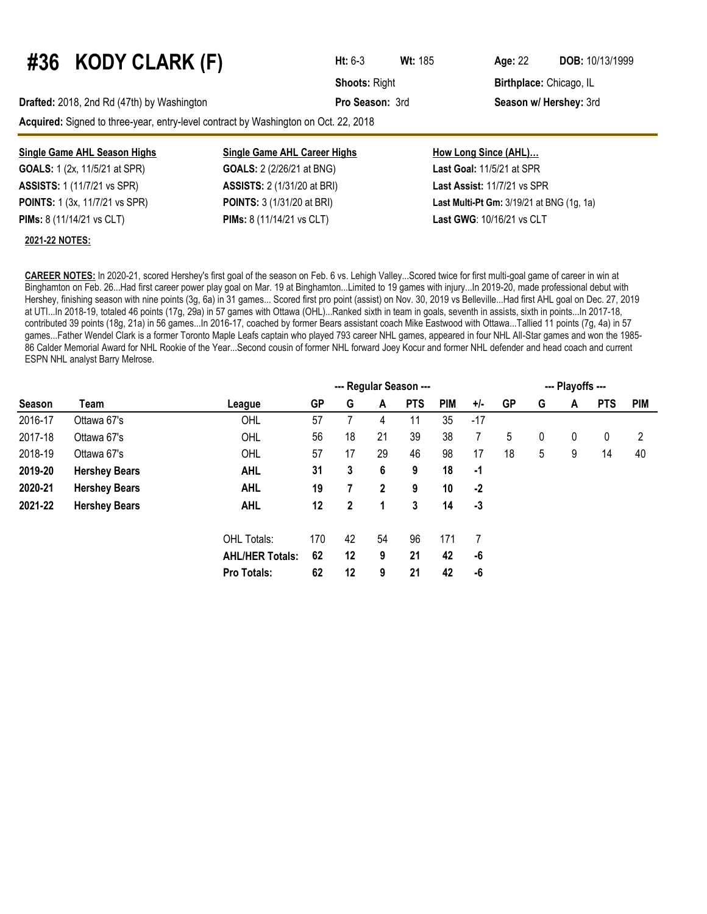# **#36 KODY CLARK (F) Ht:** 6-3 **Wt:**<sup>185</sup> **Age:**<sup>22</sup> **DOB:** 10/13/1999

**Drafted:** 2018, 2nd Rd (47th) by Washington **Pro Season:** 3rd **Season w/ Hershey:** 3rd

**Acquired:** Signed to three-year, entry-level contract by Washington on Oct. 22, 2018

| <b>Single Game AHL Season Highs</b>   | <b>Single Game AHL Career Highs</b> | <b>How Long Since (AHL)</b>                      |
|---------------------------------------|-------------------------------------|--------------------------------------------------|
| <b>GOALS:</b> 1 (2x, 11/5/21 at SPR)  | <b>GOALS:</b> 2 (2/26/21 at BNG)    | <b>Last Goal:</b> $11/5/21$ at SPR               |
| <b>ASSISTS: 1 (11/7/21 vs SPR)</b>    | <b>ASSISTS:</b> 2 (1/31/20 at BRI)  | Last Assist: 11/7/21 vs SPR                      |
| <b>POINTS:</b> 1 (3x, 11/7/21 vs SPR) | <b>POINTS:</b> 3 (1/31/20 at BRI)   | <b>Last Multi-Pt Gm: 3/19/21 at BNG (1g, 1a)</b> |
| <b>PIMs:</b> 8 (11/14/21 vs CLT)      | <b>PIMs:</b> 8 (11/14/21 vs CLT)    | <b>Last GWG: 10/16/21 vs CLT</b>                 |

#### **2021-22 NOTES:**

**CAREER NOTES:** In 2020-21, scored Hershey's first goal of the season on Feb. 6 vs. Lehigh Valley...Scored twice for first multi-goal game of career in win at Binghamton on Feb. 26...Had first career power play goal on Mar. 19 at Binghamton...Limited to 19 games with injury...In 2019-20, made professional debut with Hershey, finishing season with nine points (3g, 6a) in 31 games... Scored first pro point (assist) on Nov. 30, 2019 vs Belleville...Had first AHL goal on Dec. 27, 2019 at UTI...In 2018-19, totaled 46 points (17g, 29a) in 57 games with Ottawa (OHL)...Ranked sixth in team in goals, seventh in assists, sixth in points...In 2017-18, contributed 39 points (18g, 21a) in 56 games...In 2016-17, coached by former Bears assistant coach Mike Eastwood with Ottawa...Tallied 11 points (7g, 4a) in 57 games...Father Wendel Clark is a former Toronto Maple Leafs captain who played 793 career NHL games, appeared in four NHL All-Star games and won the 1985- 86 Calder Memorial Award for NHL Rookie of the Year...Second cousin of former NHL forward Joey Kocur and former NHL defender and head coach and current ESPN NHL analyst Barry Melrose.

|         |                      |                        | --- Regular Season --- |              |              |            |            |       |           |   | --- Playoffs --- |            |    |  |  |  |  |
|---------|----------------------|------------------------|------------------------|--------------|--------------|------------|------------|-------|-----------|---|------------------|------------|----|--|--|--|--|
| Season  | Team                 | League                 | <b>GP</b>              | G            | A            | <b>PTS</b> | <b>PIM</b> | $+/-$ | <b>GP</b> | G | <b>PTS</b><br>A  | <b>PIM</b> |    |  |  |  |  |
| 2016-17 | Ottawa 67's          | OHL                    | 57                     |              | 4            | 11         | 35         | -17   |           |   |                  |            |    |  |  |  |  |
| 2017-18 | Ottawa 67's          | OHL                    | 56                     | 18           | 21           | 39         | 38         | 7     | 5         | 0 | 0                | 0          | 2  |  |  |  |  |
| 2018-19 | Ottawa 67's          | OHL                    | 57                     | 17           | 29           | 46         | 98         | 17    | 18        | 5 | 9                | 14         | 40 |  |  |  |  |
| 2019-20 | <b>Hershey Bears</b> | <b>AHL</b>             | 31                     | 3            | 6            | 9          | 18         | -1    |           |   |                  |            |    |  |  |  |  |
| 2020-21 | <b>Hershey Bears</b> | <b>AHL</b>             | 19                     |              | $\mathbf{2}$ | 9          | 10         | $-2$  |           |   |                  |            |    |  |  |  |  |
| 2021-22 | <b>Hershey Bears</b> | <b>AHL</b>             | 12                     | $\mathbf{2}$ | 1            | 3          | 14         | $-3$  |           |   |                  |            |    |  |  |  |  |
|         |                      | OHL Totals:            | 170                    | 42           | 54           | 96         | 171        | 7     |           |   |                  |            |    |  |  |  |  |
|         |                      | <b>AHL/HER Totals:</b> | 62                     | 12           | 9            | 21         | 42         | -6    |           |   |                  |            |    |  |  |  |  |
|         |                      | Pro Totals:            | 62                     | 12           | 9            | 21         | 42         | $-6$  |           |   |                  |            |    |  |  |  |  |

**Shoots: Right <b>Birthplace:** Chicago, IL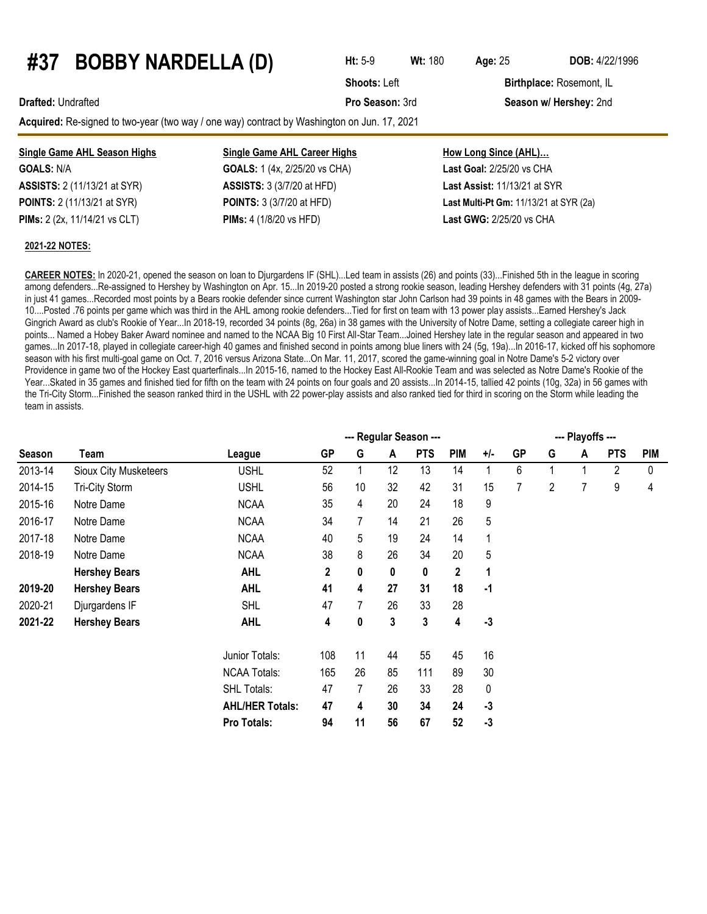### **#37 BOBBY NARDELLA (D) Ht:** 5-9 **Wt:** <sup>180</sup> **Age:**<sup>25</sup> **DOB:** 4/22/1996

**Shoots: Left Birthplace: Rosemont, IL** 

#### **Drafted:** Undrafted **Pro Season:** 3rd **Season w/ Hershey:** 2nd

**Acquired:** Re-signed to two-year (two way / one way) contract by Washington on Jun. 17, 2021

| <b>Single Game AHL Season Highs</b>  | <b>Single Game AHL Career Highs</b>     | <b>How Long Since (AHL)</b>                   |
|--------------------------------------|-----------------------------------------|-----------------------------------------------|
| <b>GOALS: N/A</b>                    | <b>GOALS:</b> 1 (4x, 2/25/20 vs CHA)    | <b>Last Goal: 2/25/20 vs CHA</b>              |
| <b>ASSISTS:</b> 2 (11/13/21 at SYR)  | <b>ASSISTS:</b> 3 (3/7/20 at HFD)       | <b>Last Assist: 11/13/21 at SYR</b>           |
| <b>POINTS:</b> 2 (11/13/21 at SYR)   | <b>POINTS:</b> 3 (3/7/20 at HFD)        | <b>Last Multi-Pt Gm: 11/13/21 at SYR (2a)</b> |
| <b>PIMs:</b> 2 (2x, 11/14/21 vs CLT) | <b>PIMs:</b> $4(1/8/20 \text{ vs HFD})$ | <b>Last GWG: 2/25/20 vs CHA</b>               |

#### **2021-22 NOTES:**

**CAREER NOTES:** In 2020-21, opened the season on loan to Djurgardens IF (SHL)...Led team in assists (26) and points (33)...Finished 5th in the league in scoring among defenders...Re-assigned to Hershey by Washington on Apr. 15...In 2019-20 posted a strong rookie season, leading Hershey defenders with 31 points (4g, 27a) in just 41 games...Recorded most points by a Bears rookie defender since current Washington star John Carlson had 39 points in 48 games with the Bears in 2009- 10....Posted .76 points per game which was third in the AHL among rookie defenders...Tied for first on team with 13 power play assists...Earned Hershey's Jack Gingrich Award as club's Rookie of Year...In 2018-19, recorded 34 points (8g, 26a) in 38 games with the University of Notre Dame, setting a collegiate career high in points... Named a Hobey Baker Award nominee and named to the NCAA Big 10 First All-Star Team...Joined Hershey late in the regular season and appeared in two games...In 2017-18, played in collegiate career-high 40 games and finished second in points among blue liners with 24 (5g, 19a)...In 2016-17, kicked off his sophomore season with his first multi-goal game on Oct. 7, 2016 versus Arizona State...On Mar. 11, 2017, scored the game-winning goal in Notre Dame's 5-2 victory over Providence in game two of the Hockey East quarterfinals...In 2015-16, named to the Hockey East All-Rookie Team and was selected as Notre Dame's Rookie of the Year...Skated in 35 games and finished tied for fifth on the team with 24 points on four goals and 20 assists...In 2014-15, tallied 42 points (10g, 32a) in 56 games with the Tri-City Storm...Finished the season ranked third in the USHL with 22 power-play assists and also ranked tied for third in scoring on the Storm while leading the team in assists.

|               |                       |                        |             |    |    | --- Regular Season --- |            |       |           |   | --- Playoffs --- |            |            |
|---------------|-----------------------|------------------------|-------------|----|----|------------------------|------------|-------|-----------|---|------------------|------------|------------|
| <b>Season</b> | Team                  | League                 | GP          | G  | A  | <b>PTS</b>             | <b>PIM</b> | $+/-$ | <b>GP</b> | G | A                | <b>PTS</b> | <b>PIM</b> |
| 2013-14       | Sioux City Musketeers | <b>USHL</b>            | 52          |    | 12 | 13                     | 14         | 1     | 6         |   |                  | 2          | 0          |
| 2014-15       | Tri-City Storm        | <b>USHL</b>            | 56          | 10 | 32 | 42                     | 31         | 15    | 7         | 2 | 7                | 9          | 4          |
| 2015-16       | Notre Dame            | <b>NCAA</b>            | 35          | 4  | 20 | 24                     | 18         | 9     |           |   |                  |            |            |
| 2016-17       | Notre Dame            | <b>NCAA</b>            | 34          | 7  | 14 | 21                     | 26         | 5     |           |   |                  |            |            |
| 2017-18       | Notre Dame            | <b>NCAA</b>            | 40          | 5  | 19 | 24                     | 14         | 1     |           |   |                  |            |            |
| 2018-19       | Notre Dame            | <b>NCAA</b>            | 38          | 8  | 26 | 34                     | 20         | 5     |           |   |                  |            |            |
|               | <b>Hershey Bears</b>  | <b>AHL</b>             | $\mathbf 2$ | 0  | 0  | 0                      | 2          | 1     |           |   |                  |            |            |
| 2019-20       | <b>Hershey Bears</b>  | <b>AHL</b>             | 41          | 4  | 27 | 31                     | 18         | $-1$  |           |   |                  |            |            |
| 2020-21       | Djurgardens IF        | <b>SHL</b>             | 47          |    | 26 | 33                     | 28         |       |           |   |                  |            |            |
| 2021-22       | <b>Hershey Bears</b>  | <b>AHL</b>             | 4           | 0  | 3  | 3                      | 4          | $-3$  |           |   |                  |            |            |
|               |                       | Junior Totals:         | 108         | 11 | 44 | 55                     | 45         | 16    |           |   |                  |            |            |
|               |                       | <b>NCAA Totals:</b>    | 165         | 26 | 85 | 111                    | 89         | 30    |           |   |                  |            |            |
|               |                       | <b>SHL Totals:</b>     | 47          | 7  | 26 | 33                     | 28         | 0     |           |   |                  |            |            |
|               |                       | <b>AHL/HER Totals:</b> | 47          | 4  | 30 | 34                     | 24         | $-3$  |           |   |                  |            |            |
|               |                       | Pro Totals:            | 94          | 11 | 56 | 67                     | 52         | $-3$  |           |   |                  |            |            |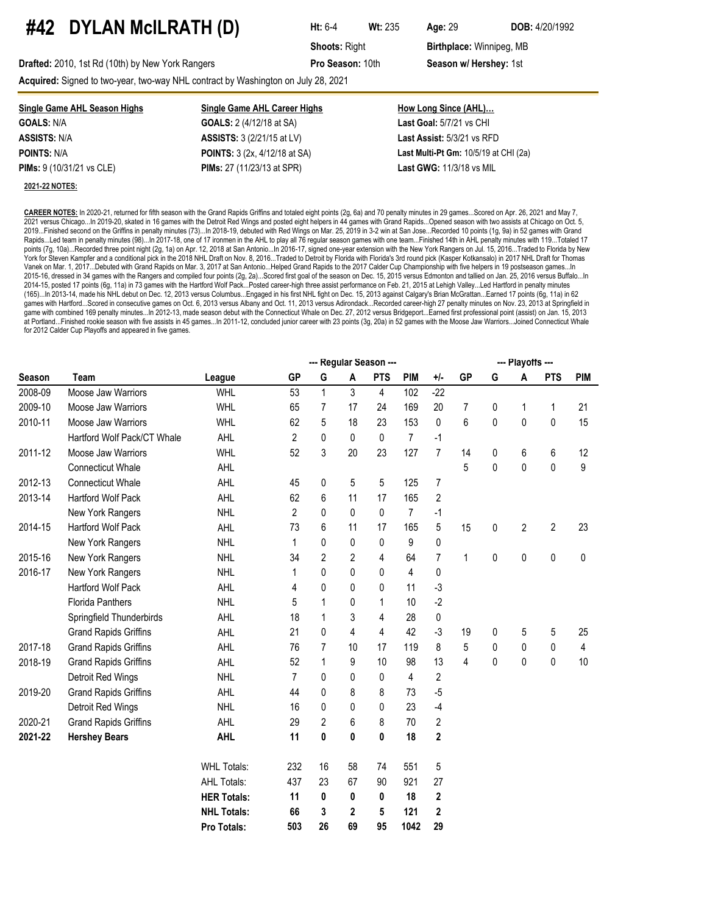### **#42 DYLAN McILRATH (D) Ht:** 6-4 **Wt:** <sup>235</sup> **Age:**<sup>29</sup> **DOB:** 4/20/1992

**Shoots: Right <b>Birthplace:** Winnipeg, MB

**Drafted:** 2010, 1st Rd (10th) by New York Rangers **Pro Season:** 10th **Season w/ Hershey:** 1st

**Acquired:** Signed to two-year, two-way NHL contract by Washington on July 28, 2021

| Single Game AHL Season Highs               | <b>Single Game AHL Career Highs</b>  | How Long Since (AHL)                    |
|--------------------------------------------|--------------------------------------|-----------------------------------------|
| <b>GOALS: N/A</b>                          | <b>GOALS:</b> 2 (4/12/18 at SA)      | Last Goal: 5/7/21 vs CHI                |
| <b>ASSISTS:</b> N/A                        | <b>ASSISTS:</b> 3 (2/21/15 at LV)    | <b>Last Assist: 5/3/21 vs RFD</b>       |
| <b>POINTS: N/A</b>                         | <b>POINTS:</b> 3 (2x, 4/12/18 at SA) | Last Multi-Pt Gm: $10/5/19$ at CHI (2a) |
| <b>PIMs:</b> $9(10/31/21 \text{ vs } CLE)$ | <b>PIMs:</b> 27 (11/23/13 at SPR)    | <b>Last GWG: 11/3/18 vs MIL</b>         |
| <b>2021-22 NOTES:</b>                      |                                      |                                         |

**CAREER NOTES:** In 2020-21, returned for fifth season with the Grand Rapids Griffins and totaled eight points (2g, 6a) and 70 penalty minutes in 29 games...Scored on Apr. 26, 2021 and May 7, 2021 versus Chicago...In 2019-20, skated in 16 games with the Detroit Red Wings and posted eight helpers in 44 games with Grand Rapids...Opened season with two assists at Chicago on Oct. 5, 2019...Finished second on the Griffins in penalty minutes (73)...In 2018-19, debuted with Red Wings on Mar. 25, 2019 in 3-2 win at San Jose...Recorded 10 points (1g, 9a) in 52 games with Grand Rapids...Led team in penalty minutes (98)...In 2017-18, one of 17 ironmen in the AHL to play all 76 regular season games with one team...Finished 14th in AHL penalty minutes with 119...Totaled 17 points (7g, 10a)...Recorded three point night (2g, 1a) on Apr. 12, 2018 at San Antonio...In 2016-17, signed one-year extension with the New York Rangers on Jul. 15, 2016...Traded to Florida by New York for Steven Kampfer and a conditional pick in the 2018 NHL Draft on Nov. 8, 2016...Traded to Detroit by Florida with Florida's 3rd round pick (Kasper Kotkansalo) in 2017 NHL Draft for Thomas Vanek on Mar. 1, 2017...Debuted with Grand Rapids on Mar. 3, 2017 at San Antonio...Helped Grand Rapids to the 2017 Calder Cup Championship with five helpers in 19 postseason games...In 2015-16, dressed in 34 games with the Rangers and compiled four points (2g, 2a)...Scored first goal of the season on Dec. 15, 2015 versus Edmonton and tallied on Jan. 25, 2016 versus Buffalo...In 2014-15, posted 17 points (6g, 11a) in 73 games with the Hartford Wolf Pack...Posted career-high three assist performance on Feb. 21, 2015 at Lehigh Valley...Led Hartford in penalty minutes (165)...In 2013-14, made his NHL debut on Dec. 12, 2013 versus Columbus...Engaged in his first NHL fight on Dec. 15, 2013 against Calgary's Brian McGrattan...Earned 17 points (6g, 11a) in 62 games with Hartford...Scored in consecutive games on Oct. 6, 2013 versus Albany and Oct. 11, 2013 versus Adirondack...Recorded career-high 27 penalty minutes on Nov. 23, 2013 at Springfield in game with combined 169 penalty minutes...In 2012-13, made season debut with the Connecticut Whale on Dec. 27, 2012 versus Bridgeport...Earned first professional point (assist) on Jan. 15, 2013 at Portland...Finished rookie season with five assists in 45 games...In 2011-12, concluded junior career with 23 points (3g, 20a) in 52 games with the Moose Jaw Warriors...Joined Connecticut Whale for 2012 Calder Cup Playoffs and appeared in five games.

|               |                              |                    | --- Regular Season --- |              |                |              |                |                |           |   | --- Playoffs --- |                |            |  |  |  |  |
|---------------|------------------------------|--------------------|------------------------|--------------|----------------|--------------|----------------|----------------|-----------|---|------------------|----------------|------------|--|--|--|--|
| <b>Season</b> | <b>Team</b>                  | League             | <b>GP</b>              | G            | A              | <b>PTS</b>   | <b>PIM</b>     | $+/-$          | <b>GP</b> | G | A                | <b>PTS</b>     | <b>PIM</b> |  |  |  |  |
| 2008-09       | Moose Jaw Warriors           | <b>WHL</b>         | 53                     | $\mathbf{1}$ | 3              | 4            | 102            | $-22$          |           |   |                  |                |            |  |  |  |  |
| 2009-10       | Moose Jaw Warriors           | <b>WHL</b>         | 65                     | 7            | 17             | 24           | 169            | 20             | 7         | 0 | 1                | 1              | 21         |  |  |  |  |
| 2010-11       | Moose Jaw Warriors           | WHL                | 62                     | 5            | 18             | 23           | 153            | 0              | 6         | 0 | $\pmb{0}$        | 0              | 15         |  |  |  |  |
|               | Hartford Wolf Pack/CT Whale  | AHL                | $\overline{2}$         | 0            | 0              | $\mathbf{0}$ | $\overline{7}$ | -1             |           |   |                  |                |            |  |  |  |  |
| 2011-12       | Moose Jaw Warriors           | <b>WHL</b>         | 52                     | 3            | 20             | 23           | 127            | $\overline{7}$ | 14        | 0 | 6                | 6              | 12         |  |  |  |  |
|               | <b>Connecticut Whale</b>     | AHL                |                        |              |                |              |                |                | 5         | 0 | $\pmb{0}$        | 0              | 9          |  |  |  |  |
| 2012-13       | <b>Connecticut Whale</b>     | AHL                | 45                     | 0            | 5              | 5            | 125            | $\overline{7}$ |           |   |                  |                |            |  |  |  |  |
| 2013-14       | Hartford Wolf Pack           | AHL                | 62                     | 6            | 11             | 17           | 165            | $\overline{2}$ |           |   |                  |                |            |  |  |  |  |
|               | New York Rangers             | <b>NHL</b>         | $\overline{2}$         | 0            | 0              | 0            | $\overline{7}$ | $-1$           |           |   |                  |                |            |  |  |  |  |
| 2014-15       | <b>Hartford Wolf Pack</b>    | AHL                | 73                     | 6            | 11             | 17           | 165            | 5              | 15        | 0 | $\overline{c}$   | $\overline{2}$ | 23         |  |  |  |  |
|               | New York Rangers             | <b>NHL</b>         | 1                      | 0            | 0              | 0            | 9              | 0              |           |   |                  |                |            |  |  |  |  |
| 2015-16       | New York Rangers             | <b>NHL</b>         | 34                     | 2            | $\overline{2}$ | 4            | 64             | $\overline{7}$ | 1         | 0 | 0                | 0              | 0          |  |  |  |  |
| 2016-17       | New York Rangers             | <b>NHL</b>         | 1                      | 0            | 0              | 0            | 4              | $\pmb{0}$      |           |   |                  |                |            |  |  |  |  |
|               | <b>Hartford Wolf Pack</b>    | AHL                | 4                      | 0            | 0              | 0            | 11             | $-3$           |           |   |                  |                |            |  |  |  |  |
|               | <b>Florida Panthers</b>      | <b>NHL</b>         | 5                      | 1            | 0              | 1            | 10             | $-2$           |           |   |                  |                |            |  |  |  |  |
|               | Springfield Thunderbirds     | AHL                | 18                     | 1            | 3              | 4            | 28             | 0              |           |   |                  |                |            |  |  |  |  |
|               | <b>Grand Rapids Griffins</b> | AHL                | 21                     | 0            | 4              | 4            | 42             | $-3$           | 19        | 0 | 5                | 5              | 25         |  |  |  |  |
| 2017-18       | <b>Grand Rapids Griffins</b> | AHL                | 76                     | 7            | 10             | 17           | 119            | 8              | 5         | 0 | 0                | 0              | 4          |  |  |  |  |
| 2018-19       | <b>Grand Rapids Griffins</b> | AHL                | 52                     | 1            | 9              | 10           | 98             | 13             | 4         | 0 | 0                | 0              | 10         |  |  |  |  |
|               | Detroit Red Wings            | <b>NHL</b>         | $\overline{7}$         | 0            | 0              | 0            | 4              | $\overline{2}$ |           |   |                  |                |            |  |  |  |  |
| 2019-20       | <b>Grand Rapids Griffins</b> | AHL                | 44                     | 0            | 8              | 8            | 73             | $-5$           |           |   |                  |                |            |  |  |  |  |
|               | Detroit Red Wings            | <b>NHL</b>         | 16                     | 0            | 0              | 0            | 23             | $-4$           |           |   |                  |                |            |  |  |  |  |
| 2020-21       | <b>Grand Rapids Griffins</b> | AHL                | 29                     | 2            | 6              | 8            | 70             | $\overline{2}$ |           |   |                  |                |            |  |  |  |  |
| 2021-22       | <b>Hershey Bears</b>         | <b>AHL</b>         | 11                     | 0            | 0              | 0            | 18             | $\mathbf 2$    |           |   |                  |                |            |  |  |  |  |
|               |                              | <b>WHL Totals:</b> | 232                    | 16           | 58             | 74           | 551            | 5              |           |   |                  |                |            |  |  |  |  |
|               |                              | <b>AHL Totals:</b> | 437                    | 23           | 67             | 90           | 921            | 27             |           |   |                  |                |            |  |  |  |  |
|               |                              | <b>HER Totals:</b> | 11                     | 0            | 0              | 0            | 18             | $\mathbf 2$    |           |   |                  |                |            |  |  |  |  |
|               |                              | <b>NHL Totals:</b> | 66                     | 3            | 2              | 5            | 121            | $\mathbf 2$    |           |   |                  |                |            |  |  |  |  |
|               |                              | <b>Pro Totals:</b> | 503                    | 26           | 69             | 95           | 1042           | 29             |           |   |                  |                |            |  |  |  |  |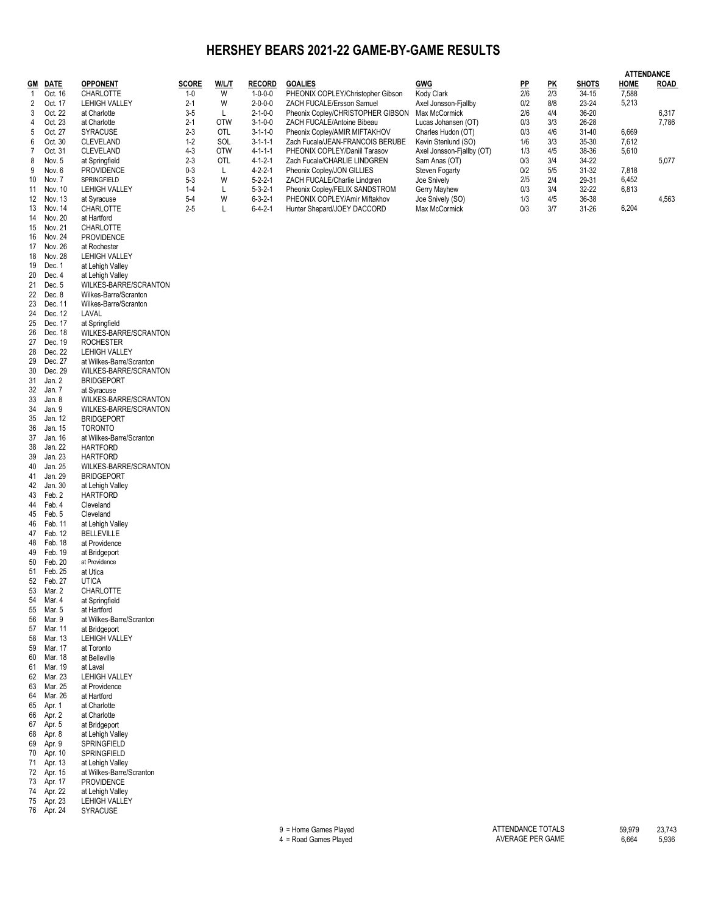#### **HERSHEY BEARS 2021-22 GAME-BY-GAME RESULTS**

|              |                      |                                       |                  |                 |                                    |                                                                 |                                      |            |                           |                | <b>ATTENDANCE</b> |                |
|--------------|----------------------|---------------------------------------|------------------|-----------------|------------------------------------|-----------------------------------------------------------------|--------------------------------------|------------|---------------------------|----------------|-------------------|----------------|
| GM           | <b>DATE</b>          | <b>OPPONENT</b>                       | <b>SCORE</b>     | W/L/T           | <b>RECORD</b>                      | <b>GOALIES</b>                                                  | GWG                                  | <u>PP</u>  | $\underline{\mathsf{PK}}$ | <b>SHOTS</b>   | HOME              | <b>ROAD</b>    |
| $\mathbf{1}$ | Oct. 16              | CHARLOTTE                             | 1-0              | W               | $1 - 0 - 0 - 0$                    | PHEONIX COPLEY/Christopher Gibson                               | Kody Clark                           | 2/6        | 2/3                       | $34-15$        | 7,588             |                |
| 2            | Oct. 17              | <b>LEHIGH VALLEY</b>                  | $2 - 1$          | W               | $2 - 0 - 0 - 0$                    | ZACH FUCALE/Ersson Samuel                                       | Axel Jonsson-Fjallby                 | 0/2        | 8/8                       | 23-24          | 5,213             |                |
| 3<br>4       | Oct. 22<br>Oct. 23   | at Charlotte<br>at Charlotte          | $3-5$<br>$2 - 1$ | Г<br><b>OTW</b> | $2 - 1 - 0 - 0$<br>$3 - 1 - 0 - 0$ | Pheonix Copley/CHRISTOPHER GIBSON<br>ZACH FUCALE/Antoine Bibeau | Max McCormick<br>Lucas Johansen (OT) | 2/6<br>0/3 | 4/4<br>3/3                | 36-20<br>26-28 |                   | 6,317<br>7,786 |
| 5            | Oct. 27              | <b>SYRACUSE</b>                       | $2 - 3$          | OTL             | $3 - 1 - 1 - 0$                    | Pheonix Copley/AMIR MIFTAKHOV                                   | Charles Hudon (OT)                   | 0/3        | 4/6                       | 31-40          | 6,669             |                |
| 6            | Oct. 30              | <b>CLEVELAND</b>                      | $1-2$            | SOL             | $3 - 1 - 1 - 1$                    | Zach Fucale/JEAN-FRANCOIS BERUBE                                | Kevin Stenlund (SO)                  | 1/6        | 3/3                       | 35-30          | 7,612             |                |
| 7            | Oct. 31              | <b>CLEVELAND</b>                      | $4 - 3$          | <b>OTW</b>      | $4 - 1 - 1 - 1$                    | PHEONIX COPLEY/Daniil Tarasov                                   | Axel Jonsson-Fiallby (OT)            | 1/3        | 4/5                       | 38-36          | 5,610             |                |
| 8            | Nov. 5               | at Springfield                        | $2 - 3$          | OTL             | $4 - 1 - 2 - 1$                    | Zach Fucale/CHARLIE LINDGREN                                    | Sam Anas (OT)                        | 0/3        | 3/4                       | 34-22          |                   | 5,077          |
| 9            | Nov. 6               | <b>PROVIDENCE</b><br>SPRINGFIELD      | $0 - 3$          | Г<br>W          | $4 - 2 - 2 - 1$                    | Pheonix Copley/JON GILLIES                                      | Steven Fogarty                       | 0/2        | 5/5                       | 31-32          | 7,818             |                |
| 10<br>11     | Nov. 7<br>Nov. 10    | <b>LEHIGH VALLEY</b>                  | $5-3$<br>$1 - 4$ | Г               | $5 - 2 - 2 - 1$<br>$5 - 3 - 2 - 1$ | ZACH FUCALE/Charlie Lindgren<br>Pheonix Copley/FELIX SANDSTROM  | Joe Snively<br>Gerry Mayhew          | 2/5<br>0/3 | 2/4<br>3/4                | 29-31<br>32-22 | 6,452<br>6,813    |                |
| 12           | Nov. 13              | at Syracuse                           | $5-4$            | W               | $6 - 3 - 2 - 1$                    | PHEONIX COPLEY/Amir Miftakhov                                   | Joe Snively (SO)                     | 1/3        | 4/5                       | 36-38          |                   | 4,563          |
| 13           | Nov. 14              | CHARLOTTE                             | $2 - 5$          | Г               | $6 - 4 - 2 - 1$                    | Hunter Shepard/JOEY DACCORD                                     | Max McCormick                        | 0/3        | 3/7                       | 31-26          | 6,204             |                |
| 14           | Nov. 20              | at Hartford                           |                  |                 |                                    |                                                                 |                                      |            |                           |                |                   |                |
| 15           | Nov. 21              | CHARLOTTE                             |                  |                 |                                    |                                                                 |                                      |            |                           |                |                   |                |
| 16           | Nov. 24              | <b>PROVIDENCE</b>                     |                  |                 |                                    |                                                                 |                                      |            |                           |                |                   |                |
| 17<br>18     | Nov. 26<br>Nov. 28   | at Rochester<br><b>LEHIGH VALLEY</b>  |                  |                 |                                    |                                                                 |                                      |            |                           |                |                   |                |
| 19           | Dec. 1               | at Lehigh Valley                      |                  |                 |                                    |                                                                 |                                      |            |                           |                |                   |                |
| 20           | Dec. 4               | at Lehigh Valley                      |                  |                 |                                    |                                                                 |                                      |            |                           |                |                   |                |
| 21           | Dec. 5               | WILKES-BARRE/SCRANTON                 |                  |                 |                                    |                                                                 |                                      |            |                           |                |                   |                |
| 22           | Dec. 8               | Wilkes-Barre/Scranton                 |                  |                 |                                    |                                                                 |                                      |            |                           |                |                   |                |
| 23           | Dec. 11              | Wilkes-Barre/Scranton                 |                  |                 |                                    |                                                                 |                                      |            |                           |                |                   |                |
| 24<br>25     | Dec. 12<br>Dec. 17   | LAVAL<br>at Springfield               |                  |                 |                                    |                                                                 |                                      |            |                           |                |                   |                |
| 26           | Dec. 18              | WILKES-BARRE/SCRANTON                 |                  |                 |                                    |                                                                 |                                      |            |                           |                |                   |                |
| 27           | Dec. 19              | <b>ROCHESTER</b>                      |                  |                 |                                    |                                                                 |                                      |            |                           |                |                   |                |
| 28           | Dec. 22              | LEHIGH VALLEY                         |                  |                 |                                    |                                                                 |                                      |            |                           |                |                   |                |
| 29           | Dec. 27              | at Wilkes-Barre/Scranton              |                  |                 |                                    |                                                                 |                                      |            |                           |                |                   |                |
| 30           | Dec. 29              | WILKES-BARRE/SCRANTON                 |                  |                 |                                    |                                                                 |                                      |            |                           |                |                   |                |
| 31<br>32     | Jan. 2<br>Jan. 7     | <b>BRIDGEPORT</b><br>at Syracuse      |                  |                 |                                    |                                                                 |                                      |            |                           |                |                   |                |
| 33           | Jan. 8               | WILKES-BARRE/SCRANTON                 |                  |                 |                                    |                                                                 |                                      |            |                           |                |                   |                |
| 34           | Jan. 9               | WILKES-BARRE/SCRANTON                 |                  |                 |                                    |                                                                 |                                      |            |                           |                |                   |                |
| 35           | Jan. 12              | <b>BRIDGEPORT</b>                     |                  |                 |                                    |                                                                 |                                      |            |                           |                |                   |                |
| 36           | Jan. 15              | <b>TORONTO</b>                        |                  |                 |                                    |                                                                 |                                      |            |                           |                |                   |                |
| 37           | Jan. 16              | at Wilkes-Barre/Scranton              |                  |                 |                                    |                                                                 |                                      |            |                           |                |                   |                |
| 38<br>39     | Jan. 22<br>Jan. 23   | <b>HARTFORD</b><br><b>HARTFORD</b>    |                  |                 |                                    |                                                                 |                                      |            |                           |                |                   |                |
| 40           | Jan. 25              | WILKES-BARRE/SCRANTON                 |                  |                 |                                    |                                                                 |                                      |            |                           |                |                   |                |
| 41           | Jan. 29              | <b>BRIDGEPORT</b>                     |                  |                 |                                    |                                                                 |                                      |            |                           |                |                   |                |
| 42           | Jan. 30              | at Lehigh Valley                      |                  |                 |                                    |                                                                 |                                      |            |                           |                |                   |                |
| 43           | Feb. 2               | <b>HARTFORD</b>                       |                  |                 |                                    |                                                                 |                                      |            |                           |                |                   |                |
| 44           | Feb. 4               | Cleveland                             |                  |                 |                                    |                                                                 |                                      |            |                           |                |                   |                |
| 45<br>46     | Feb. 5<br>Feb. 11    | Cleveland                             |                  |                 |                                    |                                                                 |                                      |            |                           |                |                   |                |
| 47           | Feb. 12              | at Lehigh Valley<br><b>BELLEVILLE</b> |                  |                 |                                    |                                                                 |                                      |            |                           |                |                   |                |
| 48           | Feb. 18              | at Providence                         |                  |                 |                                    |                                                                 |                                      |            |                           |                |                   |                |
| 49           | Feb. 19              | at Bridgeport                         |                  |                 |                                    |                                                                 |                                      |            |                           |                |                   |                |
| 50           | Feb. 20              | at Providence                         |                  |                 |                                    |                                                                 |                                      |            |                           |                |                   |                |
| 51           | Feb. 25              | at Utica                              |                  |                 |                                    |                                                                 |                                      |            |                           |                |                   |                |
|              | 52 Feb. 27<br>Mar. 2 | <b>UTICA</b><br>CHARLOTTE             |                  |                 |                                    |                                                                 |                                      |            |                           |                |                   |                |
| 53<br>54     | Mar. 4               | at Springfield                        |                  |                 |                                    |                                                                 |                                      |            |                           |                |                   |                |
| 55           | Mar. 5               | at Hartford                           |                  |                 |                                    |                                                                 |                                      |            |                           |                |                   |                |
| 56           | Mar. 9               | at Wilkes-Barre/Scranton              |                  |                 |                                    |                                                                 |                                      |            |                           |                |                   |                |
| 57           | Mar. 11              | at Bridgeport                         |                  |                 |                                    |                                                                 |                                      |            |                           |                |                   |                |
| 58           | Mar. 13              | <b>LEHIGH VALLEY</b>                  |                  |                 |                                    |                                                                 |                                      |            |                           |                |                   |                |
| 59<br>60     | Mar. 17<br>Mar. 18   | at Toronto<br>at Belleville           |                  |                 |                                    |                                                                 |                                      |            |                           |                |                   |                |
| 61           | Mar. 19              | at Laval                              |                  |                 |                                    |                                                                 |                                      |            |                           |                |                   |                |
| 62           | Mar. 23              | <b>LEHIGH VALLEY</b>                  |                  |                 |                                    |                                                                 |                                      |            |                           |                |                   |                |
| 63           | Mar. 25              | at Providence                         |                  |                 |                                    |                                                                 |                                      |            |                           |                |                   |                |
| 64           | Mar. 26              | at Hartford                           |                  |                 |                                    |                                                                 |                                      |            |                           |                |                   |                |
| 65           | Apr. 1               | at Charlotte                          |                  |                 |                                    |                                                                 |                                      |            |                           |                |                   |                |
| 66<br>67     | Apr. 2<br>Apr. 5     | at Charlotte<br>at Bridgeport         |                  |                 |                                    |                                                                 |                                      |            |                           |                |                   |                |
| 68           | Apr. 8               | at Lehigh Valley                      |                  |                 |                                    |                                                                 |                                      |            |                           |                |                   |                |
| 69           | Apr. 9               | SPRINGFIELD                           |                  |                 |                                    |                                                                 |                                      |            |                           |                |                   |                |
| 70           | Apr. 10              | SPRINGFIELD                           |                  |                 |                                    |                                                                 |                                      |            |                           |                |                   |                |
| 71           | Apr. 13              | at Lehigh Valley                      |                  |                 |                                    |                                                                 |                                      |            |                           |                |                   |                |
| 72           | Apr. 15              | at Wilkes-Barre/Scranton              |                  |                 |                                    |                                                                 |                                      |            |                           |                |                   |                |
| 73<br>74     | Apr. 17<br>Apr. 22   | <b>PROVIDENCE</b><br>at Lehigh Valley |                  |                 |                                    |                                                                 |                                      |            |                           |                |                   |                |
| 75           | Apr. 23              | <b>LEHIGH VALLEY</b>                  |                  |                 |                                    |                                                                 |                                      |            |                           |                |                   |                |
|              | 76 Apr. 24           | SYRACUSE                              |                  |                 |                                    |                                                                 |                                      |            |                           |                |                   |                |
|              |                      |                                       |                  |                 |                                    |                                                                 |                                      |            |                           |                |                   |                |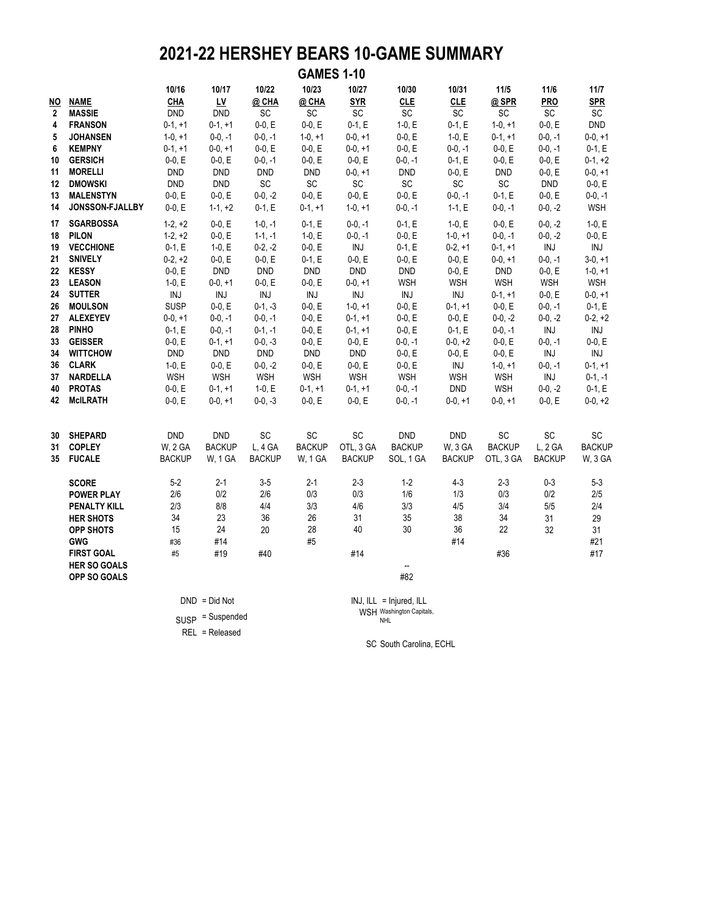### **2021-22 HERSHEY BEARS 10-GAME SUMMARY**

|                                                                                                    |                                                                                                                                                                                                                                                                                                              |                                                                                                                                                                                                                |                                                                                                                                                                                                                  |                                                                                                                                                                                                                    | <b>GAMES 1-10</b>                                                                                                                                                                                           |                                                                                                                                                                                                       |                                                                                                                                                                                                               |                                                                                                                                                                                                    |                                                                                                                                                                                                                           |                                                                                                                                                                                                            |                                                                                                                                                                                                      |
|----------------------------------------------------------------------------------------------------|--------------------------------------------------------------------------------------------------------------------------------------------------------------------------------------------------------------------------------------------------------------------------------------------------------------|----------------------------------------------------------------------------------------------------------------------------------------------------------------------------------------------------------------|------------------------------------------------------------------------------------------------------------------------------------------------------------------------------------------------------------------|--------------------------------------------------------------------------------------------------------------------------------------------------------------------------------------------------------------------|-------------------------------------------------------------------------------------------------------------------------------------------------------------------------------------------------------------|-------------------------------------------------------------------------------------------------------------------------------------------------------------------------------------------------------|---------------------------------------------------------------------------------------------------------------------------------------------------------------------------------------------------------------|----------------------------------------------------------------------------------------------------------------------------------------------------------------------------------------------------|---------------------------------------------------------------------------------------------------------------------------------------------------------------------------------------------------------------------------|------------------------------------------------------------------------------------------------------------------------------------------------------------------------------------------------------------|------------------------------------------------------------------------------------------------------------------------------------------------------------------------------------------------------|
| ΝO<br>$\mathbf{2}$<br>4<br>5<br>6<br>10<br>11<br>12<br>13                                          | <b>NAME</b><br><b>MASSIE</b><br><b>FRANSON</b><br><b>JOHANSEN</b><br><b>KEMPNY</b><br><b>GERSICH</b><br><b>MORELLI</b><br><b>DMOWSKI</b><br><b>MALENSTYN</b>                                                                                                                                                 | 10/16<br>$CHA$<br><b>DND</b><br>$0-1, +1$<br>$1-0, +1$<br>$0-1, +1$<br>$0-0, E$<br><b>DND</b><br><b>DND</b><br>$0-0, E$                                                                                        | 10/17<br>$\underline{\mathsf{L}\mathsf{V}}$<br><b>DND</b><br>$0-1, +1$<br>$0-0, -1$<br>$0-0, +1$<br>$0-0, E$<br><b>DND</b><br><b>DND</b><br>$0-0, E$                                                             | 10/22<br>@ CHA<br>SC<br>$0-0, E$<br>$0-0, -1$<br>$0-0, E$<br>$0-0, -1$<br><b>DND</b><br>$\mathsf{SC}$<br>$0-0, -2$                                                                                                 | 10/23<br>@ CHA<br>SC<br>$0-0, E$<br>$1-0, +1$<br>$0-0, E$<br>$0-0, E$<br><b>DND</b><br>$\mathsf{SC}$<br>$0-0, E$                                                                                            | 10/27<br><b>SYR</b><br>SC<br>$0-1, E$<br>$0-0, +1$<br>$0-0, +1$<br>$0-0, E$<br>$0-0, +1$<br>SC<br>$0-0, E$                                                                                            | 10/30<br><b>CLE</b><br>SC<br>$1-0, E$<br>$0-0, E$<br>$0-0, E$<br>$0-0, -1$<br><b>DND</b><br>$\mathsf{SC}$<br>$0-0, E$                                                                                         | 10/31<br><b>CLE</b><br>SC<br>$0-1, E$<br>$1-0, E$<br>$0-0, -1$<br>$0-1, E$<br>$0-0, E$<br>$\operatorname{\textsf{SC}}$<br>$0-0, -1$                                                                | $11/5$<br>@SPR<br>SC<br>$1-0, +1$<br>$0-1, +1$<br>$0-0, E$<br>$0-0, E$<br><b>DND</b><br>$\mathsf{SC}$<br>$0-1, E$                                                                                                         | $11/6$<br><b>PRO</b><br>SC<br>$0-0, E$<br>$0-0, -1$<br>$0-0, -1$<br>$0-0, E$<br>$0-0, E$<br><b>DND</b><br>$0 - 0, E$                                                                                       | 11/7<br><b>SPR</b><br>SC<br><b>DND</b><br>$0-0, +1$<br>$0-1, E$<br>$0-1, +2$<br>$0-0, +1$<br>$0-0, E$<br>$0-0, -1$                                                                                   |
| 14<br>17<br>18<br>19<br>21<br>22<br>23<br>24<br>26<br>27<br>28<br>33<br>34<br>36<br>37<br>40<br>42 | JONSSON-FJALLBY<br><b>SGARBOSSA</b><br><b>PILON</b><br><b>VECCHIONE</b><br><b>SNIVELY</b><br><b>KESSY</b><br><b>LEASON</b><br><b>SUTTER</b><br><b>MOULSON</b><br><b>ALEXEYEV</b><br><b>PINHO</b><br><b>GEISSER</b><br><b>WITTCHOW</b><br><b>CLARK</b><br><b>NARDELLA</b><br><b>PROTAS</b><br><b>McILRATH</b> | $0-0, E$<br>$1-2, +2$<br>$1-2, +2$<br>$0-1, E$<br>$0-2, +2$<br>$0-0, E$<br>$1-0, E$<br>INJ<br><b>SUSP</b><br>$0-0, +1$<br>$0-1, E$<br>$0-0, E$<br><b>DND</b><br>$1-0, E$<br><b>WSH</b><br>$0-0, E$<br>$0-0, E$ | $1-1, +2$<br>$0-0, E$<br>$0-0, E$<br>$1-0, E$<br>$0-0, E$<br><b>DND</b><br>$0-0, +1$<br>INJ<br>$0-0, E$<br>$0-0, -1$<br>$0-0, -1$<br>$0-1, +1$<br><b>DND</b><br>$0-0, E$<br><b>WSH</b><br>$0-1, +1$<br>$0-0, +1$ | $0-1, E$<br>$1-0, -1$<br>$1-1, -1$<br>$0-2, -2$<br>$0-0, E$<br><b>DND</b><br>$0-0, E$<br>INJ<br>$0-1, -3$<br>$0-0, -1$<br>$0-1, -1$<br>$0-0, -3$<br><b>DND</b><br>$0-0, -2$<br><b>WSH</b><br>$1-0, E$<br>$0-0, -3$ | $0-1, +1$<br>$0-1, E$<br>$1-0, E$<br>$0-0, E$<br>$0-1, E$<br><b>DND</b><br>$0-0, E$<br>INJ<br>$0-0, E$<br>$0-0, E$<br>$0-0, E$<br>$0-0, E$<br><b>DND</b><br>$0-0, E$<br><b>WSH</b><br>$0-1, +1$<br>$0-0, E$ | $1-0, +1$<br>$0-0, -1$<br>$0-0, -1$<br>INJ<br>$0-0, E$<br><b>DND</b><br>$0-0, +1$<br>INJ<br>$1-0, +1$<br>$0-1, +1$<br>$0-1, +1$<br>$0-0, E$<br><b>DND</b><br>$0-0, E$<br>WSH<br>$0-1, +1$<br>$0-0, E$ | $0-0, -1$<br>$0-1, E$<br>$0-0, E$<br>$0-1, E$<br>$0-0, E$<br><b>DND</b><br><b>WSH</b><br><b>INJ</b><br>$0-0, E$<br>$0-0, E$<br>$0-0, E$<br>$0-0, -1$<br>$0-0, E$<br>$0-0, E$<br>WSH<br>$0-0, -1$<br>$0-0, -1$ | $1-1, E$<br>$1-0, E$<br>$1-0, +1$<br>$0-2, +1$<br>$0-0, E$<br>$0-0, E$<br>WSH<br>INJ<br>$0-1, +1$<br>$0-0, E$<br>$0-1, E$<br>$0-0, +2$<br>$0-0, E$<br>INJ<br><b>WSH</b><br><b>DND</b><br>$0-0, +1$ | $0-0, -1$<br>$0-0, E$<br>$0-0, -1$<br>$0-1, +1$<br>$0-0, +1$<br><b>DND</b><br><b>WSH</b><br>$0-1, +1$<br>$0-0, E$<br>$0-0, -2$<br>$0-0, -1$<br>$0-0, E$<br>$0-0, E$<br>$1-0, +1$<br><b>WSH</b><br><b>WSH</b><br>$0-0, +1$ | $0-0, -2$<br>$0-0, -2$<br>$0-0, -2$<br>$\textsf{INJ}$<br>$0-0, -1$<br>$0-0, E$<br><b>WSH</b><br>$0-0, E$<br>$0-0, -1$<br>$0-0, -2$<br>INJ<br>$0-0, -1$<br>INJ<br>$0-0, -1$<br>INJ<br>$0-0, -2$<br>$0-0, E$ | <b>WSH</b><br>$1-0, E$<br>$0-0, E$<br>INJ<br>$3-0, +1$<br>$1-0, +1$<br><b>WSH</b><br>$0-0, +1$<br>$0-1, E$<br>$0-2, +2$<br>INJ<br>$0-0, E$<br>INJ<br>$0-1, +1$<br>$0-1, -1$<br>$0-1, E$<br>$0-0, +2$ |
| 30<br>31<br>35                                                                                     | <b>SHEPARD</b><br><b>COPLEY</b><br><b>FUCALE</b><br><b>SCORE</b><br><b>POWER PLAY</b><br><b>PENALTY KILL</b><br><b>HER SHOTS</b><br><b>OPP SHOTS</b><br><b>GWG</b><br><b>FIRST GOAL</b><br><b>HER SO GOALS</b><br>OPP SO GOALS                                                                               | <b>DND</b><br>W, 2 GA<br><b>BACKUP</b><br>$5-2$<br>2/6<br>2/3<br>34<br>15<br>#36<br>#5                                                                                                                         | <b>DND</b><br><b>BACKUP</b><br><b>W, 1 GA</b><br>$2-1$<br>0/2<br>8/8<br>23<br>24<br>#14<br>#19                                                                                                                   | SC<br>L, 4 GA<br><b>BACKUP</b><br>$3-5$<br>$2/6$<br>4/4<br>36<br>20<br>#40                                                                                                                                         | SC<br><b>BACKUP</b><br><b>W, 1 GA</b><br>$2 - 1$<br>0/3<br>3/3<br>26<br>28<br>#5                                                                                                                            | SC<br>OTL, 3 GA<br><b>BACKUP</b><br>$2-3$<br>0/3<br>4/6<br>31<br>40<br>#14                                                                                                                            | <b>DND</b><br><b>BACKUP</b><br>SOL, 1 GA<br>$1-2$<br>1/6<br>3/3<br>35<br>30<br>--<br>#82                                                                                                                      | <b>DND</b><br>W, 3 GA<br><b>BACKUP</b><br>$4 - 3$<br>1/3<br>4/5<br>38<br>36<br>#14                                                                                                                 | SC<br><b>BACKUP</b><br>OTL, 3 GA<br>$2-3$<br>0/3<br>3/4<br>34<br>22<br>#36                                                                                                                                                | SC<br>L, 2 GA<br><b>BACKUP</b><br>$0 - 3$<br>$0/2$<br>5/5<br>31<br>32                                                                                                                                      | SC<br><b>BACKUP</b><br>W, 3 GA<br>$5 - 3$<br>2/5<br>2/4<br>29<br>31<br>#21<br>#17                                                                                                                    |
|                                                                                                    |                                                                                                                                                                                                                                                                                                              |                                                                                                                                                                                                                | $DND = Did Not$<br>$SUBP = Suspended$                                                                                                                                                                            |                                                                                                                                                                                                                    |                                                                                                                                                                                                             |                                                                                                                                                                                                       | $INJ, ILL = Injured, ILL$<br>WSH Washington Capitals,<br><b>NHL</b>                                                                                                                                           |                                                                                                                                                                                                    |                                                                                                                                                                                                                           |                                                                                                                                                                                                            |                                                                                                                                                                                                      |

REL = Released

SC South Carolina, ECHL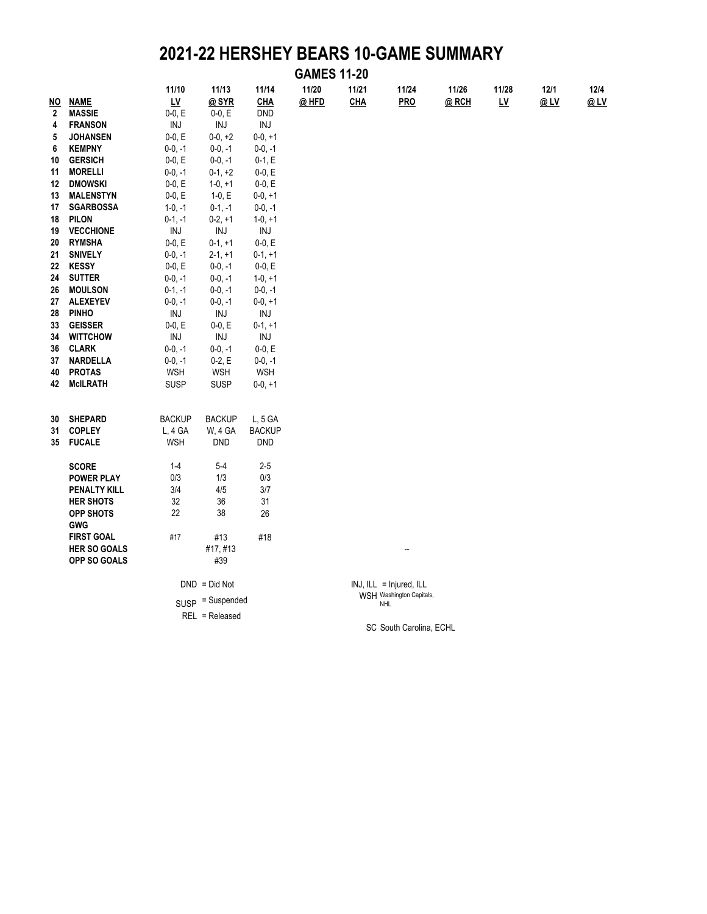### **2021-22 HERSHEY BEARS 10-GAME SUMMARY**

|              | <b>GAMES 11-20</b>  |               |                    |                |       |            |                                        |       |                                    |      |      |  |  |
|--------------|---------------------|---------------|--------------------|----------------|-------|------------|----------------------------------------|-------|------------------------------------|------|------|--|--|
|              |                     | 11/10         | 11/13              | 11/14          | 11/20 | 11/21      | 11/24                                  | 11/26 | 11/28                              | 12/1 | 12/4 |  |  |
| <u>NO</u>    | <b>NAME</b>         | <u>LV</u>     | @SYR               | <b>CHA</b>     | @ HFD | <b>CHA</b> | PRO                                    | @RCH  | $\underline{\mathsf{L}\mathsf{V}}$ | @LV  | @LV  |  |  |
| $\mathbf{2}$ | <b>MASSIE</b>       | $0-0, E$      | $0-0, E$           | <b>DND</b>     |       |            |                                        |       |                                    |      |      |  |  |
| 4            | <b>FRANSON</b>      | INJ           | INJ                | INJ            |       |            |                                        |       |                                    |      |      |  |  |
| 5            | <b>JOHANSEN</b>     | $0-0, E$      | $0-0, +2$          | $0-0, +1$      |       |            |                                        |       |                                    |      |      |  |  |
| 6            | <b>KEMPNY</b>       | $0-0, -1$     | $0-0, -1$          | $0-0, -1$      |       |            |                                        |       |                                    |      |      |  |  |
| 10           | <b>GERSICH</b>      | $0-0, E$      | $0-0, -1$          | $0-1, E$       |       |            |                                        |       |                                    |      |      |  |  |
| 11           | <b>MORELLI</b>      | $0-0, -1$     | $0-1, +2$          | $0-0, E$       |       |            |                                        |       |                                    |      |      |  |  |
| 12           | <b>DMOWSKI</b>      | $0-0, E$      | $1-0, +1$          | $0-0, E$       |       |            |                                        |       |                                    |      |      |  |  |
| 13           | <b>MALENSTYN</b>    | $0-0, E$      | 1-0, $E$           | $0-0, +1$      |       |            |                                        |       |                                    |      |      |  |  |
| 17           | <b>SGARBOSSA</b>    | $1-0, -1$     | $0-1, -1$          | $0-0, -1$      |       |            |                                        |       |                                    |      |      |  |  |
| 18           | <b>PILON</b>        | $0-1, -1$     | $0-2, +1$          | $1-0, +1$      |       |            |                                        |       |                                    |      |      |  |  |
| 19           | <b>VECCHIONE</b>    | INJ           | $\textsf{INJ}$     | $\textsf{INJ}$ |       |            |                                        |       |                                    |      |      |  |  |
| 20           | <b>RYMSHA</b>       | $0-0, E$      | $0-1, +1$          | $0-0, E$       |       |            |                                        |       |                                    |      |      |  |  |
| 21           | <b>SNIVELY</b>      | $0-0, -1$     | $2-1, +1$          | $0-1, +1$      |       |            |                                        |       |                                    |      |      |  |  |
| 22           | <b>KESSY</b>        | $0-0, E$      | $0-0, -1$          | $0-0, E$       |       |            |                                        |       |                                    |      |      |  |  |
| 24           | <b>SUTTER</b>       | $0-0, -1$     | $0-0, -1$          | $1-0, +1$      |       |            |                                        |       |                                    |      |      |  |  |
| 26           | <b>MOULSON</b>      | $0-1, -1$     | $0-0, -1$          | $0-0, -1$      |       |            |                                        |       |                                    |      |      |  |  |
| 27           | <b>ALEXEYEV</b>     | $0-0, -1$     | $0-0, -1$          | $0-0, +1$      |       |            |                                        |       |                                    |      |      |  |  |
| 28           | <b>PINHO</b>        | INJ           | $\textsf{INJ}$     | INJ            |       |            |                                        |       |                                    |      |      |  |  |
| 33           | <b>GEISSER</b>      | $0-0, E$      | $0-0, E$           | $0-1, +1$      |       |            |                                        |       |                                    |      |      |  |  |
| 34           | <b>WITTCHOW</b>     | INJ           | INJ                | INJ            |       |            |                                        |       |                                    |      |      |  |  |
| 36           | <b>CLARK</b>        | $0-0, -1$     | $0-0, -1$          | $0-0, E$       |       |            |                                        |       |                                    |      |      |  |  |
| 37           | <b>NARDELLA</b>     | $0-0, -1$     | $0-2, E$           | $0-0, -1$      |       |            |                                        |       |                                    |      |      |  |  |
| 40           | <b>PROTAS</b>       | <b>WSH</b>    | <b>WSH</b>         | <b>WSH</b>     |       |            |                                        |       |                                    |      |      |  |  |
| 42           | <b>McILRATH</b>     | <b>SUSP</b>   | SUSP               | $0-0, +1$      |       |            |                                        |       |                                    |      |      |  |  |
|              |                     |               |                    |                |       |            |                                        |       |                                    |      |      |  |  |
| 30           | <b>SHEPARD</b>      | <b>BACKUP</b> | <b>BACKUP</b>      | $L, 5$ GA      |       |            |                                        |       |                                    |      |      |  |  |
| 31           | <b>COPLEY</b>       | $L, 4$ GA     | W, 4 GA            | <b>BACKUP</b>  |       |            |                                        |       |                                    |      |      |  |  |
| 35           | <b>FUCALE</b>       | <b>WSH</b>    | <b>DND</b>         | <b>DND</b>     |       |            |                                        |       |                                    |      |      |  |  |
|              |                     |               |                    |                |       |            |                                        |       |                                    |      |      |  |  |
|              | <b>SCORE</b>        | $1 - 4$       | $5-4$              | $2-5$          |       |            |                                        |       |                                    |      |      |  |  |
|              | <b>POWER PLAY</b>   | 0/3           | 1/3                | 0/3            |       |            |                                        |       |                                    |      |      |  |  |
|              | <b>PENALTY KILL</b> | 3/4           | 4/5                | 3/7            |       |            |                                        |       |                                    |      |      |  |  |
|              | <b>HER SHOTS</b>    | 32            | 36                 | 31             |       |            |                                        |       |                                    |      |      |  |  |
|              | OPP SHOTS           | 22            | 38                 | 26             |       |            |                                        |       |                                    |      |      |  |  |
|              | <b>GWG</b>          |               |                    |                |       |            |                                        |       |                                    |      |      |  |  |
|              | <b>FIRST GOAL</b>   | #17           | #13                | #18            |       |            |                                        |       |                                    |      |      |  |  |
|              | <b>HER SO GOALS</b> |               | #17,#13            |                |       |            |                                        |       |                                    |      |      |  |  |
|              | OPP SO GOALS        |               | #39                |                |       |            |                                        |       |                                    |      |      |  |  |
|              |                     |               | $DND = Did Not$    |                |       |            | $INJ, ILL = Injured, ILL$              |       |                                    |      |      |  |  |
|              |                     |               | $SUSP = Suspended$ |                |       |            | WSH Washington Capitals,<br><b>NHL</b> |       |                                    |      |      |  |  |
|              |                     |               | REL = Released     |                |       |            |                                        |       |                                    |      |      |  |  |
|              |                     |               |                    |                |       |            | SC South Carolina, ECHL                |       |                                    |      |      |  |  |
|              |                     |               |                    |                |       |            |                                        |       |                                    |      |      |  |  |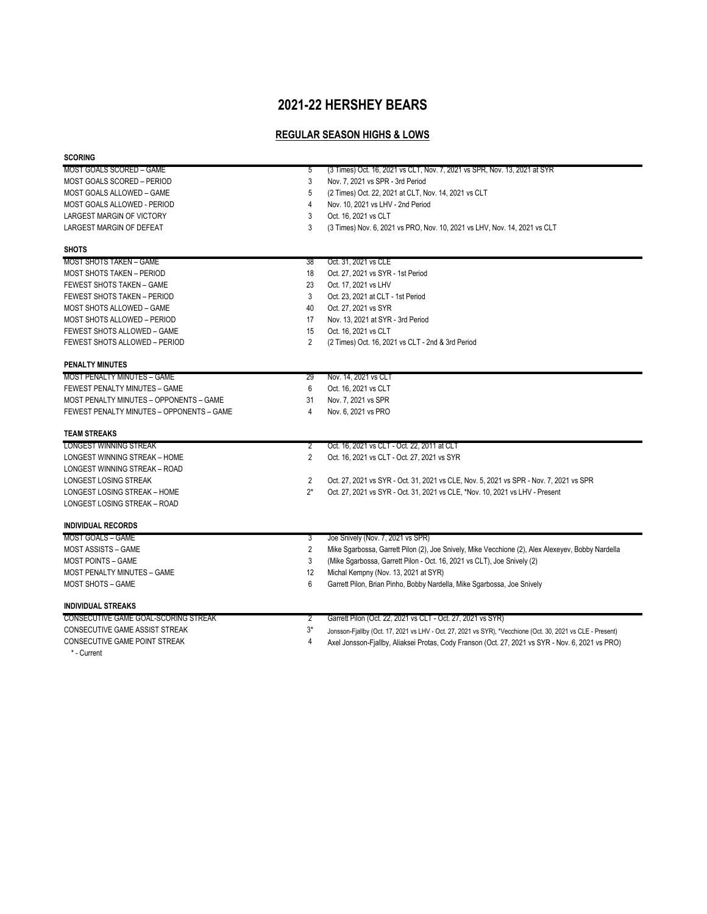### **2021-22 HERSHEY BEARS**

#### **REGULAR SEASON HIGHS & LOWS**

| <b>SCORING</b>                            |              |                                                                                                            |
|-------------------------------------------|--------------|------------------------------------------------------------------------------------------------------------|
| MOST GOALS SCORED - GAME                  | $\mathbf{b}$ | (3 Times) Oct. 16, 2021 vs CLT, Nov. 7, 2021 vs SPR, Nov. 13, 2021 at SYR                                  |
| MOST GOALS SCORED - PERIOD                | 3            | Nov. 7, 2021 vs SPR - 3rd Period                                                                           |
| MOST GOALS ALLOWED - GAME                 | 5            | (2 Times) Oct. 22, 2021 at CLT, Nov. 14, 2021 vs CLT                                                       |
| MOST GOALS ALLOWED - PERIOD               |              | Nov. 10, 2021 vs LHV - 2nd Period                                                                          |
| LARGEST MARGIN OF VICTORY                 | 3            | Oct. 16, 2021 vs CLT                                                                                       |
| LARGEST MARGIN OF DEFEAT                  | 3            | (3 Times) Nov. 6, 2021 vs PRO, Nov. 10, 2021 vs LHV, Nov. 14, 2021 vs CLT                                  |
| <b>SHOTS</b>                              |              |                                                                                                            |
| MOST SHOTS TAKEN - GAME                   | 38           | Oct. 31, 2021 vs CLE                                                                                       |
| <b>MOST SHOTS TAKEN - PERIOD</b>          | 18           | Oct. 27, 2021 vs SYR - 1st Period                                                                          |
| FEWEST SHOTS TAKEN - GAME                 | 23           | Oct. 17, 2021 vs LHV                                                                                       |
| FEWEST SHOTS TAKEN - PERIOD               | 3            | Oct. 23, 2021 at CLT - 1st Period                                                                          |
| MOST SHOTS ALLOWED - GAME                 | 40           | Oct. 27, 2021 vs SYR                                                                                       |
| MOST SHOTS ALLOWED - PERIOD               | 17           | Nov. 13, 2021 at SYR - 3rd Period                                                                          |
| FEWEST SHOTS ALLOWED - GAME               | 15           | Oct. 16, 2021 vs CLT                                                                                       |
| FEWEST SHOTS ALLOWED - PERIOD             | 2            | (2 Times) Oct. 16, 2021 vs CLT - 2nd & 3rd Period                                                          |
| <b>PENALTY MINUTES</b>                    |              |                                                                                                            |
| <b>MOST PENALTY MINUTES - GAME</b>        | 29           | Nov. 14, 2021 vs CLT                                                                                       |
| FEWEST PENALTY MINUTES - GAME             | 6            | Oct. 16, 2021 vs CLT                                                                                       |
| MOST PENALTY MINUTES - OPPONENTS - GAME   | 31           | Nov. 7, 2021 vs SPR                                                                                        |
| FEWEST PENALTY MINUTES - OPPONENTS - GAME | 4            | Nov. 6, 2021 vs PRO                                                                                        |
| <b>TEAM STREAKS</b>                       |              |                                                                                                            |
| <b>LONGEST WINNING STREAK</b>             | 2            | Oct. 16, 2021 vs CLT - Oct. 22, 2011 at CLT                                                                |
| LONGEST WINNING STREAK - HOME             | 2            | Oct. 16, 2021 vs CLT - Oct. 27, 2021 vs SYR                                                                |
| LONGEST WINNING STREAK - ROAD             |              |                                                                                                            |
| LONGEST LOSING STREAK                     | 2            | Oct. 27, 2021 vs SYR - Oct. 31, 2021 vs CLE, Nov. 5, 2021 vs SPR - Nov. 7, 2021 vs SPR                     |
| LONGEST LOSING STREAK - HOME              | $2^*$        | Oct. 27, 2021 vs SYR - Oct. 31, 2021 vs CLE, *Nov. 10, 2021 vs LHV - Present                               |
| LONGEST LOSING STREAK - ROAD              |              |                                                                                                            |
| <b>INDIVIDUAL RECORDS</b>                 |              |                                                                                                            |
| <b>MOST GOALS - GAME</b>                  | 3            | Joe Snively (Nov. 7, 2021 vs SPR)                                                                          |
| <b>MOST ASSISTS - GAME</b>                | 2            | Mike Sgarbossa, Garrett Pilon (2), Joe Snively, Mike Vecchione (2), Alex Alexeyev, Bobby Nardella          |
| MOST POINTS - GAME                        | 3            | (Mike Sgarbossa, Garrett Pilon - Oct. 16, 2021 vs CLT), Joe Snively (2)                                    |
| <b>MOST PENALTY MINUTES - GAME</b>        | 12           | Michal Kempny (Nov. 13, 2021 at SYR)                                                                       |
| <b>MOST SHOTS - GAME</b>                  | 6            | Garrett Pilon, Brian Pinho, Bobby Nardella, Mike Sgarbossa, Joe Snively                                    |
| <b>INDIVIDUAL STREAKS</b>                 |              |                                                                                                            |
| CONSECUTIVE GAME GOAL-SCORING STREAK      | 2            | Garrett Pilon (Oct. 22, 2021 vs CLT - Oct. 27, 2021 vs SYR)                                                |
| CONSECUTIVE GAME ASSIST STREAK            | 3*           | Jonsson-Fjallby (Oct. 17, 2021 vs LHV - Oct. 27, 2021 vs SYR), *Vecchione (Oct. 30, 2021 vs CLE - Present) |
| CONSECUTIVE GAME POINT STREAK             |              | Axel Jonsson-Fjallby, Aliaksei Protas, Cody Franson (Oct. 27, 2021 vs SYR - Nov. 6, 2021 vs PRO)           |

\* - Current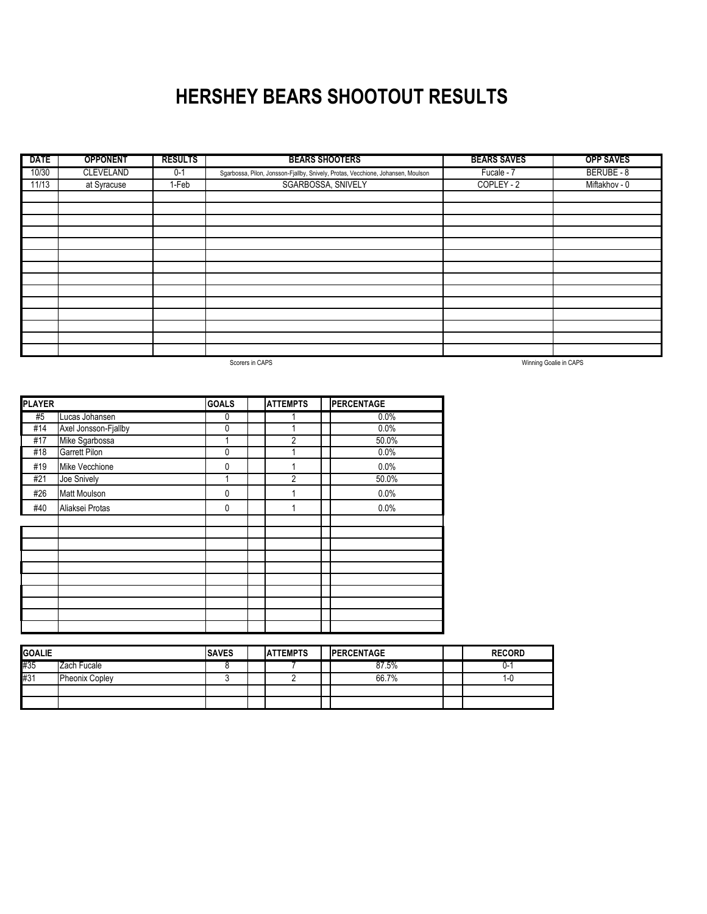### **HERSHEY BEARS SHOOTOUT RESULTS**

| <b>DATE</b> | <b>OPPONENT</b>  | <b>RESULTS</b> | <b>BEARS SHOOTERS</b>                                                            | <b>BEARS SAVES</b> | <b>OPP SAVES</b> |
|-------------|------------------|----------------|----------------------------------------------------------------------------------|--------------------|------------------|
| 10/30       | <b>CLEVELAND</b> | $0 - 1$        | Sgarbossa, Pilon, Jonsson-Fjallby, Snively, Protas, Vecchione, Johansen, Moulson | Fucale - 7         | BERUBE - 8       |
| 11/13       | at Syracuse      | 1-Feb          | SGARBOSSA, SNIVELY                                                               | COPLEY - 2         | Miftakhov - 0    |
|             |                  |                |                                                                                  |                    |                  |
|             |                  |                |                                                                                  |                    |                  |
|             |                  |                |                                                                                  |                    |                  |
|             |                  |                |                                                                                  |                    |                  |
|             |                  |                |                                                                                  |                    |                  |
|             |                  |                |                                                                                  |                    |                  |
|             |                  |                |                                                                                  |                    |                  |
|             |                  |                |                                                                                  |                    |                  |
|             |                  |                |                                                                                  |                    |                  |
|             |                  |                |                                                                                  |                    |                  |
|             |                  |                |                                                                                  |                    |                  |
|             |                  |                |                                                                                  |                    |                  |
|             |                  |                |                                                                                  |                    |                  |
|             |                  |                |                                                                                  |                    |                  |

Scorers in CAPS

Winning Goalie in CAPS

| <b>PLAYER</b> |                      | <b>GOALS</b> | <b>ATTEMPTS</b> | <b>PERCENTAGE</b> |
|---------------|----------------------|--------------|-----------------|-------------------|
| #5            | Lucas Johansen       | 0            |                 | 0.0%              |
| #14           | Axel Jonsson-Fjallby | $\pmb{0}$    |                 | 0.0%              |
| #17           | Mike Sgarbossa       | 1            | $\overline{2}$  | 50.0%             |
| #18           | Garrett Pilon        | $\mathbf{0}$ | 1               | 0.0%              |
| #19           | Mike Vecchione       | 0            |                 | 0.0%              |
| #21           | Joe Snively          | 1            | $\overline{2}$  | 50.0%             |
| #26           | Matt Moulson         | $\mathbf{0}$ |                 | 0.0%              |
| #40           | Aliaksei Protas      | 0            | 1               | 0.0%              |
|               |                      |              |                 |                   |
|               |                      |              |                 |                   |
|               |                      |              |                 |                   |
|               |                      |              |                 |                   |
|               |                      |              |                 |                   |
|               |                      |              |                 |                   |
|               |                      |              |                 |                   |
|               |                      |              |                 |                   |
|               |                      |              |                 |                   |
|               |                      |              |                 |                   |

| <b>GOALIE</b> |                       | <b>SAVES</b><br><b>ATTEMPTS</b> |  | <b>IPERCENTAGE</b> |  | <b>RECORD</b> |
|---------------|-----------------------|---------------------------------|--|--------------------|--|---------------|
| #35           | Zach Fucale           |                                 |  | 87.5%              |  | U-            |
| #31           | <b>Pheonix Copley</b> |                                 |  | 66.7%              |  | ٠-۱.          |
|               |                       |                                 |  |                    |  |               |
|               |                       |                                 |  |                    |  |               |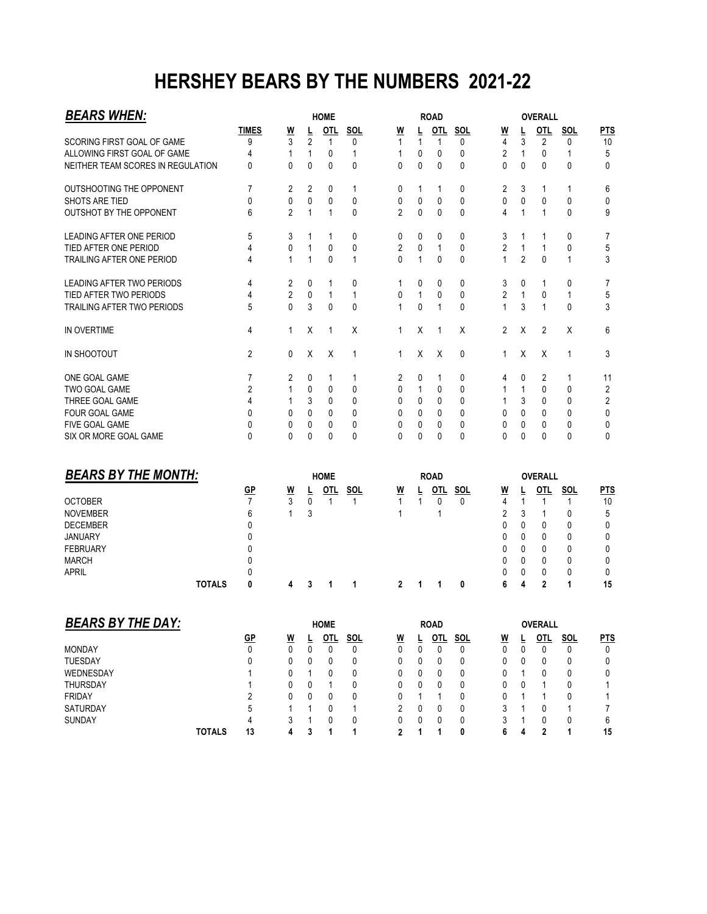### **HERSHEY BEARS BY THE NUMBERS 2021-22**

| <b>BEARS WHEN:</b>                |               |                      |                                      |              |              |                 | <b>OVERALL</b>           |                   |              |                 |                          |                   |                   |                 |                |
|-----------------------------------|---------------|----------------------|--------------------------------------|--------------|--------------|-----------------|--------------------------|-------------------|--------------|-----------------|--------------------------|-------------------|-------------------|-----------------|----------------|
|                                   |               | <b>TIMES</b>         | $\underline{\mathsf{W}}$             | L            | OTL          | <b>SOL</b>      | <u>W</u>                 | L                 | <b>OTL</b>   | <b>SOL</b>      | <u>W</u>                 | Ē                 | <b>OTL</b>        | <b>SOL</b>      | <b>PTS</b>     |
| SCORING FIRST GOAL OF GAME        |               | 9                    | 3                                    | 2            | 1            | 0               | 1                        | 1                 | 1            | 0               | 4                        | 3                 | 2                 | 0               | 10             |
| ALLOWING FIRST GOAL OF GAME       |               | 4                    | 1                                    | 1            | 0            | 1               | 1                        | 0                 | 0            | 0               | 2                        | 1                 | 0                 | 1               | 5              |
| NEITHER TEAM SCORES IN REGULATION |               | 0                    | 0                                    | 0            | 0            | 0               | 0                        | 0                 | 0            | 0               | $\mathbf{0}$             | 0                 | 0                 | 0               | 0              |
| OUTSHOOTING THE OPPONENT          |               | 7                    | 2                                    | 2            | 0            | 1               | 0                        | 1                 | 1            | 0               | 2                        | 3                 | 1                 | 1               | 6              |
| SHOTS ARE TIED                    |               | 0                    | 0                                    | 0            | 0            | 0               | 0                        | 0                 | 0            | 0               | 0                        | 0                 | 0                 | 0               | 0              |
| OUTSHOT BY THE OPPONENT           |               | 6                    | $\overline{2}$                       | $\mathbf{1}$ | $\mathbf{1}$ | 0               | $\overline{2}$           | 0                 | 0            | 0               | 4                        | $\mathbf{1}$      | $\mathbf{1}$      | $\mathbf{0}$    | 9              |
| LEADING AFTER ONE PERIOD          |               | 5                    | 3                                    | 1            | 1            | 0               | 0                        | 0                 | 0            | 0               | 3                        | 1                 | 1                 | 0               | 7              |
| TIED AFTER ONE PERIOD             |               | 4                    | 0                                    | 1            | 0            | 0               | $\overline{2}$           | 0                 | $\mathbf{1}$ | 0               | $\overline{2}$           | $\mathbf{1}$      | 1                 | 0               | 5              |
| TRAILING AFTER ONE PERIOD         |               | 4                    | $\mathbf{1}$                         | $\mathbf{1}$ | 0            | 1               | 0                        | $\mathbf{1}$      | 0            | 0               | $\mathbf{1}$             | $\overline{2}$    | 0                 | 1               | 3              |
| LEADING AFTER TWO PERIODS         |               | 4                    | 2                                    | 0            | 1            | 0               | 1                        | 0                 | 0            | 0               | 3                        | 0                 | 1                 | 0               | 7              |
| TIED AFTER TWO PERIODS            |               | 4                    | $\overline{2}$                       | 0            | $\mathbf{1}$ | 1               | 0                        | $\mathbf{1}$      | 0            | 0               | $\overline{2}$           | $\mathbf{1}$      | 0                 | 1               | 5              |
| TRAILING AFTER TWO PERIODS        |               | 5                    | $\mathbf{0}$                         | 3            | 0            | 0               | 1                        | 0                 | 1            | 0               | $\mathbf{1}$             | 3                 | 1                 | 0               | 3              |
| IN OVERTIME                       |               | 4                    | 1                                    | X            | 1            | X               | 1                        | X                 | 1            | Х               | $\overline{2}$           | X                 | 2                 | X               | 6              |
| IN SHOOTOUT                       |               | 2                    | 0                                    | X            | Х            | 1               | 1                        | X                 | Χ            | 0               | 1                        | Χ                 | Х                 | 1               | 3              |
| ONE GOAL GAME                     |               | 7                    | 2                                    | 0            | 1            | 1               | 2                        | 0                 | 1            | 0               | 4                        | 0                 | 2                 | 1               | 11             |
| TWO GOAL GAME                     |               | 2                    | 1                                    | 0            | 0            | 0               | 0                        | 1                 | 0            | 0               | 1                        | 1                 | 0                 | 0               | 2              |
| THREE GOAL GAME                   |               | 4                    | 1                                    | 3            | 0            | 0               | 0                        | 0                 | 0            | 0               | 1                        | 3                 | 0                 | 0               | $\overline{c}$ |
| <b>FOUR GOAL GAME</b>             |               | 0                    | 0                                    | 0            | 0            | 0               | 0                        | $\mathbf{0}$      | 0            | 0               | 0                        | 0                 | 0                 | 0               | 0              |
| FIVE GOAL GAME                    |               | $\Omega$             | 0                                    | 0            | 0            | 0               | 0                        | 0                 | 0            | 0               | 0                        | 0                 | 0                 | 0               | 0              |
| SIX OR MORE GOAL GAME             |               | $\mathbf{0}$         | $\mathbf{0}$                         | $\mathbf{0}$ | 0            | 0               | $\Omega$                 | $\mathbf{0}$      | 0            | 0               | $\Omega$                 | 0                 | 0                 | $\mathbf{0}$    | 0              |
| <b>BEARS BY THE MONTH:</b>        |               |                      |                                      |              | <b>HOME</b>  |                 |                          |                   | <b>ROAD</b>  |                 |                          |                   | <b>OVERALL</b>    |                 |                |
|                                   |               |                      |                                      |              |              |                 |                          |                   | $OTL$        |                 |                          |                   |                   |                 |                |
| <b>OCTOBER</b>                    |               | GP<br>$\overline{7}$ | <u>W</u><br>3                        |              | OTL<br>1     | <u>SOL</u><br>1 | <u>W</u><br>$\mathbf{1}$ | L<br>$\mathbf{1}$ | 0            | <b>SOL</b><br>0 | <u>W</u><br>4            | Ŀ<br>$\mathbf{1}$ | OTL<br>1          | <b>SOL</b><br>1 | <b>PTS</b>     |
|                                   |               | 6                    | 1                                    | 0            |              |                 | 1                        |                   | 1            |                 | 2                        |                   |                   | 0               | 10<br>5        |
| <b>NOVEMBER</b>                   |               |                      |                                      | 3            |              |                 |                          |                   |              |                 |                          | 3                 | 1                 |                 |                |
| <b>DECEMBER</b>                   |               | 0                    |                                      |              |              |                 |                          |                   |              |                 | 0                        | 0                 | 0                 | 0               | 0              |
| <b>JANUARY</b>                    |               | 0                    |                                      |              |              |                 |                          |                   |              |                 | 0                        | 0                 | 0                 | 0               | 0              |
| <b>FEBRUARY</b>                   |               | 0                    |                                      |              |              |                 |                          |                   |              |                 | 0                        | 0                 | 0                 | 0               | 0              |
| <b>MARCH</b>                      |               | 0                    |                                      |              |              |                 |                          |                   |              |                 | 0                        | 0                 | 0                 | 0               | 0              |
| <b>APRIL</b>                      | <b>TOTALS</b> | 0<br>0               | 4                                    | 3            | 1            | 1               | $\mathbf{2}$             | 1                 | 1            | 0               | 0<br>6                   | 0<br>4            | 0<br>$\mathbf{2}$ | 0<br>1          | 0<br>15        |
|                                   |               |                      |                                      |              |              |                 |                          |                   |              |                 |                          |                   |                   |                 |                |
| <b>BEARS BY THE DAY:</b>          |               |                      |                                      |              | <b>HOME</b>  |                 |                          |                   | <b>ROAD</b>  |                 |                          |                   | OVERALL           |                 |                |
|                                   |               | GP                   | $\underline{\underline{\mathsf{W}}}$ | Ē            | <u>OTL</u>   | <b>SOL</b>      | $\overline{M}$           | Ē                 | OTL          | <b>SOL</b>      | $\underline{\mathsf{w}}$ | Ē                 | OTL               | <b>SOL</b>      | <b>PTS</b>     |
| <b>MONDAY</b>                     |               | 0                    | 0                                    | 0            | 0            | 0               | 0                        | 0                 | 0            | 0               | 0                        | 0                 | 0                 | 0               | 0              |
| TUESDAY                           |               | 0                    | 0                                    | 0            | 0            | 0               | 0                        | 0                 | 0            | 0               | 0                        | 0                 | 0                 | 0               | 0              |
| WEDNESDAY                         |               | 1                    | 0                                    | 1            | 0            | 0               | 0                        | 0                 | 0            | 0               | 0                        | 1                 | 0                 | 0               | 0              |
| THURSDAY                          |               | 1                    | 0                                    | 0            | 1            | 0               | 0                        | 0                 | 0            | 0               | 0                        | 0                 | 1                 | 0               | 1              |
| <b>FRIDAY</b>                     |               | $\overline{2}$       | 0                                    | 0            | 0            | 0               | 0                        | 1                 | 1            | 0               | 0                        | 1                 | 1                 | 0               | 1              |
| SATURDAY                          |               | 5                    | 1                                    |              | 0            |                 | $\overline{2}$           | 0                 | 0            | 0               | 3                        | 1                 | 0                 | 1               | 7              |
|                                   |               |                      |                                      | 1            |              | 1               |                          |                   |              |                 |                          |                   |                   |                 |                |
| SUNDAY                            |               | 4                    | 3                                    | 1            | 0            | 0               | 0                        | 0                 | 0            | 0               | 3                        | 1                 | 0                 | 0               | 6              |
|                                   | <b>TOTALS</b> | 13                   | 4                                    | 3            | 1            | 1               | $\mathbf{2}$             | 1                 | 1            | 0               | 6                        | 4                 | $\mathbf{2}$      | 1               | 15             |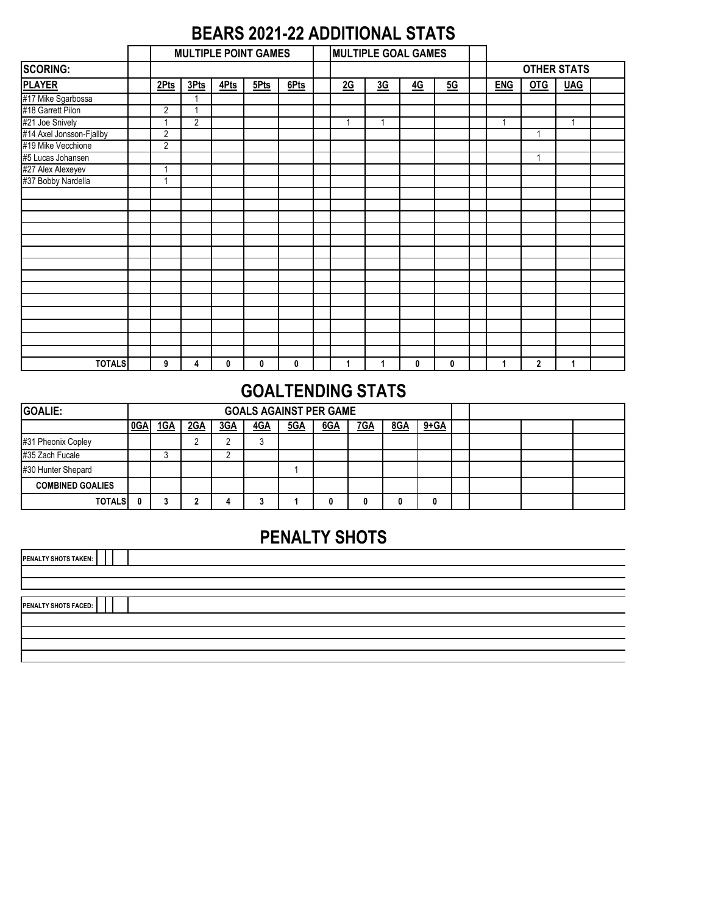### **BEARS 2021-22 ADDITIONAL STATS**

|                          | <b>MULTIPLE POINT GAMES</b> |                |      |      |      |  |    | <b>MULTIPLE GOAL GAMES</b> |    |           |            |     |                    |  |
|--------------------------|-----------------------------|----------------|------|------|------|--|----|----------------------------|----|-----------|------------|-----|--------------------|--|
| <b>SCORING:</b>          |                             |                |      |      |      |  |    |                            |    |           |            |     | <b>OTHER STATS</b> |  |
| <b>PLAYER</b>            | 2Pts                        | 3Pts           | 4Pts | 5Pts | 6Pts |  | 2G | 36                         | 4G | <u>5G</u> | <b>ENG</b> | OTG | <b>UAG</b>         |  |
| #17 Mike Sgarbossa       |                             |                |      |      |      |  |    |                            |    |           |            |     |                    |  |
| #18 Garrett Pilon        | 2                           | 4              |      |      |      |  |    |                            |    |           |            |     |                    |  |
| #21 Joe Snively          |                             | $\overline{2}$ |      |      |      |  | 1  | $\overline{1}$             |    |           | 1          |     | 1                  |  |
| #14 Axel Jonsson-Fjallby | $\overline{2}$              |                |      |      |      |  |    |                            |    |           |            |     |                    |  |
| #19 Mike Vecchione       | $\overline{2}$              |                |      |      |      |  |    |                            |    |           |            |     |                    |  |
| #5 Lucas Johansen        |                             |                |      |      |      |  |    |                            |    |           |            |     |                    |  |
| #27 Alex Alexeyev        |                             |                |      |      |      |  |    |                            |    |           |            |     |                    |  |
| #37 Bobby Nardella       |                             |                |      |      |      |  |    |                            |    |           |            |     |                    |  |
|                          |                             |                |      |      |      |  |    |                            |    |           |            |     |                    |  |
|                          |                             |                |      |      |      |  |    |                            |    |           |            |     |                    |  |
|                          |                             |                |      |      |      |  |    |                            |    |           |            |     |                    |  |
|                          |                             |                |      |      |      |  |    |                            |    |           |            |     |                    |  |
|                          |                             |                |      |      |      |  |    |                            |    |           |            |     |                    |  |
|                          |                             |                |      |      |      |  |    |                            |    |           |            |     |                    |  |
|                          |                             |                |      |      |      |  |    |                            |    |           |            |     |                    |  |
|                          |                             |                |      |      |      |  |    |                            |    |           |            |     |                    |  |
|                          |                             |                |      |      |      |  |    |                            |    |           |            |     |                    |  |
|                          |                             |                |      |      |      |  |    |                            |    |           |            |     |                    |  |
|                          |                             |                |      |      |      |  |    |                            |    |           |            |     |                    |  |
|                          |                             |                |      |      |      |  |    |                            |    |           |            |     |                    |  |
|                          |                             |                |      |      |      |  |    |                            |    |           |            |     |                    |  |
|                          |                             |                |      |      |      |  |    |                            |    |           |            |     |                    |  |
| <b>TOTALS</b>            | 9                           | 4              | 0    | 0    | 0    |  |    | 1                          | 0  | 0         | 1          | 2   | 1                  |  |

### **GOALTENDING STATS**

| <b>GOALIE:</b>          |     |     |     |     | <b>GOALS AGAINST PER GAME</b> |     |     |     |     |          |  |  |
|-------------------------|-----|-----|-----|-----|-------------------------------|-----|-----|-----|-----|----------|--|--|
|                         | 0GA | 1GA | 2GA | 3GA | <b>4GA</b>                    | 5GA | 6GA | 7GA | 8GA | $9 + GA$ |  |  |
| #31 Pheonix Copley      |     |     |     |     |                               |     |     |     |     |          |  |  |
| #35 Zach Fucale         |     |     |     |     |                               |     |     |     |     |          |  |  |
| #30 Hunter Shepard      |     |     |     |     |                               |     |     |     |     |          |  |  |
| <b>COMBINED GOALIES</b> |     |     |     |     |                               |     |     |     |     |          |  |  |
| <b>TOTALS</b>           | n   |     |     |     |                               |     |     |     |     | Λ        |  |  |

### **PENALTY SHOTS**

**PENALTY SHOTS TAKEN:**

**PENALTY SHOTS FACED:**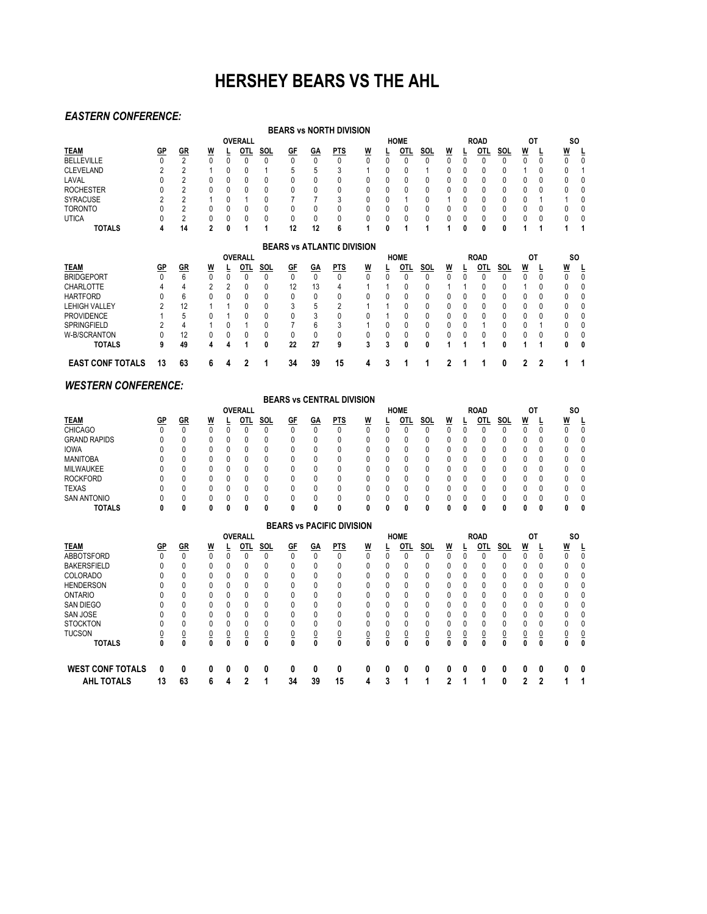### **HERSHEY BEARS VS THE AHL**

#### *EASTERN CONFERENCE:*

|                         |           |                 |                |   |                |     |              |           | <b>BEARS vs NORTH DIVISION</b>    |          |   |             |            |          |   |             |     |           |   |          |              |
|-------------------------|-----------|-----------------|----------------|---|----------------|-----|--------------|-----------|-----------------------------------|----------|---|-------------|------------|----------|---|-------------|-----|-----------|---|----------|--------------|
|                         |           |                 |                |   | <b>OVERALL</b> |     |              |           |                                   |          |   | <b>HOME</b> |            |          |   | <b>ROAD</b> |     | OT        |   |          | <b>SO</b>    |
| <b>TEAM</b>             | GP        | <u>GR</u>       | W              |   | OTL            | SOL | <b>GF</b>    | GA        | <b>PTS</b>                        | W        |   | OTL         | SOL        | W        |   | OTL         | SOL | W         |   | W        |              |
| <b>BELLEVILLE</b>       |           | $\overline{2}$  | $\mathbf{0}$   | 0 | $\mathbf{0}$   | U   | 0            | 0         | 0                                 | 0        | 0 | 0           | 0          | 0        | 0 | 0           | 0   | 0         | 0 | 0        | ſ            |
| <b>CLEVELAND</b>        |           |                 |                |   | Ω              |     | 5            | 5         |                                   |          |   |             |            | 0        |   |             |     |           |   |          |              |
| LAVAL                   |           |                 | 0              |   | 0              |     | 0            | 0         |                                   | 0        |   | 0           |            | 0        |   | 0           |     | 0         |   |          |              |
| <b>ROCHESTER</b>        |           |                 | ſ              |   |                |     |              |           |                                   |          |   |             |            |          |   |             |     | 0         |   |          |              |
| <b>SYRACUSE</b>         |           | 2               |                |   |                |     |              |           | 3                                 |          |   |             | N          |          |   | 0           | 0   | 0         |   |          |              |
| <b>TORONTO</b>          |           |                 | 0              |   | 0              |     | 0            | ŋ         |                                   | n        |   | N           | 0          | 0        |   | 0           | 0   | 0         |   |          |              |
| <b>UTICA</b>            |           | $\overline{2}$  | $\mathbf{0}$   | 0 | $\mathbf{0}$   | N   | 0            | 0         | 0                                 | 0        |   | 0           | 0          | 0        |   | 0           | 0   | 0         |   |          |              |
| <b>TOTALS</b>           | 4         | 14              | $\overline{2}$ | 0 |                |     | 12           | 12        | 6                                 |          | 0 |             |            |          |   | 0           | 0   |           |   |          |              |
|                         |           |                 |                |   |                |     |              |           | <b>BEARS vs ATLANTIC DIVISION</b> |          |   |             |            |          |   |             |     |           |   |          |              |
|                         |           |                 |                |   | <b>OVERALL</b> |     |              |           |                                   |          |   | <b>HOME</b> |            |          |   | <b>ROAD</b> |     | <b>OT</b> |   |          | <b>SO</b>    |
| <b>TEAM</b>             | <u>GP</u> | <u>GR</u>       | <u>W</u>       |   | OTL            | SOL | <u>GF</u>    | <u>GA</u> | <u>PTS</u>                        | <u>W</u> |   | OTI.        | <b>SOL</b> | <u>W</u> |   | OTI.        | SOL | <u>W</u>  |   | <u>W</u> |              |
| <b>BRIDGEPORT</b>       |           | $6\overline{6}$ | $\Omega$       | 0 | $\mathbf{0}$   | N   | $\Omega$     | $\Omega$  | $\Omega$                          |          |   | 0           | U          | $\Omega$ |   | 0           | U   | U         | 0 | 0        | $\mathbf{0}$ |
| <b>CHARLOTTE</b>        |           |                 | $\overline{2}$ |   | 0              | N   | 12           | 13        |                                   |          |   | N           | 0          |          |   | 0           |     |           | 0 |          | ſ            |
| <b>HARTFORD</b>         |           | 6               | 0              |   | 0              |     | 0            | 0         | n                                 |          |   | N           | N          |          |   |             |     | 0         | 0 |          |              |
| <b>LEHIGH VALLEY</b>    |           | 12              |                |   | 0              |     | 3            | 5         | 2                                 |          |   | N           | N          | 0        |   | 0           | 0   | 0         |   |          | ſ            |
| <b>PROVIDENCE</b>       |           | 5               |                |   | Ω              |     | $\mathbf{0}$ | 3         |                                   |          |   | O           | N          | 0        |   |             |     | 0         |   |          |              |
| <b>SPRINGFIELD</b>      | ∩         |                 |                |   |                |     |              | 6         | 3                                 |          |   | N           | 0          | 0        |   |             |     | 0         |   |          | ſ            |
| W-B/SCRANTON            |           | 12              | 0              |   |                | N   | 0            | 0         | 0                                 | 0        |   | N           | 0          | 0        |   |             | 0   | 0         |   |          |              |
| <b>TOTALS</b>           | 9         | 49              | 4              |   |                | Λ   | 22           | 27        | 9                                 | 3        |   | Λ           | 0          |          |   |             | Λ   |           |   |          |              |
| <b>EAST CONF TOTALS</b> | 13        | 63              | 6              | 4 | 2              |     | 34           | 39        | 15                                | 4        | 3 |             |            | 2        |   |             | 0   | 2         | 2 |          |              |
|                         |           |                 |                |   |                |     |              |           |                                   |          |   |             |            |          |   |             |     |           |   |          |              |

#### *WESTERN CONFERENCE:*

|                     |           |           |   |   |                |     |           |    | <b>BEARS vs CENTRAL DIVISION</b> |   |              |             |      |    |    |             |     |    |     |   |
|---------------------|-----------|-----------|---|---|----------------|-----|-----------|----|----------------------------------|---|--------------|-------------|------|----|----|-------------|-----|----|-----|---|
|                     |           |           |   |   | <b>OVERALL</b> |     |           |    |                                  |   |              | <b>HOME</b> |      |    |    | <b>ROAD</b> |     | ОT | SO. |   |
| <b>TEAM</b>         | <u>GP</u> | <u>GR</u> | W |   | OTI.           | SOL | <u>GF</u> | GΑ | <b>PTS</b>                       | W |              | OTL         | SOL. | W  |    | OTL         | SOL | W  | W   |   |
| <b>CHICAGO</b>      |           |           |   |   |                |     |           |    |                                  |   |              |             |      |    |    |             |     |    |     |   |
| <b>GRAND RAPIDS</b> |           |           |   | 0 |                |     | 0         | 0  |                                  |   |              |             | 0    |    |    |             |     |    | 0   | 0 |
| <b>IOWA</b>         |           |           |   | 0 |                |     | 0         | 0  |                                  |   | 0            |             | 0    | 0  |    |             |     |    | n.  | 0 |
| <b>MANITOBA</b>     |           |           | U | 0 |                |     | 0         | 0  |                                  |   | <sup>0</sup> |             | 0    | 0  | n. | 0           |     | 0  | n.  |   |
| MILWAUKEE           |           |           | 0 | 0 |                | 0   | 0         | 0  |                                  | 0 | <sup>n</sup> |             | 0    | U. | n. | 0           |     | n. | n.  | 0 |
| <b>ROCKFORD</b>     |           |           |   |   |                |     | U         | 0  |                                  |   |              |             |      |    |    |             |     |    | n.  | 0 |
| <b>TEXAS</b>        |           |           |   |   |                |     |           |    |                                  |   |              |             |      |    |    |             |     |    | n.  |   |
| <b>SAN ANTONIO</b>  |           |           |   |   |                |     |           |    |                                  |   |              |             |      |    |    |             |     |    |     |   |
| <b>TOTALS</b>       | 0         |           |   | 0 |                |     |           |    |                                  |   |              | 0           | 0    | 0  | 0  |             | Λ   |    |     | 0 |

|                         |           |           |                |   |                |            |                |           | <b>BEARS vs PACIFIC DIVISION</b> |          |   |             |            |          |   |             |              |              |    |   |                |
|-------------------------|-----------|-----------|----------------|---|----------------|------------|----------------|-----------|----------------------------------|----------|---|-------------|------------|----------|---|-------------|--------------|--------------|----|---|----------------|
|                         |           |           |                |   | <b>OVERALL</b> |            |                |           |                                  |          |   | <b>HOME</b> |            |          |   | <b>ROAD</b> |              |              | ОT |   | <b>SO</b>      |
| <b>TEAM</b>             | <u>GP</u> | <u>GR</u> | <u>W</u>       |   | OTI.           | <b>SOL</b> | <u>GF</u>      | <u>GA</u> | <b>PTS</b>                       | <u>W</u> | 느 | OTL         | <b>SOL</b> | <u>W</u> | ц | OTL         | <u>SOL</u>   | W            | ┶  | W | Ŀ              |
| <b>ABBOTSFORD</b>       | 0         |           |                | 0 |                |            | 0              |           |                                  |          | 0 |             | 0          |          |   |             |              | $\mathbf{0}$ | 0  | 0 | 0              |
| <b>BAKERSFIELD</b>      |           |           | 0              | 0 |                | 0          | $\mathbf{0}$   | 0         |                                  |          | 0 |             | 0          | 0        | 0 |             | $\mathbf{0}$ | $\Omega$     | 0  | 0 | 0              |
| <b>COLORADO</b>         |           |           | 0              | 0 |                | 0          | $\mathbf{0}$   | 0         |                                  | 0        | 0 |             | 0          | 0        | 0 |             | $\mathbf{0}$ | 0            | 0  | 0 | 0              |
| <b>HENDERSON</b>        |           |           | 0              | 0 |                |            | $\mathbf{0}$   |           |                                  |          | 0 |             | 0          | 0        | 0 |             | $\Omega$     | 0            | 0  |   | 0              |
| <b>ONTARIO</b>          |           |           | 0              | 0 |                |            | 0              | 0         |                                  |          | 0 |             | 0          |          | 0 |             | 0            | 0            | 0  |   | 0              |
| <b>SAN DIEGO</b>        |           |           | 0              | 0 | 0              | 0          | $\mathbf{0}$   | 0         |                                  |          | 0 |             | 0          |          | 0 |             | 0            | 0            | 0  |   | 0              |
| <b>SAN JOSE</b>         |           |           | 0              | 0 | 0              | 0          | $\mathbf{0}$   | 0         |                                  | 0        | 0 |             | 0          | 0        | 0 |             | $\Omega$     | $\Omega$     | 0  | 0 | 0              |
| <b>STOCKTON</b>         |           |           | 0              | 0 |                | 0          | $\mathbf{0}$   | 0         |                                  |          | 0 |             | 0          |          | 0 |             | 0            | 0            | 0  |   | 0              |
| <b>TUCSON</b>           |           |           | $\overline{0}$ |   |                |            | $\overline{0}$ |           |                                  |          | 0 |             |            |          | 0 |             |              | 0            | 0  |   | $\overline{0}$ |
| <b>TOTALS</b>           | 0         | 0         |                | 0 |                | 0          | 0              | 0         |                                  |          | 0 |             | 0          | 0        | 0 | 0           |              | 0            | 0  | 0 | 0              |
| <b>WEST CONF TOTALS</b> | 0         | 0         | 0              | 0 |                | 0          | 0              | 0         | 0                                |          | 0 | 0           | 0          | 0        | 0 |             |              | 0            | 0  | 0 | 0              |
| AHL TOTALS              | 13        | 63        | 6              | 4 | 2              |            | 34             | 39        | 15                               | 4        | 3 |             |            | 2        |   |             | 0            | 2            | າ  |   |                |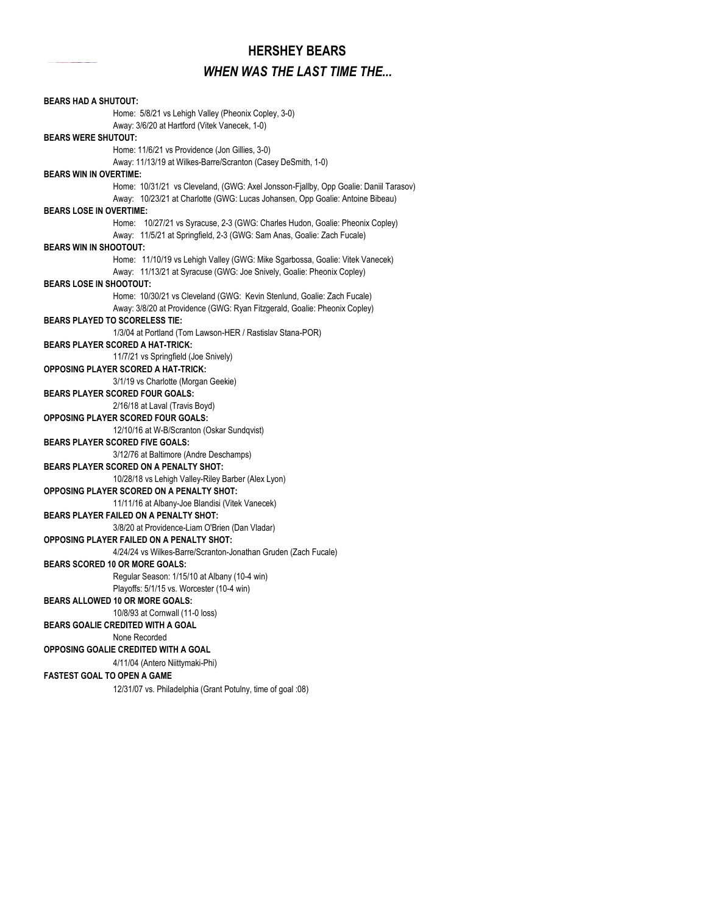#### **HERSHEY BEARS**

#### *WHEN WAS THE LAST TIME THE...*

**BEARS HAD A SHUTOUT:** Home: 5/8/21 vs Lehigh Valley (Pheonix Copley, 3-0) Away: 3/6/20 at Hartford (Vitek Vanecek, 1-0) **BEARS WERE SHUTOUT:** Home: 11/6/21 vs Providence (Jon Gillies, 3-0) Away: 11/13/19 at Wilkes-Barre/Scranton (Casey DeSmith, 1-0) Home: 10/31/21 vs Cleveland, (GWG: Axel Jonsson-Fjallby, Opp Goalie: Daniil Tarasov) Away: 10/23/21 at Charlotte (GWG: Lucas Johansen, Opp Goalie: Antoine Bibeau) **BEARS LOSE IN OVERTIME:** Home: 10/27/21 vs Syracuse, 2-3 (GWG: Charles Hudon, Goalie: Pheonix Copley) Away: 11/5/21 at Springfield, 2-3 (GWG: Sam Anas, Goalie: Zach Fucale) **BEARS WIN IN SHOOTOUT:** Home: 11/10/19 vs Lehigh Valley (GWG: Mike Sgarbossa, Goalie: Vitek Vanecek) Away: 11/13/21 at Syracuse (GWG: Joe Snively, Goalie: Pheonix Copley) **BEARS LOSE IN SHOOTOUT:** Home: 10/30/21 vs Cleveland (GWG: Kevin Stenlund, Goalie: Zach Fucale) Away: 3/8/20 at Providence (GWG: Ryan Fitzgerald, Goalie: Pheonix Copley) **BEARS PLAYED TO SCORELESS TIE:** 1/3/04 at Portland (Tom Lawson-HER / Rastislav Stana-POR) **BEARS PLAYER SCORED A HAT-TRICK:** 11/7/21 vs Springfield (Joe Snively) **OPPOSING PLAYER SCORED A HAT-TRICK:** 3/1/19 vs Charlotte (Morgan Geekie) **BEARS PLAYER SCORED FOUR GOALS:** 2/16/18 at Laval (Travis Boyd) **OPPOSING PLAYER SCORED FOUR GOALS:** 12/10/16 at W-B/Scranton (Oskar Sundqvist) **BEARS PLAYER SCORED FIVE GOALS:** 3/12/76 at Baltimore (Andre Deschamps) **BEARS PLAYER SCORED ON A PENALTY SHOT:** 10/28/18 vs Lehigh Valley-Riley Barber (Alex Lyon) **OPPOSING PLAYER SCORED ON A PENALTY SHOT:** 11/11/16 at Albany-Joe Blandisi (Vitek Vanecek) **BEARS PLAYER FAILED ON A PENALTY SHOT:** 3/8/20 at Providence-Liam O'Brien (Dan Vladar) **OPPOSING PLAYER FAILED ON A PENALTY SHOT:** 4/24/24 vs Wilkes-Barre/Scranton-Jonathan Gruden (Zach Fucale) **BEARS SCORED 10 OR MORE GOALS:** Regular Season: 1/15/10 at Albany (10-4 win) Playoffs: 5/1/15 vs. Worcester (10-4 win) **BEARS ALLOWED 10 OR MORE GOALS:** 10/8/93 at Cornwall (11-0 loss) **BEARS GOALIE CREDITED WITH A GOAL** None Recorded **OPPOSING GOALIE CREDITED WITH A GOAL** 4/11/04 (Antero Niittymaki-Phi) **FASTEST GOAL TO OPEN A GAME** 12/31/07 vs. Philadelphia (Grant Potulny, time of goal :08) **BEARS WIN IN OVERTIME:**